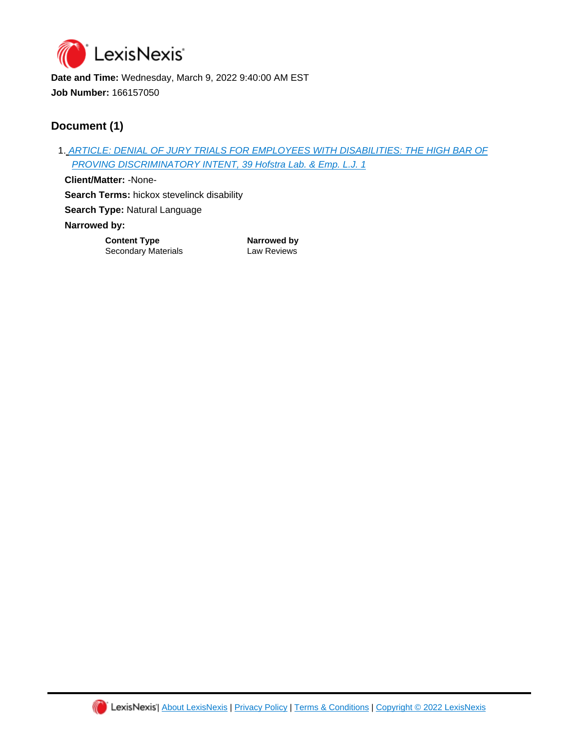

**Date and Time:** Wednesday, March 9, 2022 9:40:00 AM EST **Job Number:** 166157050

## **Document (1)**

1. [ARTICLE: DENIAL OF JURY TRIALS FOR EMPLOYEES WITH DISABILITIES: THE HIGH BAR OF](https://advance.lexis.com/api/document?id=urn:contentItem:64WS-KXC1-JTNR-M00W-00000-00&idtype=PID&context=1516831)  [PROVING DISCRIMINATORY INTENT, 39 Hofstra Lab. & Emp. L.J. 1](https://advance.lexis.com/api/document?id=urn:contentItem:64WS-KXC1-JTNR-M00W-00000-00&idtype=PID&context=1516831)

**Client/Matter:** -None-**Search Terms:** hickox stevelinck disability **Search Type:** Natural Language

**Narrowed by:** 

W.

**Content Type <b>Narrowed** by Secondary Materials **Law Reviews**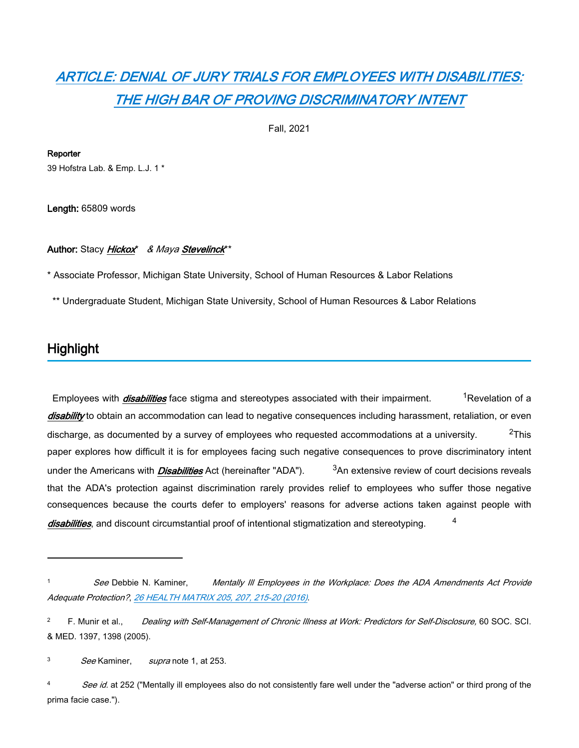# *[ARTICLE: DENIAL OF JURY TRIALS FOR EMPLOYEES WITH DISABILITIES:](https://advance.lexis.com/api/document?collection=analytical-materials&id=urn:contentItem:64WS-KXC1-JTNR-M00W-00000-00&context=1516831)  [THE HIGH BAR OF PROVING DISCRIMINATORY INTENT](https://advance.lexis.com/api/document?collection=analytical-materials&id=urn:contentItem:64WS-KXC1-JTNR-M00W-00000-00&context=1516831)*

Fall, 2021

**Reporter** 39 Hofstra Lab. & Emp. L.J. 1 \*

**Length:** 65809 words

### **Author:** Stacy *Hickox*\* *& Maya Stevelinck*\*\*

\* Associate Professor, Michigan State University, School of Human Resources & Labor Relations

\*\* Undergraduate Student, Michigan State University, School of Human Resources & Labor Relations

## **Highlight**

Employees with *disabilities* face stigma and stereotypes associated with their impairment. <sup>1</sup>Revelation of a *disability* to obtain an accommodation can lead to negative consequences including harassment, retaliation, or even discharge, as documented by a survey of employees who requested accommodations at a university.  $27$ his paper explores how difficult it is for employees facing such negative consequences to prove discriminatory intent under the Americans with *Disabilities* Act (hereinafter "ADA"). <sup>3</sup>An extensive review of court decisions reveals that the ADA's protection against discrimination rarely provides relief to employees who suffer those negative consequences because the courts defer to employers' reasons for adverse actions taken against people with disabilities, and discount circumstantial proof of intentional stigmatization and stereotyping. <sup>4</sup>

3 *See* Kaminer, *supra* note 1, at 253.

4 *See id.* at 252 ("Mentally ill employees also do not consistently fare well under the "adverse action" or third prong of the prima facie case.").

<sup>1</sup>  *See* Debbie N. Kaminer, *Mentally Ill Employees in the Workplace: Does the ADA Amendments Act Provide Adequate Protection?*, *[26 HEALTH MATRIX 205, 207, 215-20 \(2016\)](https://advance.lexis.com/api/document?collection=analytical-materials&id=urn:contentItem:5JMG-ST70-00CV-30D8-00000-00&context=1516831)*.

<sup>2</sup>F. Munir et al., *Dealing with Self-Management of Chronic Illness at Work: Predictors for Self-Disclosure,* 60 SOC. SCI. & MED. 1397, 1398 (2005).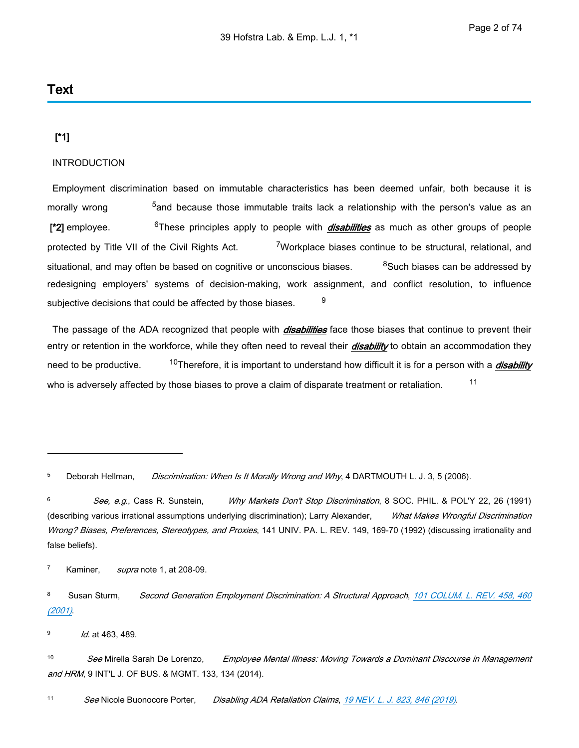## **Text**

### **[\*1]**

### INTRODUCTION

 Employment discrimination based on immutable characteristics has been deemed unfair, both because it is morally wrong <sup>5</sup>and because those immutable traits lack a relationship with the person's value as an  **[\*2]** employee. 6These principles apply to people with *disabilities* as much as other groups of people protected by Title VII of the Civil Rights Act. <sup>7</sup>Workplace biases continue to be structural, relational, and situational, and may often be based on cognitive or unconscious biases.  $\cdot$  <sup>8</sup>Such biases can be addressed by redesigning employers' systems of decision-making, work assignment, and conflict resolution, to influence subjective decisions that could be affected by those biases.  $\boldsymbol{9}$ 

 The passage of the ADA recognized that people with *disabilities* face those biases that continue to prevent their entry or retention in the workforce, while they often need to reveal their *disability* to obtain an accommodation they need to be productive. 10Therefore, it is important to understand how difficult it is for a person with a *disability* who is adversely affected by those biases to prove a claim of disparate treatment or retaliation.  $11$ 

<sup>5</sup>Deborah Hellman, *Discrimination: When Is It Morally Wrong and Why*, 4 DARTMOUTH L. J. 3, 5 (2006).

6 *See, e.g.*, Cass R. Sunstein, *Why Markets Don't Stop Discrimination*, 8 SOC. PHIL. & POL'Y 22, 26 (1991) (describing various irrational assumptions underlying discrimination); Larry Alexander, *What Makes Wrongful Discrimination Wrong? Biases, Preferences, Stereotypes, and Proxies*, 141 UNIV. PA. L. REV. 149, 169-70 (1992) (discussing irrationality and false beliefs).

<sup>7</sup>Kaminer, *supra* note 1, at 208-09.

<sup>8</sup>Susan Sturm, *Second Generation Employment Discrimination: A Structural Approach*, *[101 COLUM. L. REV. 458, 460](https://advance.lexis.com/api/document?collection=analytical-materials&id=urn:contentItem:433X-2WM0-00CW-7180-00000-00&context=1516831)  [\(2001\)](https://advance.lexis.com/api/document?collection=analytical-materials&id=urn:contentItem:433X-2WM0-00CW-7180-00000-00&context=1516831)*.

9 *Id.* at 463, 489.

10 *See* Mirella Sarah De Lorenzo, *Employee Mental Illness: Moving Towards a Dominant Discourse in Management and HRM*, 9 INT'L J. OF BUS. & MGMT. 133, 134 (2014).

11 *See* Nicole Buonocore Porter, *Disabling ADA Retaliation Claims*, *[19 NEV. L. J. 823, 846 \(2019\)](https://advance.lexis.com/api/document?collection=analytical-materials&id=urn:contentItem:5WCR-96W0-0198-G137-00000-00&context=1516831)*.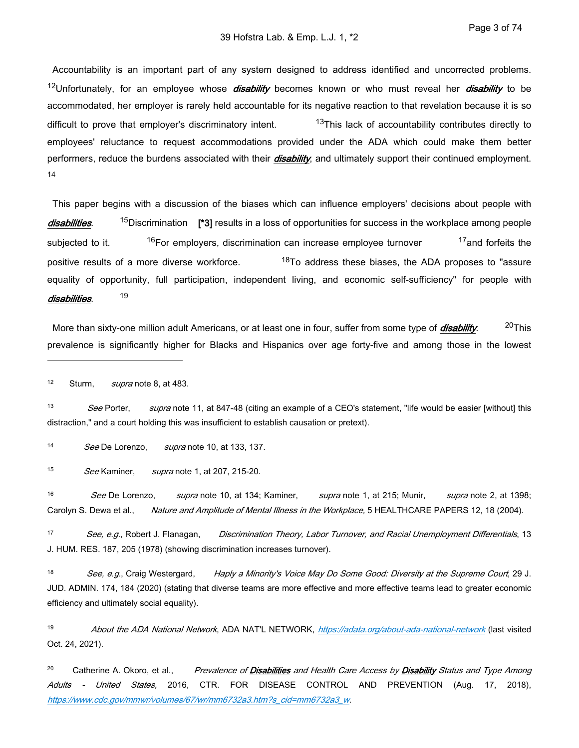Accountability is an important part of any system designed to address identified and uncorrected problems. <sup>12</sup>Unfortunately, for an employee whose *disability* becomes known or who must reveal her *disability* to be accommodated, her employer is rarely held accountable for its negative reaction to that revelation because it is so difficult to prove that employer's discriminatory intent. <sup>13</sup>This lack of accountability contributes directly to employees' reluctance to request accommodations provided under the ADA which could make them better performers, reduce the burdens associated with their *disability*, and ultimately support their continued employment. 14

 This paper begins with a discussion of the biases which can influence employers' decisions about people with *disabilities*. <sup>15</sup>Discrimination **[\*3]** results in a loss of opportunities for success in the workplace among people subjected to it. <sup>16</sup>For employers, discrimination can increase employee turnover <sup>17</sup>and forfeits the positive results of a more diverse workforce.  $18T_0$  address these biases, the ADA proposes to "assure equality of opportunity, full participation, independent living, and economic self-sufficiency" for people with *disabilities*. 19

 More than sixty-one million adult Americans, or at least one in four, suffer from some type of *disability*. <sup>20</sup>This prevalence is significantly higher for Blacks and Hispanics over age forty-five and among those in the lowest

12 Sturm, *supra* note 8, at 483.

13 *See* Porter, *supra* note 11, at 847-48 (citing an example of a CEO's statement, "life would be easier [without] this distraction," and a court holding this was insufficient to establish causation or pretext).

14 *See* De Lorenzo, *supra* note 10, at 133, 137.

15 *See* Kaminer, *supra* note 1, at 207, 215-20.

16 *See* De Lorenzo, *supra* note 10, at 134; Kaminer, *supra* note 1, at 215; Munir, *supra* note 2, at 1398; Carolyn S. Dewa et al., *Nature and Amplitude of Mental Illness in the Workplace,* 5 HEALTHCARE PAPERS 12, 18 (2004).

17 *See, e.g.*, Robert J. Flanagan, *Discrimination Theory, Labor Turnover, and Racial Unemployment Differentials*, 13 J. HUM. RES. 187, 205 (1978) (showing discrimination increases turnover).

18 *See, e.g.*, Craig Westergard, *Haply a Minority's Voice May Do Some Good: Diversity at the Supreme Court*, 29 J. JUD. ADMIN. 174, 184 (2020) (stating that diverse teams are more effective and more effective teams lead to greater economic efficiency and ultimately social equality).

19 *About the ADA National Network*, ADA NAT'L NETWORK, *<https://adata.org/about-ada-national-network>* (last visited Oct. 24, 2021).

<sup>20</sup>Catherine A. Okoro, et al., *Prevalence of Disabilities and Health Care Access by Disability Status and Type Among Adults - United States,* 2016, CTR. FOR DISEASE CONTROL AND PREVENTION (Aug. 17, 2018), *[https://www.cdc.gov/mmwr/volumes/67/wr/mm6732a3.htm?s\\_cid=mm6732a3\\_w](https://www.cdc.gov/mmwr/volumes/67/wr/mm6732a3.htm?s_cid=mm6732a3_w)*.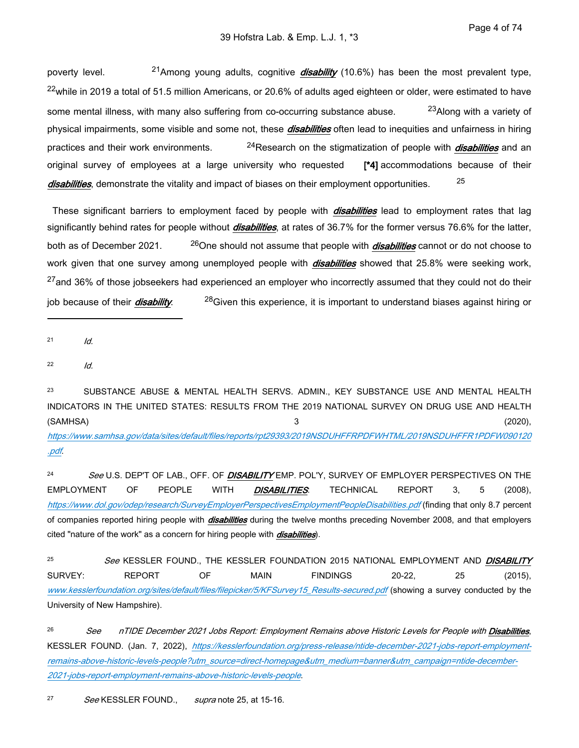poverty level. 21Among young adults, cognitive *disability* (10.6%) has been the most prevalent type,  $22$ while in 2019 a total of 51.5 million Americans, or 20.6% of adults aged eighteen or older, were estimated to have some mental illness, with many also suffering from co-occurring substance abuse. <sup>23</sup>Along with a variety of physical impairments, some visible and some not, these *disabilities* often lead to inequities and unfairness in hiring practices and their work environments. 24Research on the stigmatization of people with *disabilities* and an original survey of employees at a large university who requested **[\*4]** accommodations because of their *disabilities*, demonstrate the vitality and impact of biases on their employment opportunities. <sup>25</sup> 25

 These significant barriers to employment faced by people with *disabilities* lead to employment rates that lag significantly behind rates for people without *disabilities*, at rates of 36.7% for the former versus 76.6% for the latter, both as of December 2021. <sup>26</sup>One should not assume that people with *disabilities* cannot or do not choose to work given that one survey among unemployed people with *disabilities* showed that 25.8% were seeking work, <sup>27</sup>and 36% of those jobseekers had experienced an employer who incorrectly assumed that they could not do their job because of their *disability*. <sup>28</sup>Given this experience, it is important to understand biases against hiring or

- 21 *Id.*
- 22 *Id.*

<sup>23</sup> SUBSTANCE ABUSE & MENTAL HEALTH SERVS. ADMIN., KEY SUBSTANCE USE AND MENTAL HEALTH INDICATORS IN THE UNITED STATES: RESULTS FROM THE 2019 NATIONAL SURVEY ON DRUG USE AND HEALTH (SAMHSA) 3 (2020), *[https://www.samhsa.gov/data/sites/default/files/reports/rpt29393/2019NSDUHFFRPDFWHTML/2019NSDUHFFR1PDFW090120](https://www.samhsa.gov/data/sites/default/files/reports/rpt29393/2019NSDUHFFRPDFWHTML/2019NSDUHFFR1PDFW090120.pdf) [.pdf](https://www.samhsa.gov/data/sites/default/files/reports/rpt29393/2019NSDUHFFRPDFWHTML/2019NSDUHFFR1PDFW090120.pdf)*.

24 *See* U.S. DEP'T OF LAB., OFF. OF *DISABILITY* EMP. POL'Y, SURVEY OF EMPLOYER PERSPECTIVES ON THE EMPLOYMENT OF PEOPLE WITH *DISABILITIES*: TECHNICAL REPORT 3, 5 (2008), *<https://www.dol.gov/odep/research/SurveyEmployerPerspectivesEmploymentPeopleDisabilities.pdf>* (finding that only 8.7 percent of companies reported hiring people with *disabilities* during the twelve months preceding November 2008, and that employers cited "nature of the work" as a concern for hiring people with *disabilities*).

25 *See* KESSLER FOUND., THE KESSLER FOUNDATION 2015 NATIONAL EMPLOYMENT AND *DISABILITY* SURVEY: REPORT OF MAIN FINDINGS 20-22, 25 (2015), *[www.kesslerfoundation.org/sites/default/files/filepicker/5/KFSurvey15\\_Results-secured.pdf](http://www.kesslerfoundation.org/sites/default/files/filepicker/5/KFSurvey15_Results-secured.pdf)* (showing a survey conducted by the University of New Hampshire).

26 *See nTIDE December 2021 Jobs Report: Employment Remains above Historic Levels for People with Disabilities*, KESSLER FOUND. (Jan. 7, 2022), *[https://kesslerfoundation.org/press-release/ntide-december-2021-jobs-report-employment](https://kesslerfoundation.org/press-release/ntide-december-2021-jobs-report-employment-remains-above-historic-levels-people?utm_source=direct-homepage&utm_medium=banner&utm_campaign=ntide-december-2021-jobs-report-employment-remains-above-historic-levels-people)[remains-above-historic-levels-people?utm\\_source=direct-homepage&utm\\_medium=banner&utm\\_campaign=ntide-december-](https://kesslerfoundation.org/press-release/ntide-december-2021-jobs-report-employment-remains-above-historic-levels-people?utm_source=direct-homepage&utm_medium=banner&utm_campaign=ntide-december-2021-jobs-report-employment-remains-above-historic-levels-people)[2021-jobs-report-employment-remains-above-historic-levels-people](https://kesslerfoundation.org/press-release/ntide-december-2021-jobs-report-employment-remains-above-historic-levels-people?utm_source=direct-homepage&utm_medium=banner&utm_campaign=ntide-december-2021-jobs-report-employment-remains-above-historic-levels-people)*.

27 *See* KESSLER FOUND., *supra* note 25, at 15-16.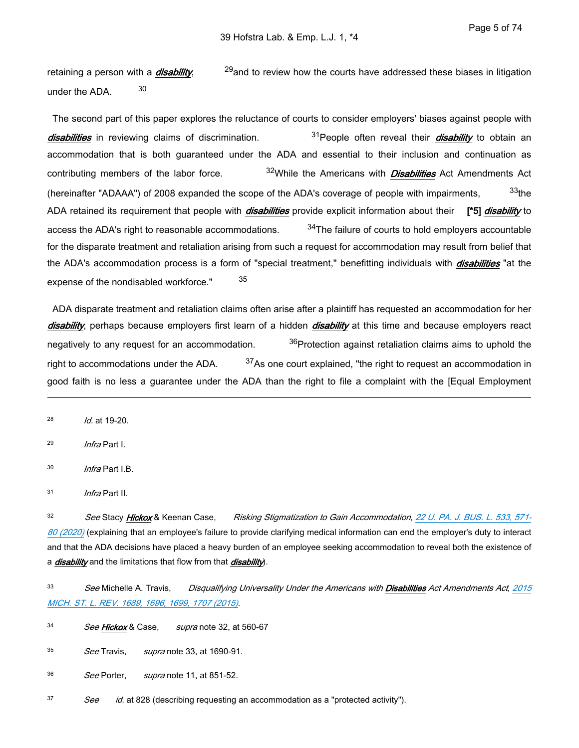retaining a person with a *disability*,  $29$ and to review how the courts have addressed these biases in litigation under the ADA. 30

 The second part of this paper explores the reluctance of courts to consider employers' biases against people with disabilities in reviewing claims of discrimination. <sup>31</sup> People often reveal their *disability* to obtain an accommodation that is both guaranteed under the ADA and essential to their inclusion and continuation as contributing members of the labor force. 32While the Americans with *Disabilities* Act Amendments Act (hereinafter "ADAAA") of 2008 expanded the scope of the ADA's coverage of people with impairments,  $33$ the ADA retained its requirement that people with *disabilities* provide explicit information about their **[\*5]** *disability* to access the ADA's right to reasonable accommodations.  $34$ The failure of courts to hold employers accountable for the disparate treatment and retaliation arising from such a request for accommodation may result from belief that the ADA's accommodation process is a form of "special treatment," benefitting individuals with *disabilities* "at the expense of the nondisabled workforce." 35

 ADA disparate treatment and retaliation claims often arise after a plaintiff has requested an accommodation for her *disability*, perhaps because employers first learn of a hidden *disability* at this time and because employers react negatively to any request for an accommodation.  $36$ Protection against retaliation claims aims to uphold the right to accommodations under the ADA.  $37$ As one court explained, "the right to request an accommodation in good faith is no less a guarantee under the ADA than the right to file a complaint with the [Equal Employment

28 *Id.* at 19-20.

29 *Infra* Part I.

30 *Infra* Part I.B.

31 *Infra* Part II.

32 *See* Stacy *Hickox* & Keenan Case, *Risking Stigmatization to Gain Accommodation*, *[22 U. PA. J. BUS. L. 533, 571-](https://advance.lexis.com/api/document?collection=analytical-materials&id=urn:contentItem:6165-BJF1-JKPJ-G41V-00000-00&context=1516831) [80 \(2020\)](https://advance.lexis.com/api/document?collection=analytical-materials&id=urn:contentItem:6165-BJF1-JKPJ-G41V-00000-00&context=1516831)* (explaining that an employee's failure to provide clarifying medical information can end the employer's duty to interact and that the ADA decisions have placed a heavy burden of an employee seeking accommodation to reveal both the existence of a *disability* and the limitations that flow from that *disability*).

33 *See* Michelle A. Travis, *Disqualifying Universality Under the Americans with Disabilities Act Amendments Act*, *[2015](https://advance.lexis.com/api/document?collection=analytical-materials&id=urn:contentItem:5JP0-JV30-00CV-V0Y2-00000-00&context=1516831)  [MICH. ST. L. REV. 1689, 1696, 1699, 1707 \(2015\)](https://advance.lexis.com/api/document?collection=analytical-materials&id=urn:contentItem:5JP0-JV30-00CV-V0Y2-00000-00&context=1516831)*.

34 *See Hickox* & Case, *supra* note 32, at 560-67

35 *See* Travis, *supra* note 33, at 1690-91.

36 *See* Porter, *supra* note 11, at 851-52.

37 *See id.* at 828 (describing requesting an accommodation as a "protected activity").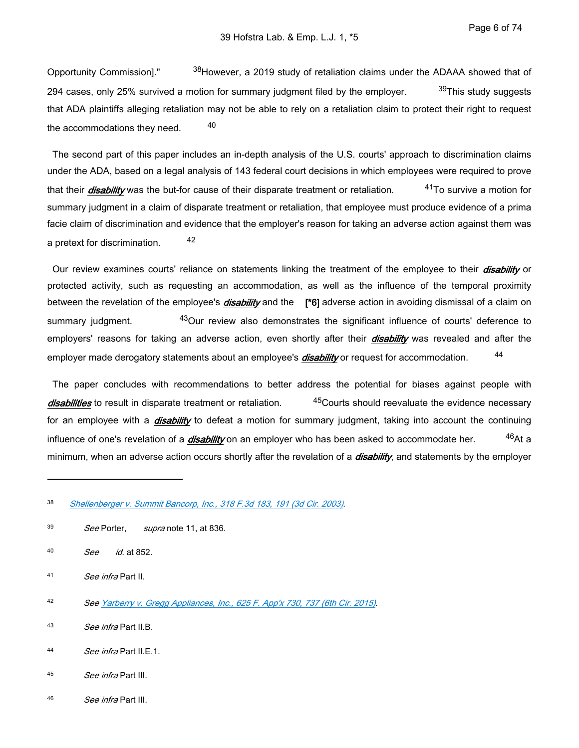Opportunity Commission]." <sup>38</sup>However, a 2019 study of retaliation claims under the ADAAA showed that of 294 cases, only 25% survived a motion for summary judgment filed by the employer.  $39$ This study suggests that ADA plaintiffs alleging retaliation may not be able to rely on a retaliation claim to protect their right to request the accommodations they need. 40

 The second part of this paper includes an in-depth analysis of the U.S. courts' approach to discrimination claims under the ADA, based on a legal analysis of 143 federal court decisions in which employees were required to prove that their *disability* was the but-for cause of their disparate treatment or retaliation. 41To survive a motion for summary judgment in a claim of disparate treatment or retaliation, that employee must produce evidence of a prima facie claim of discrimination and evidence that the employer's reason for taking an adverse action against them was a pretext for discrimination. 42

 Our review examines courts' reliance on statements linking the treatment of the employee to their *disability* or protected activity, such as requesting an accommodation, as well as the influence of the temporal proximity between the revelation of the employee's *disability* and the **[\*6]** adverse action in avoiding dismissal of a claim on summary judgment. <sup>43</sup>Our review also demonstrates the significant influence of courts' deference to employers' reasons for taking an adverse action, even shortly after their *disability* was revealed and after the employer made derogatory statements about an employee's *disability* or request for accommodation. <sup>44</sup>

 The paper concludes with recommendations to better address the potential for biases against people with disabilities to result in disparate treatment or retaliation. <sup>45</sup>Courts should reevaluate the evidence necessary for an employee with a *disability* to defeat a motion for summary judgment, taking into account the continuing influence of one's revelation of a *disability* on an employer who has been asked to accommodate her. <sup>46</sup>At a minimum, when an adverse action occurs shortly after the revelation of a *disability*, and statements by the employer

- 39 *See* Porter, *supra* note 11, at 836.
- 40 *See id.* at 852.
- 41 *See infra* Part II.
- 42 *See [Yarberry v. Gregg Appliances, Inc., 625 F. App'x 730, 737 \(6th Cir. 2015\)](https://advance.lexis.com/api/document?collection=cases&id=urn:contentItem:5GV5-NPG1-F04K-P002-00000-00&context=1516831)*.
- 43 *See infra* Part II.B.
- 44 *See infra* Part II.E.1.
- 45 *See infra* Part III.
- 46 *See infra* Part III.

<sup>38</sup>  *[Shellenberger v. Summit Bancorp, Inc., 318 F.3d 183, 191 \(3d Cir. 2003\)](https://advance.lexis.com/api/document?collection=cases&id=urn:contentItem:47T2-42Y0-0038-X0SN-00000-00&context=1516831)*.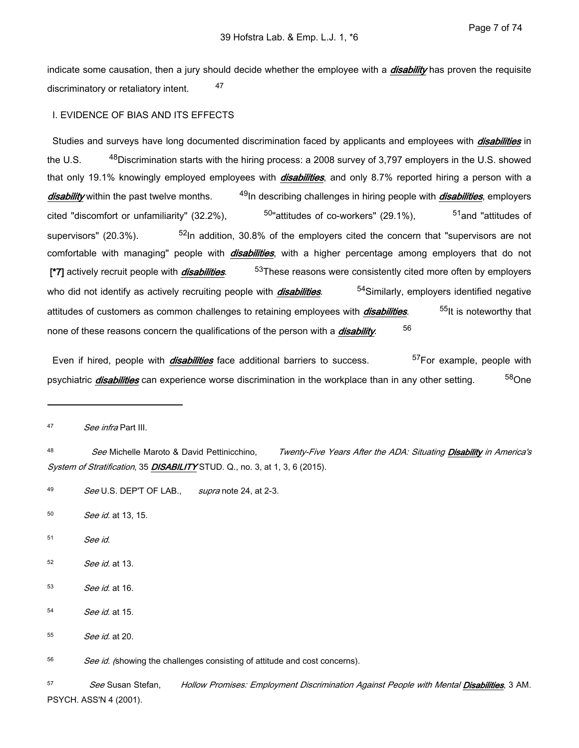indicate some causation, then a jury should decide whether the employee with a *disability* has proven the requisite discriminatory or retaliatory intent. 47

#### I. EVIDENCE OF BIAS AND ITS EFFECTS

 Studies and surveys have long documented discrimination faced by applicants and employees with *disabilities* in the U.S. <sup>48</sup>Discrimination starts with the hiring process: a 2008 survey of 3,797 employers in the U.S. showed that only 19.1% knowingly employed employees with *disabilities*, and only 8.7% reported hiring a person with a disability within the past twelve months. <sup>49</sup>In describing challenges in hiring people with *disabilities*, employers cited "discomfort or unfamiliarity" (32.2%),  $50"$  attitudes of co-workers" (29.1%),  $51'$  and "attitudes of supervisors" (20.3%).  $5^2$ In addition, 30.8% of the employers cited the concern that "supervisors are not comfortable with managing" people with *disabilities*, with a higher percentage among employers that do not  **[\*7]** actively recruit people with *disabilities*. <sup>53</sup>These reasons were consistently cited more often by employers who did not identify as actively recruiting people with *disabilities*. <sup>54</sup>Similarly, employers identified negative attitudes of customers as common challenges to retaining employees with *disabilities*. <sup>55</sup>It is noteworthy that none of these reasons concern the qualifications of the person with a *disability*. 56

 Even if hired, people with *disabilities* face additional barriers to success. 57For example, people with psychiatric *disabilities* can experience worse discrimination in the workplace than in any other setting. <sup>58</sup>One

- 52 *See id.* at 13.
- 53 *See id.* at 16.
- 54 *See id.* at 15.
- 55 *See id.* at 20.

56 *See id. (*showing the challenges consisting of attitude and cost concerns).

57 *See* Susan Stefan, *Hollow Promises: Employment Discrimination Against People with Mental Disabilities*, 3 AM. PSYCH. ASS'N 4 (2001).

<sup>47</sup>  *See infra* Part III.

<sup>48</sup>  *See* Michelle Maroto & David Pettinicchino, *Twenty-Five Years After the ADA: Situating Disability in America's System of Stratification*, 35 *DISABILITY* STUD. Q., no. 3, at 1, 3, 6 (2015).

<sup>49</sup>  *See* U.S. DEP'T OF LAB., *supra* note 24, at 2-3.

<sup>50</sup>  *See id.* at 13, 15.

<sup>51</sup>  *See id*.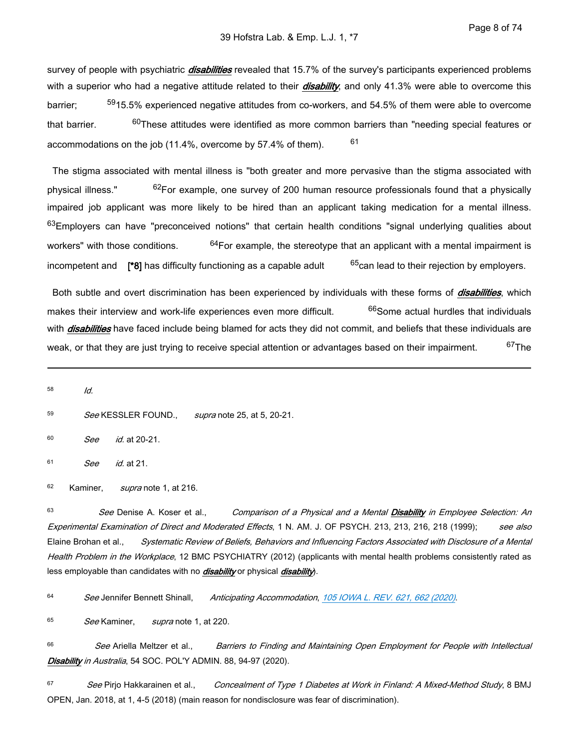survey of people with psychiatric *disabilities* revealed that 15.7% of the survey's participants experienced problems with a superior who had a negative attitude related to their *disability*, and only 41.3% were able to overcome this barrier; <sup>59</sup>15.5% experienced negative attitudes from co-workers, and 54.5% of them were able to overcome that barrier. <sup>60</sup>These attitudes were identified as more common barriers than "needing special features or accommodations on the job (11.4%, overcome by 57.4% of them). 61

 The stigma associated with mental illness is "both greater and more pervasive than the stigma associated with physical illness." <sup>62</sup>For example, one survey of 200 human resource professionals found that a physically impaired job applicant was more likely to be hired than an applicant taking medication for a mental illness. 63Employers can have "preconceived notions" that certain health conditions "signal underlying qualities about workers" with those conditions.  $64$ For example, the stereotype that an applicant with a mental impairment is incompetent and **[\*8]** has difficulty functioning as a capable adult <sup>65</sup>can lead to their rejection by employers.

 Both subtle and overt discrimination has been experienced by individuals with these forms of *disabilities*, which makes their interview and work-life experiences even more difficult. <sup>66</sup>Some actual hurdles that individuals with *disabilities* have faced include being blamed for acts they did not commit, and beliefs that these individuals are weak, or that they are just trying to receive special attention or advantages based on their impairment. <sup>67</sup>The

| 58 | ld.        |                      |                                                 |
|----|------------|----------------------|-------------------------------------------------|
| 59 |            |                      | See KESSLER FOUND., supra note 25, at 5, 20-21. |
| 60 | <i>See</i> | <i>id.</i> at 20-21. |                                                 |
| 61 | See        | <i>id.</i> at 21.    |                                                 |
|    |            |                      |                                                 |

<sup>62</sup>Kaminer, *supra* note 1, at 216.

63 *See* Denise A. Koser et al., *Comparison of a Physical and a Mental Disability in Employee Selection: An Experimental Examination of Direct and Moderated Effects*, 1 N. AM. J. OF PSYCH. 213, 213, 216, 218 (1999); *see also* Elaine Brohan et al., *Systematic Review of Beliefs, Behaviors and Influencing Factors Associated with Disclosure of a Mental Health Problem in the Workplace*, 12 BMC PSYCHIATRY (2012) (applicants with mental health problems consistently rated as less employable than candidates with no *disability* or physical *disability*).

64 *See* Jennifer Bennett Shinall, *Anticipating Accommodation*, *[105 IOWA L. REV. 621, 662 \(2020\)](https://advance.lexis.com/api/document?collection=analytical-materials&id=urn:contentItem:5Y85-YKC1-JC0G-6076-00000-00&context=1516831)*.

65 *See* Kaminer, *supra* note 1, at 220.

66 *See* Ariella Meltzer et al., *Barriers to Finding and Maintaining Open Employment for People with Intellectual Disability in Australia*, 54 SOC. POL'Y ADMIN. 88, 94-97 (2020).

67 *See* Pirjo Hakkarainen et al., *Concealment of Type 1 Diabetes at Work in Finland: A Mixed-Method Study*, 8 BMJ OPEN, Jan. 2018, at 1, 4-5 (2018) (main reason for nondisclosure was fear of discrimination).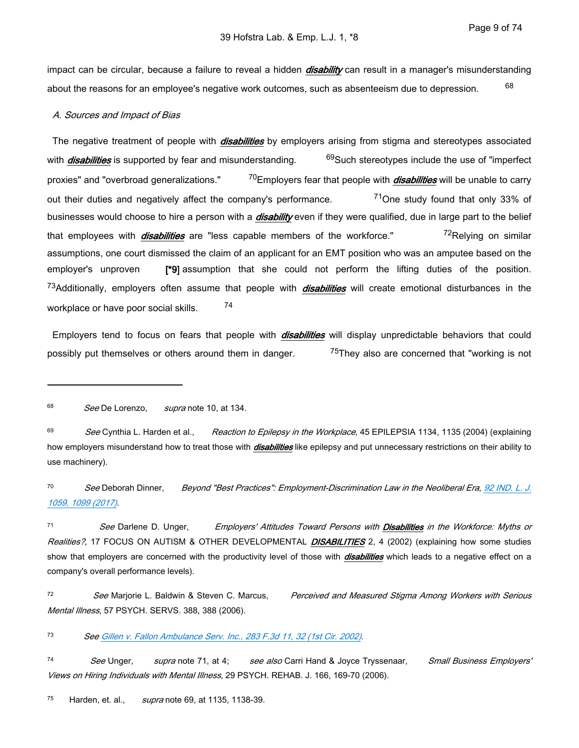impact can be circular, because a failure to reveal a hidden *disability* can result in a manager's misunderstanding about the reasons for an employee's negative work outcomes, such as absenteeism due to depression. 68

#### *A. Sources and Impact of Bias*

 The negative treatment of people with *disabilities* by employers arising from stigma and stereotypes associated with *disabilities* is supported by fear and misunderstanding. <sup>69</sup>Such stereotypes include the use of "imperfect proxies" and "overbroad generalizations." 70Employers fear that people with *disabilities* will be unable to carry out their duties and negatively affect the company's performance.  $71$ One study found that only 33% of businesses would choose to hire a person with a *disability* even if they were qualified, due in large part to the belief that employees with *disabilities* are "less capable members of the workforce." <sup>72</sup>Relying on similar assumptions, one court dismissed the claim of an applicant for an EMT position who was an amputee based on the employer's unproven **[\*9]** assumption that she could not perform the lifting duties of the position. <sup>73</sup>Additionally, employers often assume that people with *disabilities* will create emotional disturbances in the workplace or have poor social skills.  $74$ 

 Employers tend to focus on fears that people with *disabilities* will display unpredictable behaviors that could possibly put themselves or others around them in danger. <sup>75</sup>They also are concerned that "working is not

68 *See* De Lorenzo, *supra* note 10, at 134.

69 *See* Cynthia L. Harden et al., *Reaction to Epilepsy in the Workplace*, 45 EPILEPSIA 1134, 1135 (2004) (explaining how employers misunderstand how to treat those with *disabilities* like epilepsy and put unnecessary restrictions on their ability to use machinery).

70 *See* Deborah Dinner, *Beyond "Best Practices": Employment-Discrimination Law in the Neoliberal Era*, *[92 IND. L. J.](https://advance.lexis.com/api/document?collection=analytical-materials&id=urn:contentItem:5P8S-MST0-00CW-G22K-00000-00&context=1516831)  [1059, 1099 \(2017\)](https://advance.lexis.com/api/document?collection=analytical-materials&id=urn:contentItem:5P8S-MST0-00CW-G22K-00000-00&context=1516831)*.

71 *See* Darlene D. Unger, *Employers' Attitudes Toward Persons with Disabilities in the Workforce: Myths or Realities?*, 17 FOCUS ON AUTISM & OTHER DEVELOPMENTAL *DISABILITIES* 2, 4 (2002) (explaining how some studies show that employers are concerned with the productivity level of those with *disabilities* which leads to a negative effect on a company's overall performance levels).

72 *See* Marjorie L. Baldwin & Steven C. Marcus, *Perceived and Measured Stigma Among Workers with Serious Mental Illness*, 57 PSYCH. SERVS. 388, 388 (2006).

#### 73 *See [Gillen v. Fallon Ambulance Serv. Inc., 283 F.3d 11, 32 \(1st Cir. 2002\)](https://advance.lexis.com/api/document?collection=cases&id=urn:contentItem:45CX-7TT0-0038-X1GM-00000-00&context=1516831)*.

74 *See* Unger, *supra* note 71, at 4; *see also* Carri Hand & Joyce Tryssenaar, *Small Business Employers' Views on Hiring Individuals with Mental Illness*, 29 PSYCH. REHAB. J. 166, 169-70 (2006).

<sup>75</sup>Harden, et. al., *supra* note 69, at 1135, 1138-39.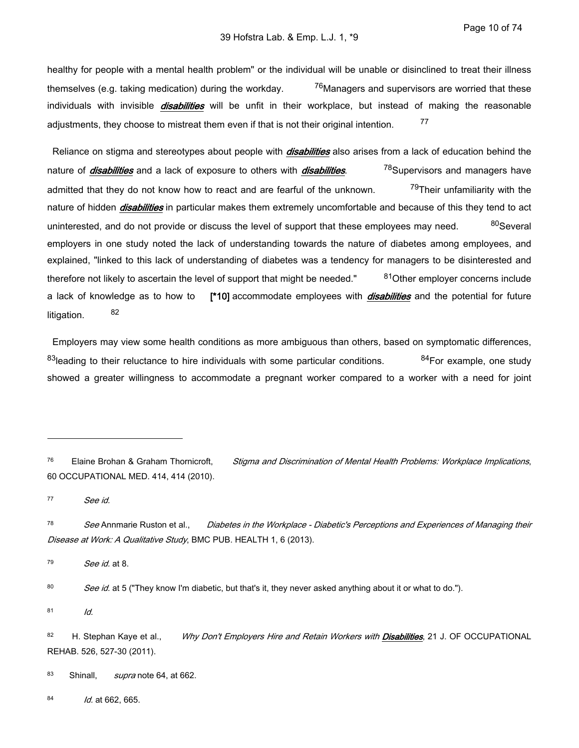healthy for people with a mental health problem" or the individual will be unable or disinclined to treat their illness themselves (e.g. taking medication) during the workday.  $76$ Managers and supervisors are worried that these individuals with invisible *disabilities* will be unfit in their workplace, but instead of making the reasonable adjustments, they choose to mistreat them even if that is not their original intention. 77

 Reliance on stigma and stereotypes about people with *disabilities* also arises from a lack of education behind the nature of *disabilities* and a lack of exposure to others with *disabilities*. 78Supervisors and managers have admitted that they do not know how to react and are fearful of the unknown. <sup>79</sup>Their unfamiliarity with the nature of hidden *disabilities* in particular makes them extremely uncomfortable and because of this they tend to act uninterested, and do not provide or discuss the level of support that these employees may need.  $80$ Several employers in one study noted the lack of understanding towards the nature of diabetes among employees, and explained, "linked to this lack of understanding of diabetes was a tendency for managers to be disinterested and therefore not likely to ascertain the level of support that might be needed."  $81$ Other employer concerns include a lack of knowledge as to how to **[\*10]** accommodate employees with *disabilities* and the potential for future litigation. 82

 Employers may view some health conditions as more ambiguous than others, based on symptomatic differences,  $83$ leading to their reluctance to hire individuals with some particular conditions.  $84$ For example, one study showed a greater willingness to accommodate a pregnant worker compared to a worker with a need for joint

<sup>76</sup>Elaine Brohan & Graham Thornicroft, *Stigma and Discrimination of Mental Health Problems: Workplace Implications*, 60 OCCUPATIONAL MED. 414, 414 (2010).

77 *See id.*

78 *See* Annmarie Ruston et al., *Diabetes in the Workplace - Diabetic's Perceptions and Experiences of Managing their Disease at Work: A Qualitative Study*, BMC PUB. HEALTH 1, 6 (2013).

79 *See id.* at 8.

80 *See id.* at 5 ("They know I'm diabetic, but that's it, they never asked anything about it or what to do.").

81 *Id.*

82 H. Stephan Kaye et al., *Why Don't Employers Hire and Retain Workers with Disabilities, 21 J. OF OCCUPATIONAL* REHAB. 526, 527-30 (2011).

83 Shinall, *supra* note 64, at 662.

84 *Id.* at 662, 665.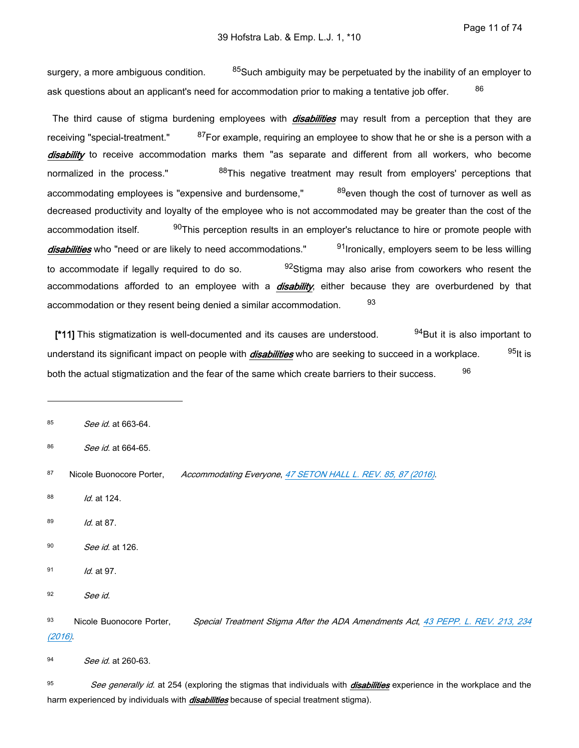surgery, a more ambiguous condition. <sup>85</sup>Such ambiguity may be perpetuated by the inability of an employer to ask questions about an applicant's need for accommodation prior to making a tentative job offer. 86

 The third cause of stigma burdening employees with *disabilities* may result from a perception that they are receiving "special-treatment." <sup>87</sup>For example, requiring an employee to show that he or she is a person with a *disability* to receive accommodation marks them "as separate and different from all workers, who become normalized in the process." <sup>88</sup>This negative treatment may result from employers' perceptions that accommodating employees is "expensive and burdensome,"  $89$  even though the cost of turnover as well as decreased productivity and loyalty of the employee who is not accommodated may be greater than the cost of the accommodation itself. <sup>90</sup>This perception results in an employer's reluctance to hire or promote people with disabilities who "need or are likely to need accommodations." <sup>91</sup>Ironically, employers seem to be less willing to accommodate if legally required to do so.  $^{92}$ Stigma may also arise from coworkers who resent the accommodations afforded to an employee with a *disability*, either because they are overburdened by that accommodation or they resent being denied a similar accommodation. 93

**[\*11]** This stigmatization is well-documented and its causes are understood. <sup>94</sup>But it is also important to understand its significant impact on people with *disabilities* who are seeking to succeed in a workplace. <sup>95</sup>It is both the actual stigmatization and the fear of the same which create barriers to their success. <sup>96</sup>

85 *See id.* at 663-64.

- 87 Nicole Buonocore Porter, *Accommodating Everyone*, [47 SETON HALL L. REV. 85, 87 \(2016\)](https://advance.lexis.com/api/document?collection=analytical-materials&id=urn:contentItem:5M73-FG80-00CT-T10R-00000-00&context=1516831).
- 88 *Id.* at 124.
- 89 *Id.* at 87.
- 90 *See id.* at 126.
- **91** *Id*. at 97.
- 92 *See id.*

94 *See id.* at 260-63.

95 *See generally id.* at 254 (exploring the stigmas that individuals with *disabilities* experience in the workplace and the harm experienced by individuals with *disabilities* because of special treatment stigma).

<sup>86</sup>  *See id.* at 664-65.

<sup>93</sup> Nicole Buonocore Porter, *Special Treatment Stigma After the ADA Amendments Act*, 43 PEPP. L. REV. 213, 234 *[\(2016\)](https://advance.lexis.com/api/document?collection=analytical-materials&id=urn:contentItem:5J8F-TR50-00CV-71HD-00000-00&context=1516831)*.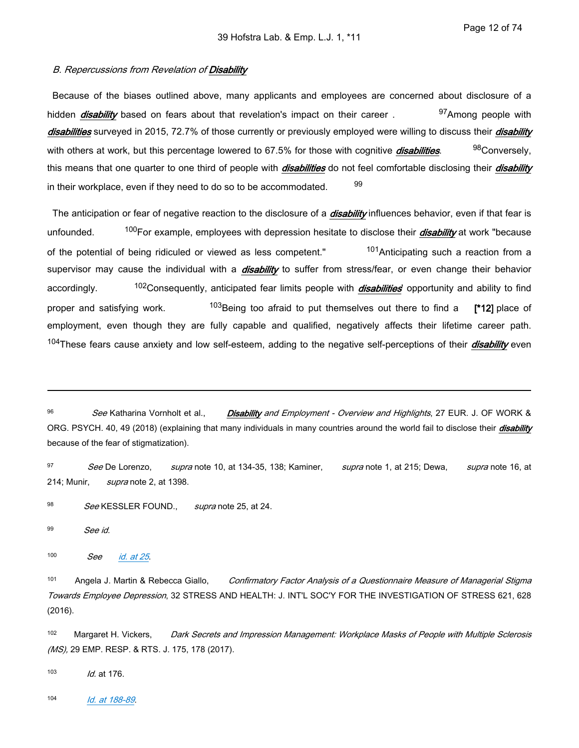#### *B. Repercussions from Revelation of Disability*

 Because of the biases outlined above, many applicants and employees are concerned about disclosure of a hidden *disability* based on fears about that revelation's impact on their career . 97Among people with *disabilities* surveyed in 2015, 72.7% of those currently or previously employed were willing to discuss their *disability* with others at work, but this percentage lowered to 67.5% for those with cognitive *disabilities*. 98<sub>Conversely.</sub> this means that one quarter to one third of people with *disabilities* do not feel comfortable disclosing their *disability* in their workplace, even if they need to do so to be accommodated.  $99$ 

 The anticipation or fear of negative reaction to the disclosure of a *disability* influences behavior, even if that fear is unfounded. 100For example, employees with depression hesitate to disclose their *disability* at work "because of the potential of being ridiculed or viewed as less competent." <sup>101</sup>Anticipating such a reaction from a supervisor may cause the individual with a *disability* to suffer from stress/fear, or even change their behavior accordingly. 102Consequently, anticipated fear limits people with *disabilities*' opportunity and ability to find proper and satisfying work. 103Being too afraid to put themselves out there to find a **[\*12]** place of employment, even though they are fully capable and qualified, negatively affects their lifetime career path. <sup>104</sup>These fears cause anxiety and low self-esteem, adding to the negative self-perceptions of their *disability* even

96 *See* Katharina Vornholt et al., *Disability and Employment - Overview and Highlights*, 27 EUR. J. OF WORK & ORG. PSYCH. 40, 49 (2018) (explaining that many individuals in many countries around the world fail to disclose their *disability* because of the fear of stigmatization).

97 *See* De Lorenzo, *supra* note 10, at 134-35, 138; Kaminer, *supra* note 1, at 215; Dewa, *supra* note 16, at 214; Munir, *supra* note 2, at 1398.

98 *See* KESSLER FOUND., *supra* note 25, at 24.

99 *See id.*

100 *See [id. at 25](https://advance.lexis.com/api/document?collection=cases&id=urn:contentItem:45CX-7TT0-0038-X1GM-00000-00&context=1516831)*.

<sup>101</sup>Angela J. Martin & Rebecca Giallo, *Confirmatory Factor Analysis of a Questionnaire Measure of Managerial Stigma Towards Employee Depression*, 32 STRESS AND HEALTH: J. INT'L SOC'Y FOR THE INVESTIGATION OF STRESS 621, 628 (2016).

102 Margaret H. Vickers, *Dark Secrets and Impression Management: Workplace Masks of People with Multiple Sclerosis (MS),* 29 EMP. RESP. & RTS. J. 175, 178 (2017).

103 *Id.* at 176.

104 *[Id. at 188-89](https://advance.lexis.com/api/document?collection=cases&id=urn:contentItem:47T2-42Y0-0038-X0SN-00000-00&context=1516831)*.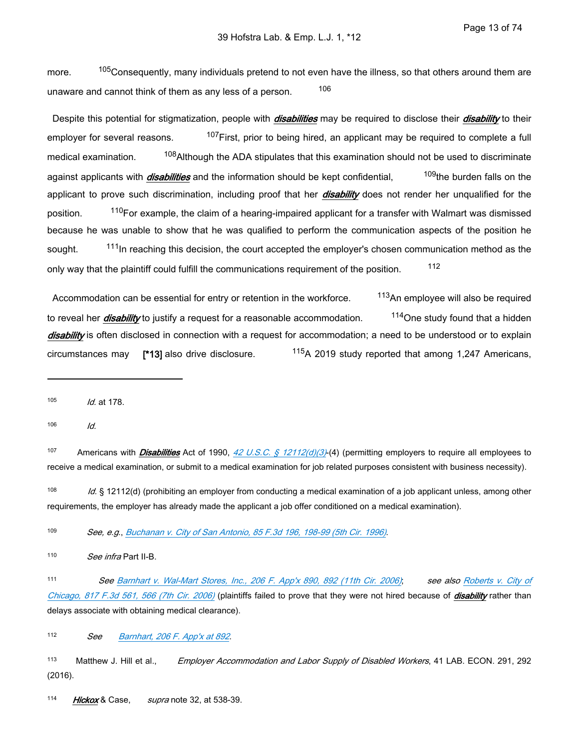more. <sup>105</sup>Consequently, many individuals pretend to not even have the illness, so that others around them are unaware and cannot think of them as any less of a person.  $106$ 

 Despite this potential for stigmatization, people with *disabilities* may be required to disclose their *disability* to their employer for several reasons. <sup>107</sup>First, prior to being hired, an applicant may be required to complete a full medical examination. <sup>108</sup>Although the ADA stipulates that this examination should not be used to discriminate against applicants with *disabilities* and the information should be kept confidential, <sup>109</sup>the burden falls on the applicant to prove such discrimination, including proof that her *disability* does not render her unqualified for the position. <sup>110</sup>For example, the claim of a hearing-impaired applicant for a transfer with Walmart was dismissed because he was unable to show that he was qualified to perform the communication aspects of the position he sought. <sup>111</sup>In reaching this decision, the court accepted the employer's chosen communication method as the only way that the plaintiff could fulfill the communications requirement of the position. 112

Accommodation can be essential for entry or retention in the workforce. <sup>113</sup>An employee will also be required to reveal her *disability* to justify a request for a reasonable accommodation. <sup>114</sup>One study found that a hidden *disability* is often disclosed in connection with a request for accommodation; a need to be understood or to explain circumstances may **[\*13]** also drive disclosure. <sup>115</sup>A 2019 study reported that among 1,247 Americans,

105 *Id.* at 178.

106 *Id.*

<sup>107</sup>Americans with *Disabilities* Act of 1990, *[42 U.S.C. § 12112\(d\)\(3\)](https://advance.lexis.com/api/document?collection=statutes-legislation&id=urn:contentItem:8SHT-0732-D6RV-H0VV-00000-00&context=1516831)*-(4) (permitting employers to require all employees to receive a medical examination, or submit to a medical examination for job related purposes consistent with business necessity).

108 *Id.* § 12112(d) (prohibiting an employer from conducting a medical examination of a job applicant unless, among other requirements, the employer has already made the applicant a job offer conditioned on a medical examination).

109 *See, e.g*., *[Buchanan v. City of San Antonio, 85 F.3d 196, 198-99 \(5th Cir. 1996\)](https://advance.lexis.com/api/document?collection=cases&id=urn:contentItem:3S4X-22Y0-006F-M3HV-00000-00&context=1516831)*.

110 *See infra* Part II-B.

111 *See [Barnhart v. Wal-Mart Stores, Inc., 206 F. App'x 890, 892 \(11th Cir. 2006\)](https://advance.lexis.com/api/document?collection=cases&id=urn:contentItem:4M88-0W30-0038-X3PW-00000-00&context=1516831)*; *see also [Roberts v. City of](https://advance.lexis.com/api/document?collection=cases&id=urn:contentItem:5JDY-DR71-F04K-R119-00000-00&context=1516831)  [Chicago, 817 F.3d 561, 566 \(7th Cir. 2006\)](https://advance.lexis.com/api/document?collection=cases&id=urn:contentItem:5JDY-DR71-F04K-R119-00000-00&context=1516831)* (plaintiffs failed to prove that they were not hired because of *disability* rather than delays associate with obtaining medical clearance).

112 *See [Barnhart, 206 F. App'x at 892](https://advance.lexis.com/api/document?collection=cases&id=urn:contentItem:4M88-0W30-0038-X3PW-00000-00&context=1516831)*.

<sup>113</sup>Matthew J. Hill et al., *Employer Accommodation and Labor Supply of Disabled Workers*, 41 LAB. ECON. 291, 292 (2016).

114 *Hickox* & Case, *supra* note 32, at 538-39.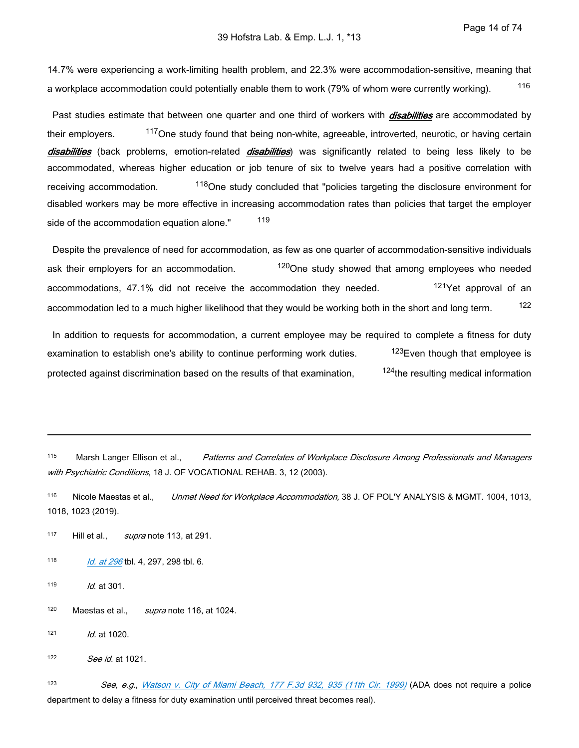14.7% were experiencing a work-limiting health problem, and 22.3% were accommodation-sensitive, meaning that a workplace accommodation could potentially enable them to work (79% of whom were currently working). <sup>116</sup>

 Past studies estimate that between one quarter and one third of workers with *disabilities* are accommodated by their employers. <sup>117</sup>One study found that being non-white, agreeable, introverted, neurotic, or having certain *disabilities* (back problems, emotion-related *disabilities*) was significantly related to being less likely to be accommodated, whereas higher education or job tenure of six to twelve years had a positive correlation with receiving accommodation. <sup>118</sup>One study concluded that "policies targeting the disclosure environment for disabled workers may be more effective in increasing accommodation rates than policies that target the employer side of the accommodation equation alone." 119

 Despite the prevalence of need for accommodation, as few as one quarter of accommodation-sensitive individuals ask their employers for an accommodation.  $120$ One study showed that among employees who needed accommodations, 47.1% did not receive the accommodation they needed.  $121$ Yet approval of an accommodation led to a much higher likelihood that they would be working both in the short and long term. <sup>122</sup>

 In addition to requests for accommodation, a current employee may be required to complete a fitness for duty examination to establish one's ability to continue performing work duties. <sup>123</sup>Even though that employee is protected against discrimination based on the results of that examination, <sup>124</sup>the resulting medical information

<sup>115</sup>Marsh Langer Ellison et al., *Patterns and Correlates of Workplace Disclosure Among Professionals and Managers with Psychiatric Conditions*, 18 J. OF VOCATIONAL REHAB. 3, 12 (2003).

<sup>116</sup> Nicole Maestas et al., *Unmet Need for Workplace Accommodation*, 38 J. OF POL'Y ANALYSIS & MGMT. 1004, 1013, 1018, 1023 (2019).

- 117 Hill et al., *supra* note 113, at 291.
- 118 *[Id. at 296](https://advance.lexis.com/api/document?collection=cases&id=urn:contentItem:3S4X-22Y0-006F-M3HV-00000-00&context=1516831)* tbl. 4, 297, 298 tbl. 6.
- 119 *Id*. at 301.
- <sup>120</sup>Maestas et al., *supra* note 116, at 1024.
- 121 *Id.* at 1020.
- 122 *See id.* at 1021.

123 *See, e.g.*, *[Watson v. City of Miami Beach, 177 F.3d 932, 935 \(11th Cir. 1999\)](https://advance.lexis.com/api/document?collection=cases&id=urn:contentItem:3WP2-T850-0038-X0HK-00000-00&context=1516831)* (ADA does not require a police department to delay a fitness for duty examination until perceived threat becomes real).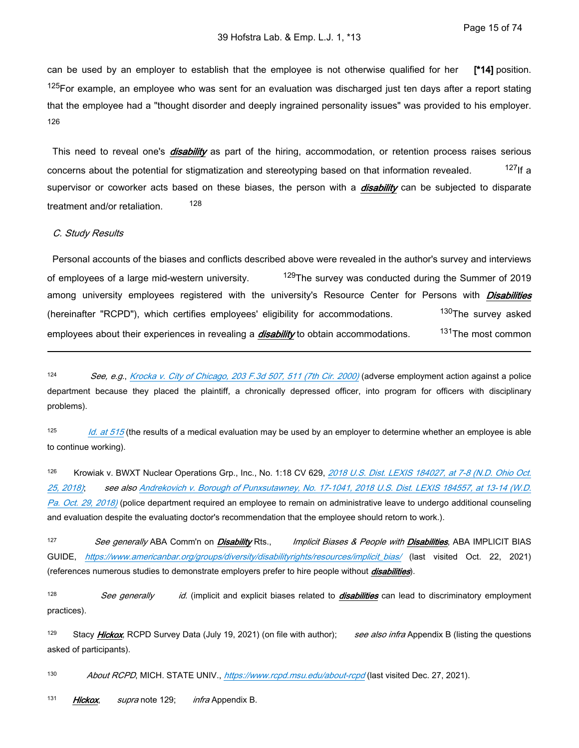can be used by an employer to establish that the employee is not otherwise qualified for her **[\*14]** position. 125For example, an employee who was sent for an evaluation was discharged just ten days after a report stating that the employee had a "thought disorder and deeply ingrained personality issues" was provided to his employer. 126

 This need to reveal one's *disability* as part of the hiring, accommodation, or retention process raises serious concerns about the potential for stigmatization and stereotyping based on that information revealed. <sup>127</sup>If a supervisor or coworker acts based on these biases, the person with a *disability* can be subjected to disparate treatment and/or retaliation. 128

#### *C. Study Results*

 Personal accounts of the biases and conflicts described above were revealed in the author's survey and interviews of employees of a large mid-western university. <sup>129</sup>The survey was conducted during the Summer of 2019 among university employees registered with the university's Resource Center for Persons with *Disabilities* (hereinafter "RCPD"), which certifies employees' eligibility for accommodations. 130The survey asked employees about their experiences in revealing a *disability* to obtain accommodations. <sup>131</sup>The most common

124 *See, e.g.*, *[Krocka v. City of Chicago, 203 F.3d 507, 511 \(7th Cir. 2000\)](https://advance.lexis.com/api/document?collection=cases&id=urn:contentItem:3YHT-39C0-0038-X0GM-00000-00&context=1516831)* (adverse employment action against a police department because they placed the plaintiff, a chronically depressed officer, into program for officers with disciplinary problems).

125 *[Id. at 515](https://advance.lexis.com/api/document?collection=cases&id=urn:contentItem:3YHT-39C0-0038-X0GM-00000-00&context=1516831)* (the results of a medical evaluation may be used by an employer to determine whether an employee is able to continue working).

126 Krowiak v. BWXT Nuclear Operations Grp., Inc., No. 1:18 CV 629, 2018 U.S. Dist. LEXIS 184027, at 7-8 (N.D. Ohio Oct. *[25, 2018\)](https://advance.lexis.com/api/document?collection=cases&id=urn:contentItem:5TK9-VY61-FGCG-S34T-00000-00&context=1516831)*; *see also [Andrekovich v. Borough of Punxsutawney, No. 17-1041, 2018 U.S. Dist. LEXIS 184557, at 13-14 \(W.D.](https://advance.lexis.com/api/document?collection=cases&id=urn:contentItem:5TKW-2VH1-JFKM-600P-00000-00&context=1516831)  [Pa. Oct. 29, 2018\)](https://advance.lexis.com/api/document?collection=cases&id=urn:contentItem:5TKW-2VH1-JFKM-600P-00000-00&context=1516831)* (police department required an employee to remain on administrative leave to undergo additional counseling and evaluation despite the evaluating doctor's recommendation that the employee should retorn to work.).

127 *See generally* ABA Comm'n on *Disability* Rts., *Implicit Biases & People with Disabilities*, ABA IMPLICIT BIAS GUIDE, *[https://www.americanbar.org/groups/diversity/disabilityrights/resources/implicit\\_bias/](https://www.americanbar.org/groups/diversity/disabilityrights/resources/implicit_bias/)* (last visited Oct. 22, 2021) (references numerous studies to demonstrate employers prefer to hire people without *disabilities*).

128 *See generally id.* (implicit and explicit biases related to *disabilities* can lead to discriminatory employment practices).

<sup>129</sup>Stacy *Hickox*, RCPD Survey Data (July 19, 2021) (on file with author); *see also infra* Appendix B (listing the questions asked of participants).

130 *About RCPD*, MICH. STATE UNIV., *<https://www.rcpd.msu.edu/about-rcpd>* (last visited Dec. 27, 2021).

131 *Hickox*, *supra* note 129; *infra* Appendix B.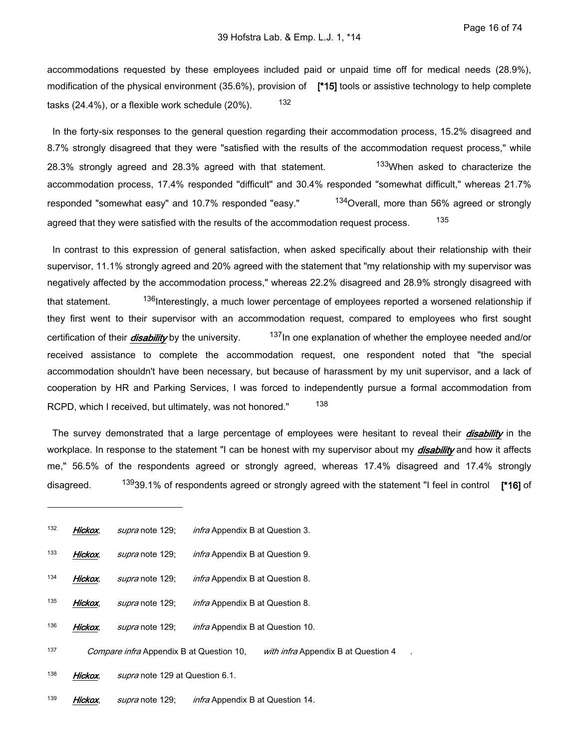accommodations requested by these employees included paid or unpaid time off for medical needs (28.9%), modification of the physical environment (35.6%), provision of **[\*15]** tools or assistive technology to help complete tasks  $(24.4\%)$ , or a flexible work schedule  $(20\%)$ . 132

 In the forty-six responses to the general question regarding their accommodation process, 15.2% disagreed and 8.7% strongly disagreed that they were "satisfied with the results of the accommodation request process," while 28.3% strongly agreed and 28.3% agreed with that statement.  $133$ When asked to characterize the accommodation process, 17.4% responded "difficult" and 30.4% responded "somewhat difficult," whereas 21.7% responded "somewhat easy" and 10.7% responded "easy." <sup>134</sup>Overall, more than 56% agreed or strongly agreed that they were satisfied with the results of the accommodation request process. 135

 In contrast to this expression of general satisfaction, when asked specifically about their relationship with their supervisor, 11.1% strongly agreed and 20% agreed with the statement that "my relationship with my supervisor was negatively affected by the accommodation process," whereas 22.2% disagreed and 28.9% strongly disagreed with that statement. <sup>136</sup>Interestingly, a much lower percentage of employees reported a worsened relationship if they first went to their supervisor with an accommodation request, compared to employees who first sought certification of their *disability* by the university. <sup>137</sup>In one explanation of whether the employee needed and/or received assistance to complete the accommodation request, one respondent noted that "the special accommodation shouldn't have been necessary, but because of harassment by my unit supervisor, and a lack of cooperation by HR and Parking Services, I was forced to independently pursue a formal accommodation from RCPD, which I received, but ultimately, was not honored." 138

 The survey demonstrated that a large percentage of employees were hesitant to reveal their *disability* in the workplace. In response to the statement "I can be honest with my supervisor about my *disability* and how it affects me," 56.5% of the respondents agreed or strongly agreed, whereas 17.4% disagreed and 17.4% strongly disagreed. 13939.1% of respondents agreed or strongly agreed with the statement "I feel in control **[\*16]** of

| 132 | Hickox. | <i>supra</i> note 129;                          | <i>infra</i> Appendix B at Question 3.  |  |
|-----|---------|-------------------------------------------------|-----------------------------------------|--|
| 133 | Hickox. | <i>supra</i> note 129;                          | <i>infra</i> Appendix B at Question 9.  |  |
| 134 | Hickox. | <i>supra</i> note 129;                          | <i>infra</i> Appendix B at Question 8.  |  |
| 135 | Hickox. | supra note 129;                                 | <i>infra</i> Appendix B at Question 8.  |  |
| 136 | Hickox, | <i>supra</i> note 129;                          | <i>infra</i> Appendix B at Question 10. |  |
| 137 |         | <i>Compare infra</i> Appendix B at Question 10, | with infra Appendix B at Question 4     |  |
| 138 | Hickox. | <i>supra</i> note 129 at Question 6.1.          |                                         |  |
| 139 | Hickox. | <i>supra</i> note 129;                          | infra Appendix B at Question 14.        |  |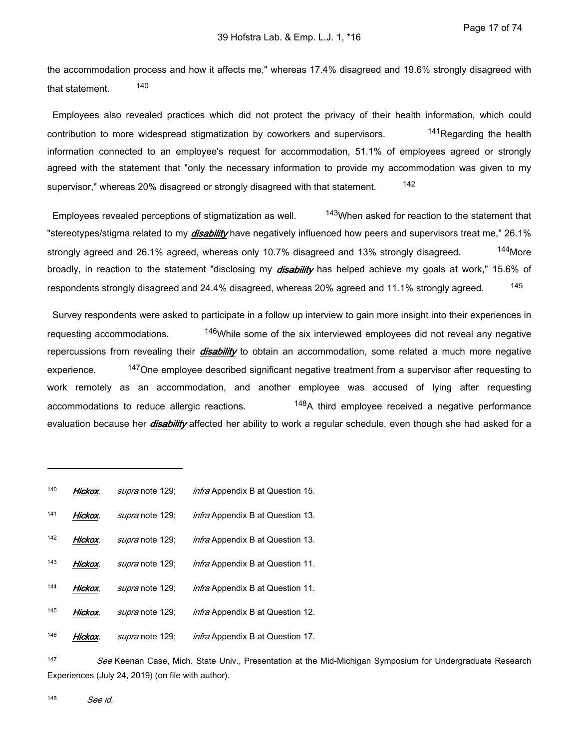the accommodation process and how it affects me," whereas 17.4% disagreed and 19.6% strongly disagreed with that statement. 140

 Employees also revealed practices which did not protect the privacy of their health information, which could contribution to more widespread stigmatization by coworkers and supervisors. <sup>141</sup>Regarding the health information connected to an employee's request for accommodation, 51.1% of employees agreed or strongly agreed with the statement that "only the necessary information to provide my accommodation was given to my supervisor," whereas 20% disagreed or strongly disagreed with that statement. 142

Employees revealed perceptions of stigmatization as well. <sup>143</sup>When asked for reaction to the statement that "stereotypes/stigma related to my *disability* have negatively influenced how peers and supervisors treat me," 26.1% strongly agreed and 26.1% agreed, whereas only 10.7% disagreed and 13% strongly disagreed. <sup>144</sup>More broadly, in reaction to the statement "disclosing my *disability* has helped achieve my goals at work," 15.6% of respondents strongly disagreed and 24.4% disagreed, whereas 20% agreed and 11.1% strongly agreed. 145

 Survey respondents were asked to participate in a follow up interview to gain more insight into their experiences in requesting accommodations. <sup>146</sup>While some of the six interviewed employees did not reveal any negative repercussions from revealing their *disability* to obtain an accommodation, some related a much more negative experience. <sup>147</sup>One employee described significant negative treatment from a supervisor after requesting to work remotely as an accommodation, and another employee was accused of lying after requesting accommodations to reduce allergic reactions. <sup>148</sup>A third employee received a negative performance evaluation because her *disability* affected her ability to work a regular schedule, even though she had asked for a

| 140 | Hickox. | supra note 129;        | <i>infra</i> Appendix B at Question 15. |
|-----|---------|------------------------|-----------------------------------------|
| 141 | Hickox. | supra note 129;        | <i>infra</i> Appendix B at Question 13. |
| 142 | Hickox. | supra note 129;        | <i>infra</i> Appendix B at Question 13. |
| 143 | Hickox. | supra note 129;        | <i>infra</i> Appendix B at Question 11. |
| 144 | Hickox. | supra note 129;        | <i>infra</i> Appendix B at Question 11. |
| 145 | Hickox. | supra note 129;        | <i>infra</i> Appendix B at Question 12. |
| 146 | Hickox. | <i>supra</i> note 129; | <i>infra</i> Appendix B at Question 17. |

147 *See* Keenan Case, Mich. State Univ., Presentation at the Mid-Michigan Symposium for Undergraduate Research Experiences (July 24, 2019) (on file with author).

148 *See id.*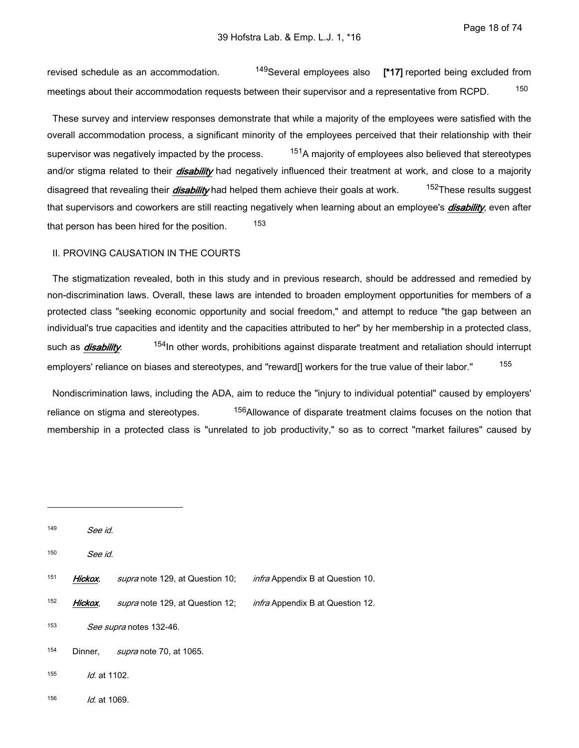revised schedule as an accommodation. 149Several employees also **[\*17]** reported being excluded from meetings about their accommodation requests between their supervisor and a representative from RCPD. 150

 These survey and interview responses demonstrate that while a majority of the employees were satisfied with the overall accommodation process, a significant minority of the employees perceived that their relationship with their supervisor was negatively impacted by the process.  $151A$  majority of employees also believed that stereotypes and/or stigma related to their *disability* had negatively influenced their treatment at work, and close to a majority disagreed that revealing their *disability* had helped them achieve their goals at work. <sup>152</sup>These results suggest that supervisors and coworkers are still reacting negatively when learning about an employee's *disability*, even after that person has been hired for the position. 153

#### II. PROVING CAUSATION IN THE COURTS

 The stigmatization revealed, both in this study and in previous research, should be addressed and remedied by non-discrimination laws. Overall, these laws are intended to broaden employment opportunities for members of a protected class "seeking economic opportunity and social freedom," and attempt to reduce "the gap between an individual's true capacities and identity and the capacities attributed to her" by her membership in a protected class, such as *disability*. <sup>154</sup>In other words, prohibitions against disparate treatment and retaliation should interrupt employers' reliance on biases and stereotypes, and "reward[] workers for the true value of their labor." 155

 Nondiscrimination laws, including the ADA, aim to reduce the "injury to individual potential" caused by employers' reliance on stigma and stereotypes. <sup>156</sup>Allowance of disparate treatment claims focuses on the notion that membership in a protected class is "unrelated to job productivity," so as to correct "market failures" caused by

- 155 *Id.* at 1102.
- 156 *Id.* at 1069.

<sup>149</sup>  *See id.*

<sup>150</sup>  *See id.*

<sup>151</sup>  *Hickox*, *supra* note 129, at Question 10; *infra* Appendix B at Question 10.

<sup>152</sup>  *Hickox*, *supra* note 129, at Question 12; *infra* Appendix B at Question 12.

<sup>153</sup>  *See supra* notes 132-46.

<sup>&</sup>lt;sup>154</sup> Dinner, *supra* note 70, at 1065.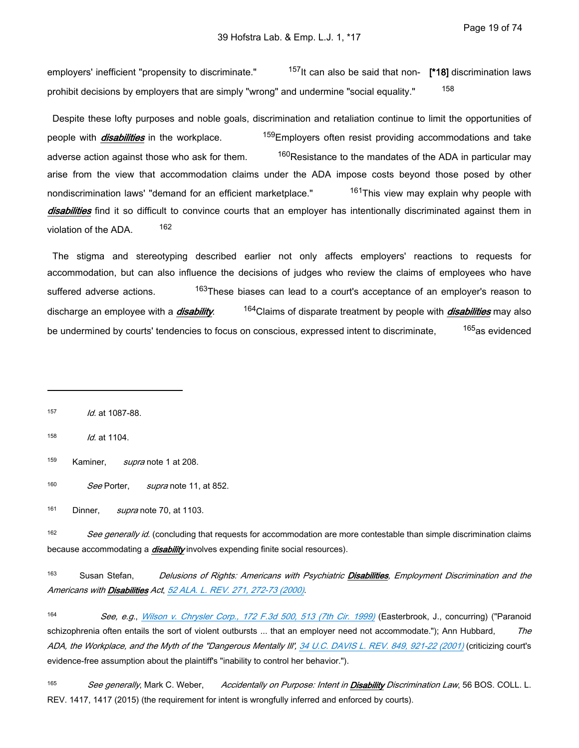employers' inefficient "propensity to discriminate." 157It can also be said that non- **[\*18]** discrimination laws prohibit decisions by employers that are simply "wrong" and undermine "social equality." 158

 Despite these lofty purposes and noble goals, discrimination and retaliation continue to limit the opportunities of people with *disabilities* in the workplace. <sup>159</sup>Employers often resist providing accommodations and take adverse action against those who ask for them.  $160$ Resistance to the mandates of the ADA in particular may arise from the view that accommodation claims under the ADA impose costs beyond those posed by other nondiscrimination laws' "demand for an efficient marketplace." <sup>161</sup>This view may explain why people with *disabilities* find it so difficult to convince courts that an employer has intentionally discriminated against them in violation of the ADA.  $162$ 

 The stigma and stereotyping described earlier not only affects employers' reactions to requests for accommodation, but can also influence the decisions of judges who review the claims of employees who have suffered adverse actions. <sup>163</sup>These biases can lead to a court's acceptance of an employer's reason to discharge an employee with a *disability*. <sup>164</sup>Claims of disparate treatment by people with *disabilities* may also be undermined by courts' tendencies to focus on conscious, expressed intent to discriminate, <sup>165</sup>as evidenced

157 *Id.* at 1087-88.

158 *Id.* at 1104.

<sup>159</sup>Kaminer, *supra* note 1 at 208.

160 *See* Porter, *supra* note 11, at 852.

<sup>161</sup> Dinner, *supra* note 70, at 1103.

162 *See generally id.* (concluding that requests for accommodation are more contestable than simple discrimination claims because accommodating a *disability* involves expending finite social resources).

163 Susan Stefan, *Delusions of Rights: Americans with Psychiatric Disabilities*, *Employment Discrimination and the Americans with Disabilities Act*, *[52 ALA. L. REV. 271, 272-73 \(2000\)](https://advance.lexis.com/api/document?collection=analytical-materials&id=urn:contentItem:42DX-JJG0-00CV-Y0FH-00000-00&context=1516831)*.

164 *See, e.g.*, *[Wilson v. Chrysler Corp., 172 F.3d 500, 513 \(7th Cir. 1999\)](https://advance.lexis.com/api/document?collection=cases&id=urn:contentItem:3W4X-XXW0-0038-X2NV-00000-00&context=1516831)* (Easterbrook, J., concurring) ("Paranoid schizophrenia often entails the sort of violent outbursts ... that an employer need not accommodate."); Ann Hubbard, *The ADA, the Workplace, and the Myth of the "Dangerous Mentally Ill', [34 U.C. DAVIS L. REV. 849, 921-22 \(2001\)](https://advance.lexis.com/api/document?collection=analytical-materials&id=urn:contentItem:43RM-7BY0-00CW-C10R-00000-00&context=1516831)* (criticizing court's evidence-free assumption about the plaintiff's "inability to control her behavior.").

165 *See generally*, Mark C. Weber, *Accidentally on Purpose: Intent in Disability Discrimination Law*, 56 BOS. COLL. L. REV. 1417, 1417 (2015) (the requirement for intent is wrongfully inferred and enforced by courts).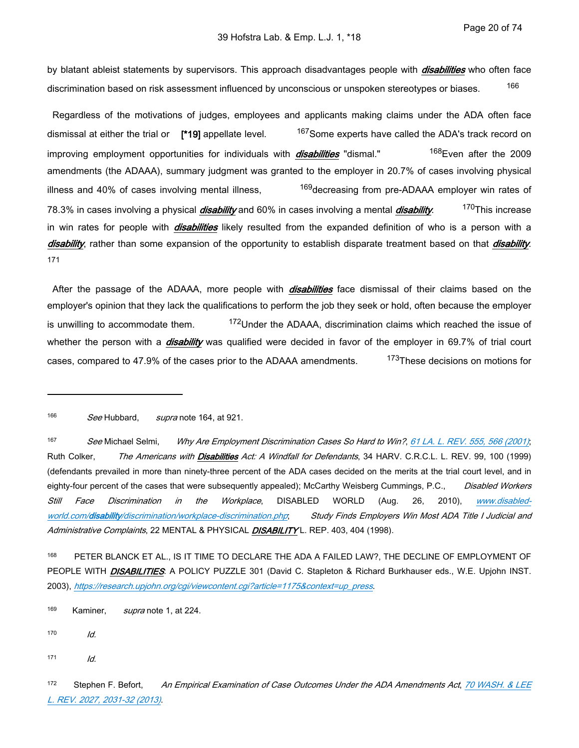by blatant ableist statements by supervisors. This approach disadvantages people with *disabilities* who often face discrimination based on risk assessment influenced by unconscious or unspoken stereotypes or biases. 166

 Regardless of the motivations of judges, employees and applicants making claims under the ADA often face dismissal at either the trial or **[\*19]** appellate level. <sup>167</sup>Some experts have called the ADA's track record on improving employment opportunities for individuals with *disabilities* "dismal." <sup>168</sup>Even after the 2009 amendments (the ADAAA), summary judgment was granted to the employer in 20.7% of cases involving physical illness and 40% of cases involving mental illness,  $169$ decreasing from pre-ADAAA employer win rates of 78.3% in cases involving a physical *disability* and 60% in cases involving a mental *disability*. 170This increase in win rates for people with *disabilities* likely resulted from the expanded definition of who is a person with a *disability*, rather than some expansion of the opportunity to establish disparate treatment based on that *disability*. 171

 After the passage of the ADAAA, more people with *disabilities* face dismissal of their claims based on the employer's opinion that they lack the qualifications to perform the job they seek or hold, often because the employer is unwilling to accommodate them.  $172$ Under the ADAAA, discrimination claims which reached the issue of whether the person with a *disability* was qualified were decided in favor of the employer in 69.7% of trial court cases, compared to 47.9% of the cases prior to the ADAAA amendments. <sup>173</sup>These decisions on motions for

167 *See* Michael Selmi, *Why Are Employment Discrimination Cases So Hard to Win?*, *[61 LA. L. REV. 555, 566 \(2001\)](https://advance.lexis.com/api/document?collection=analytical-materials&id=urn:contentItem:44K8-GCC0-00CW-81SN-00000-00&context=1516831)*; Ruth Colker, *The Americans with Disabilities Act: A Windfall for Defendants*, 34 HARV. C.R.C.L. L. REV. 99, 100 (1999) (defendants prevailed in more than ninety-three percent of the ADA cases decided on the merits at the trial court level, and in eighty-four percent of the cases that were subsequently appealed); McCarthy Weisberg Cummings, P.C., *Disabled Workers Still Face Discrimination in the Workplace*, DISABLED WORLD (Aug. 26, 2010), *[www.disabled](http://www.disabled-world.com/disability/discrimination/workplace-discrimination.php)world.com/disability[/discrimination/workplace-discrimination.php](http://www.disabled-world.com/disability/discrimination/workplace-discrimination.php)*; *Study Finds Employers Win Most ADA Title I Judicial and Administrative Complaints*, 22 MENTAL & PHYSICAL *DISABILITY* L. REP. 403, 404 (1998).

168 PETER BLANCK ET AL., IS IT TIME TO DECLARE THE ADA A FAILED LAW?, THE DECLINE OF EMPLOYMENT OF PEOPLE WITH *DISABILITIES*: A POLICY PUZZLE 301 (David C. Stapleton & Richard Burkhauser eds., W.E. Upjohn INST. 2003), *[https://research.upjohn.org/cgi/viewcontent.cgi?article=1175&context=up\\_press](https://research.upjohn.org/cgi/viewcontent.cgi?article=1175&context=up_press)*.

<sup>169</sup>Kaminer, *supra* note 1, at 224.

170 *Id.*

171 *Id.*

172 Stephen F. Befort, *An Empirical Examination of Case Outcomes Under the ADA Amendments Act, 70 WASH. & LEE [L. REV. 2027, 2031-32 \(2013\)](https://advance.lexis.com/api/document?collection=analytical-materials&id=urn:contentItem:5B4T-SKG0-00CW-10G0-00000-00&context=1516831)*.

<sup>166</sup>  *See* Hubbard, *supra* note 164, at 921.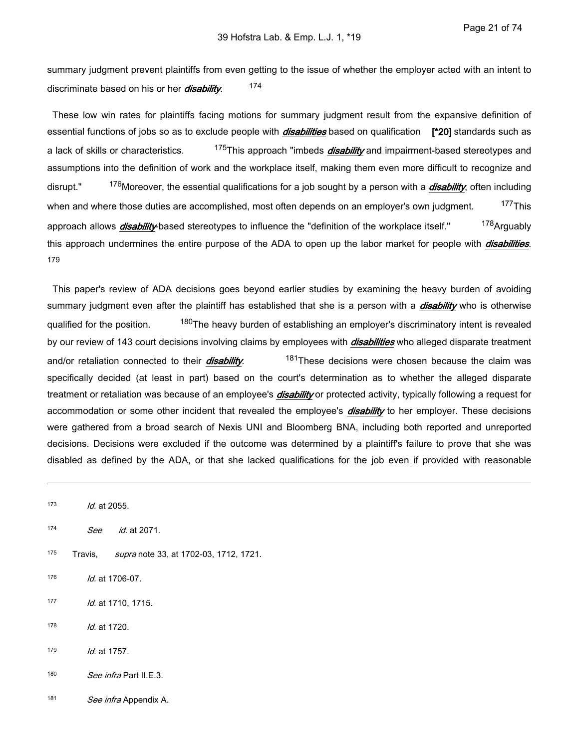summary judgment prevent plaintiffs from even getting to the issue of whether the employer acted with an intent to discriminate based on his or her *disability*. 174

 These low win rates for plaintiffs facing motions for summary judgment result from the expansive definition of essential functions of jobs so as to exclude people with *disabilities* based on qualification **[\*20]** standards such as a lack of skills or characteristics. 175This approach "imbeds *disability* and impairment-based stereotypes and assumptions into the definition of work and the workplace itself, making them even more difficult to recognize and disrupt." 176Moreover, the essential qualifications for a job sought by a person with a *disability*, often including when and where those duties are accomplished, most often depends on an employer's own judgment. <sup>177</sup>This approach allows *disability*-based stereotypes to influence the "definition of the workplace itself." 178Arguably this approach undermines the entire purpose of the ADA to open up the labor market for people with *disabilities*. 179

 This paper's review of ADA decisions goes beyond earlier studies by examining the heavy burden of avoiding summary judgment even after the plaintiff has established that she is a person with a *disability* who is otherwise qualified for the position. <sup>180</sup>The heavy burden of establishing an employer's discriminatory intent is revealed by our review of 143 court decisions involving claims by employees with *disabilities* who alleged disparate treatment and/or retaliation connected to their *disability*. 181These decisions were chosen because the claim was specifically decided (at least in part) based on the court's determination as to whether the alleged disparate treatment or retaliation was because of an employee's *disability* or protected activity, typically following a request for accommodation or some other incident that revealed the employee's *disability* to her employer. These decisions were gathered from a broad search of Nexis UNI and Bloomberg BNA, including both reported and unreported decisions. Decisions were excluded if the outcome was determined by a plaintiff's failure to prove that she was disabled as defined by the ADA, or that she lacked qualifications for the job even if provided with reasonable

173 *Id.* at 2055. 174 *See id.* at 2071. <sup>175</sup>Travis, *supra* note 33, at 1702-03, 1712, 1721. 176 *Id.* at 1706-07. 177 *Id.* at 1710, 1715. 178 *Id.* at 1720. 179 *Id.* at 1757. 180 *See infra* Part II.E.3. 181 *See infra* Appendix A.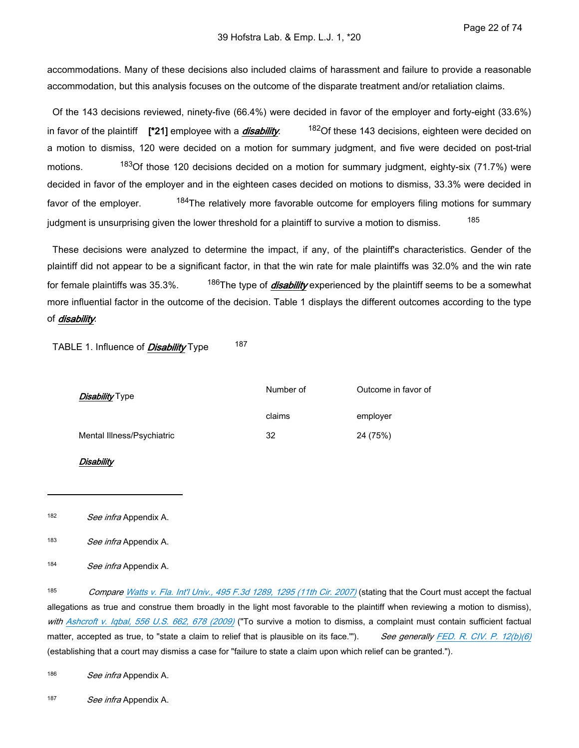accommodations. Many of these decisions also included claims of harassment and failure to provide a reasonable accommodation, but this analysis focuses on the outcome of the disparate treatment and/or retaliation claims.

 Of the 143 decisions reviewed, ninety-five (66.4%) were decided in favor of the employer and forty-eight (33.6%) in favor of the plaintiff **[\*21]** employee with a *disability*. <sup>182</sup>Of these 143 decisions, eighteen were decided on a motion to dismiss, 120 were decided on a motion for summary judgment, and five were decided on post-trial motions. <sup>183</sup>Of those 120 decisions decided on a motion for summary judgment, eighty-six (71.7%) were decided in favor of the employer and in the eighteen cases decided on motions to dismiss, 33.3% were decided in favor of the employer. <sup>184</sup>The relatively more favorable outcome for employers filing motions for summary judgment is unsurprising given the lower threshold for a plaintiff to survive a motion to dismiss. 185

 These decisions were analyzed to determine the impact, if any, of the plaintiff's characteristics. Gender of the plaintiff did not appear to be a significant factor, in that the win rate for male plaintiffs was 32.0% and the win rate for female plaintiffs was 35.3%. <sup>186</sup>The type of *disability* experienced by the plaintiff seems to be a somewhat more influential factor in the outcome of the decision. Table 1 displays the different outcomes according to the type of *disability*:

TABLE 1. Influence of *Disability* Type <sup>187</sup>

| Disability Type            | Number of | Outcome in favor of |  |
|----------------------------|-----------|---------------------|--|
|                            | claims    | employer            |  |
| Mental Illness/Psychiatric | 32        | 24 (75%)            |  |

#### *Disability*

182 *See infra* Appendix A.

183 *See infra* Appendix A.

184 *See infra* Appendix A.

185 *Compare [Watts v. Fla. Int'l Univ., 495 F.3d 1289, 1295 \(11th Cir. 2007\)](https://advance.lexis.com/api/document?collection=cases&id=urn:contentItem:4PFG-5J50-TXFX-G3B9-00000-00&context=1516831)* (stating that the Court must accept the factual allegations as true and construe them broadly in the light most favorable to the plaintiff when reviewing a motion to dismiss), *with [Ashcroft v. Iqbal, 556 U.S. 662, 678 \(2009\)](https://advance.lexis.com/api/document?collection=cases&id=urn:contentItem:4W9Y-4KS0-TXFX-1325-00000-00&context=1516831)* ("To survive a motion to dismiss, a complaint must contain sufficient factual matter, accepted as true, to "state a claim to relief that is plausible on its face.'"). *See generally [FED. R. CIV. P. 12\(b\)\(6\)](https://advance.lexis.com/api/document?collection=statutes-legislation&id=urn:contentItem:5GYC-1WP1-6N19-F0YW-00000-00&context=1516831)* (establishing that a court may dismiss a case for "failure to state a claim upon which relief can be granted.").

186 *See infra* Appendix A.

187 *See infra* Appendix A.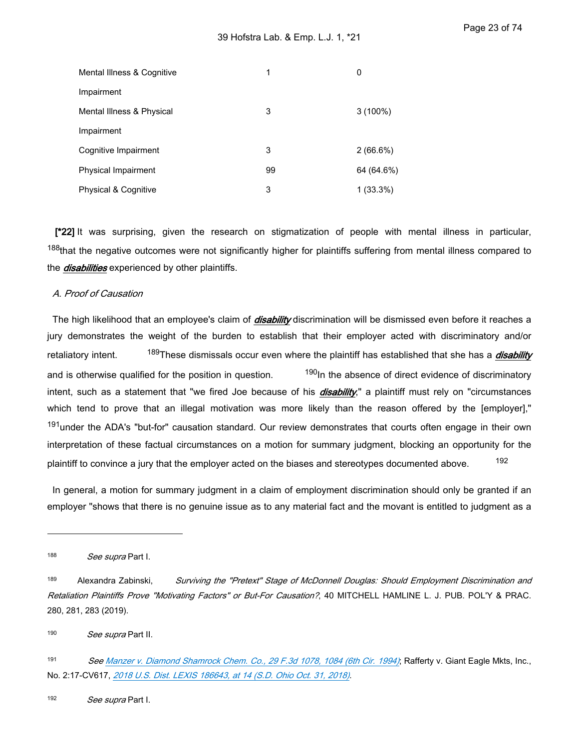| Mental Illness & Cognitive      | 1  | 0           |
|---------------------------------|----|-------------|
| Impairment                      |    |             |
| Mental Illness & Physical       | 3  | $3(100\%)$  |
| Impairment                      |    |             |
| Cognitive Impairment            | 3  | $2(66.6\%)$ |
| Physical Impairment             | 99 | 64 (64.6%)  |
| <b>Physical &amp; Cognitive</b> | 3  | $1(33.3\%)$ |

 **[\*22]** It was surprising, given the research on stigmatization of people with mental illness in particular, <sup>188</sup>that the negative outcomes were not significantly higher for plaintiffs suffering from mental illness compared to the *disabilities* experienced by other plaintiffs.

### *A. Proof of Causation*

 The high likelihood that an employee's claim of *disability* discrimination will be dismissed even before it reaches a jury demonstrates the weight of the burden to establish that their employer acted with discriminatory and/or retaliatory intent. 189These dismissals occur even where the plaintiff has established that she has a *disability* and is otherwise qualified for the position in question. <sup>190</sup>In the absence of direct evidence of discriminatory intent, such as a statement that "we fired Joe because of his *disability*," a plaintiff must rely on "circumstances which tend to prove that an illegal motivation was more likely than the reason offered by the [employer]," <sup>191</sup>under the ADA's "but-for" causation standard. Our review demonstrates that courts often engage in their own interpretation of these factual circumstances on a motion for summary judgment, blocking an opportunity for the plaintiff to convince a jury that the employer acted on the biases and stereotypes documented above. 192

 In general, a motion for summary judgment in a claim of employment discrimination should only be granted if an employer "shows that there is no genuine issue as to any material fact and the movant is entitled to judgment as a

<sup>188</sup>  *See supra* Part I.

<sup>&</sup>lt;sup>189</sup> Alexandra Zabinski, *Surviving the "Pretext" Stage of McDonnell Douglas: Should Employment Discrimination and Retaliation Plaintiffs Prove "Motivating Factors" or But-For Causation?*, 40 MITCHELL HAMLINE L. J. PUB. POL'Y & PRAC. 280, 281, 283 (2019).

<sup>190</sup>  *See supra* Part II.

<sup>191</sup>  *See [Manzer v. Diamond Shamrock Chem. Co., 29 F.3d 1078, 1084 \(6th Cir. 1994\)](https://advance.lexis.com/api/document?collection=cases&id=urn:contentItem:3S4X-4800-003B-P0SV-00000-00&context=1516831)*; Rafferty v. Giant Eagle Mkts, Inc., No. 2:17-CV617, *[2018 U.S. Dist. LEXIS 186643, at 14 \(S.D. Ohio Oct. 31, 2018\)](https://advance.lexis.com/api/document?collection=cases&id=urn:contentItem:5TM9-C2P1-JF75-M2TM-00000-00&context=1516831)*.

<sup>192</sup>  *See supra* Part I.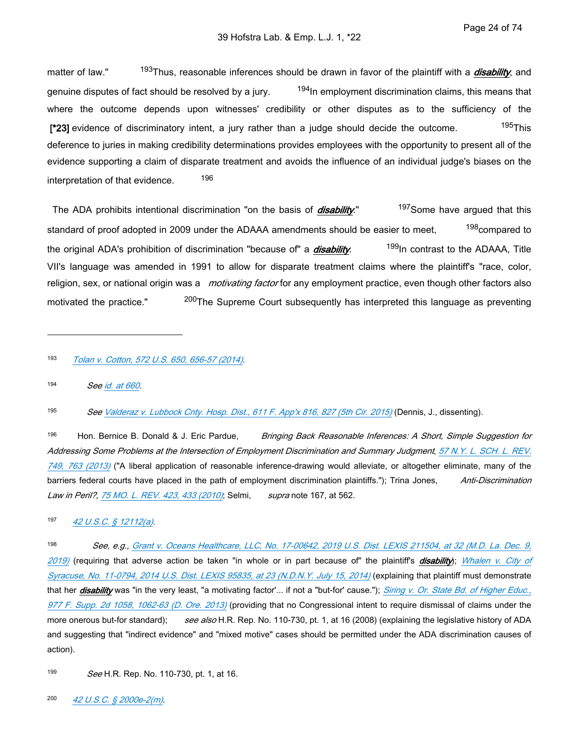matter of law." 193Thus, reasonable inferences should be drawn in favor of the plaintiff with a *disability*, and genuine disputes of fact should be resolved by a jury. <sup>194</sup>In employment discrimination claims, this means that where the outcome depends upon witnesses' credibility or other disputes as to the sufficiency of the **[\*23]** evidence of discriminatory intent, a jury rather than a judge should decide the outcome. <sup>195</sup>This deference to juries in making credibility determinations provides employees with the opportunity to present all of the evidence supporting a claim of disparate treatment and avoids the influence of an individual judge's biases on the interpretation of that evidence. <sup>196</sup>

The ADA prohibits intentional discrimination "on the basis of *disability*." <sup>197</sup>Some have argued that this standard of proof adopted in 2009 under the ADAAA amendments should be easier to meet, <sup>198</sup>compared to the original ADA's prohibition of discrimination "because of" a *disability*. 199In contrast to the ADAAA, Title VII's language was amended in 1991 to allow for disparate treatment claims where the plaintiff's "race, color, religion, sex, or national origin was a *motivating factor* for any employment practice, even though other factors also motivated the practice." <sup>200</sup>The Supreme Court subsequently has interpreted this language as preventing

194 *See [id. at 660](https://advance.lexis.com/api/document?collection=cases&id=urn:contentItem:5C4H-PB61-F04K-F005-00000-00&context=1516831)*.

195 *See [Valderaz v. Lubbock Cnty. Hosp. Dist., 611 F. App'x 816, 827 \(5th Cir. 2015\)](https://advance.lexis.com/api/document?collection=cases&id=urn:contentItem:5G93-17N1-F04K-N096-00000-00&context=1516831)* (Dennis, J., dissenting).

<sup>196</sup> Hon. Bernice B. Donald & J. Eric Pardue, *Bringing Back Reasonable Inferences: A Short, Simple Suggestion for Addressing Some Problems at the Intersection of Employment Discrimination and Summary Judgment*, *[57 N.Y. L. SCH. L. REV.](https://advance.lexis.com/api/document?collection=analytical-materials&id=urn:contentItem:58C8-7M30-00CV-209N-00000-00&context=1516831)  [749, 763 \(2013\)](https://advance.lexis.com/api/document?collection=analytical-materials&id=urn:contentItem:58C8-7M30-00CV-209N-00000-00&context=1516831)* ("A liberal application of reasonable inference-drawing would alleviate, or altogether eliminate, many of the barriers federal courts have placed in the path of employment discrimination plaintiffs."); Trina Jones, *Anti-Discrimination Law in Peril?*, *[75 MO. L. REV. 423, 433 \(2010\)](https://advance.lexis.com/api/document?collection=analytical-materials&id=urn:contentItem:50CW-SSM0-00CW-F05J-00000-00&context=1516831)*; Selmi, *supra* note 167, at 562.

197 *[42 U.S.C. § 12112\(a\)](https://advance.lexis.com/api/document?collection=statutes-legislation&id=urn:contentItem:8SHT-0732-D6RV-H0VV-00000-00&context=1516831)*.

198 *See, e.g., [Grant v. Oceans Healthcare, LLC, No. 17-00642, 2019 U.S. Dist. LEXIS 211504, at 32 \(M.D. La. Dec. 9,](https://advance.lexis.com/api/document?collection=cases&id=urn:contentItem:5XPH-SVV1-F900-G2K8-00000-00&context=1516831)  [2019\)](https://advance.lexis.com/api/document?collection=cases&id=urn:contentItem:5XPH-SVV1-F900-G2K8-00000-00&context=1516831)* (requiring that adverse action be taken "in whole or in part because of" the plaintiff's *disability*); *[Whalen v. City of](https://advance.lexis.com/api/document?collection=cases&id=urn:contentItem:5CNP-SB51-F04F-0454-00000-00&context=1516831)  [Syracuse, No. 11-0794, 2014 U.S. Dist. LEXIS 95835, at 23 \(N.D.N.Y. July 15, 2014\)](https://advance.lexis.com/api/document?collection=cases&id=urn:contentItem:5CNP-SB51-F04F-0454-00000-00&context=1516831)* (explaining that plaintiff must demonstrate that her *disability* was "in the very least, "a motivating factor'... if not a "but-for' cause."); *[Siring v. Or. State Bd. of Higher Educ.,](https://advance.lexis.com/api/document?collection=cases&id=urn:contentItem:59KG-FXN1-F04F-30P4-00000-00&context=1516831)  [977 F. Supp. 2d 1058, 1062-63 \(D. Ore. 2013\)](https://advance.lexis.com/api/document?collection=cases&id=urn:contentItem:59KG-FXN1-F04F-30P4-00000-00&context=1516831)* (providing that no Congressional intent to require dismissal of claims under the more onerous but-for standard); *see also* H.R. Rep. No. 110-730, pt. 1, at 16 (2008) (explaining the legislative history of ADA and suggesting that "indirect evidence" and "mixed motive" cases should be permitted under the ADA discrimination causes of action).

199 *See* H.R. Rep. No. 110-730, pt. 1, at 16.

<sup>193</sup>  *[Tolan v. Cotton, 572 U.S. 650, 656-57 \(2014\)](https://advance.lexis.com/api/document?collection=cases&id=urn:contentItem:5C4H-PB61-F04K-F005-00000-00&context=1516831)*.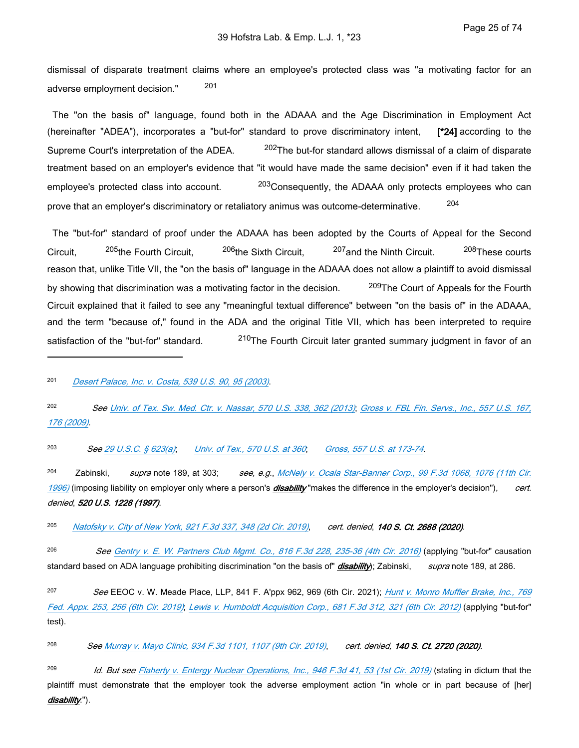dismissal of disparate treatment claims where an employee's protected class was "a motivating factor for an adverse employment decision." 201

 The "on the basis of" language, found both in the ADAAA and the Age Discrimination in Employment Act (hereinafter "ADEA"), incorporates a "but-for" standard to prove discriminatory intent, **[\*24]** according to the Supreme Court's interpretation of the ADEA. <sup>202</sup>The but-for standard allows dismissal of a claim of disparate treatment based on an employer's evidence that "it would have made the same decision" even if it had taken the employee's protected class into account. <sup>203</sup>Consequently, the ADAAA only protects employees who can prove that an employer's discriminatory or retaliatory animus was outcome-determinative. <sup>204</sup> 204

 The "but-for" standard of proof under the ADAAA has been adopted by the Courts of Appeal for the Second Circuit, 205<sub>the Fourth Circuit, 206the Sixth Circuit, 207 and the Ninth Circuit. 208 These courts</sub> reason that, unlike Title VII, the "on the basis of" language in the ADAAA does not allow a plaintiff to avoid dismissal by showing that discrimination was a motivating factor in the decision. <sup>209</sup>The Court of Appeals for the Fourth Circuit explained that it failed to see any "meaningful textual difference" between "on the basis of" in the ADAAA, and the term "because of," found in the ADA and the original Title VII, which has been interpreted to require satisfaction of the "but-for" standard. <sup>210</sup>The Fourth Circuit later granted summary judgment in favor of an

202 *See [Univ. of Tex. Sw. Med. Ctr. v. Nassar, 570 U.S. 338, 362 \(2013\)](https://advance.lexis.com/api/document?collection=cases&id=urn:contentItem:58RB-XK31-F04K-F005-00000-00&context=1516831)*; *[Gross v. FBL Fin. Servs., Inc., 557 U.S. 167,](https://advance.lexis.com/api/document?collection=cases&id=urn:contentItem:4WJH-T0S0-TXFX-121B-00000-00&context=1516831)  [176 \(2009\)](https://advance.lexis.com/api/document?collection=cases&id=urn:contentItem:4WJH-T0S0-TXFX-121B-00000-00&context=1516831)*.

203 *See [29 U.S.C. § 623\(a\)](https://advance.lexis.com/api/document?collection=statutes-legislation&id=urn:contentItem:8SG9-5TK2-8T6X-7068-00000-00&context=1516831)*; *[Univ. of Tex., 570 U.S. at 360](https://advance.lexis.com/api/document?collection=cases&id=urn:contentItem:58RB-XK31-F04K-F005-00000-00&context=1516831)*; *[Gross, 557 U.S. at 173-74](https://advance.lexis.com/api/document?collection=cases&id=urn:contentItem:4WJH-T0S0-TXFX-121B-00000-00&context=1516831)*.

<sup>204</sup>Zabinski, *supra* note 189, at 303; *see, e.g.*, *[McNely v. Ocala Star-Banner Corp., 99 F.3d 1068, 1076 \(11th Cir.](https://advance.lexis.com/api/document?collection=cases&id=urn:contentItem:3RVK-BDT0-006F-M3P0-00000-00&context=1516831)  [1996\)](https://advance.lexis.com/api/document?collection=cases&id=urn:contentItem:3RVK-BDT0-006F-M3P0-00000-00&context=1516831)* (imposing liability on employer only where a person's *disability* "makes the difference in the employer's decision"), *cert. denied*, *520 U.S. 1228 (1997)*.

205 *[Natofsky v. City of New York, 921 F.3d 337, 348 \(2d Cir. 2019\)](https://advance.lexis.com/api/document?collection=cases&id=urn:contentItem:5VX9-5511-JKHB-633W-00000-00&context=1516831)*, *cert. denied*, *140 S. Ct. 2688 (2020)*.

206 *See [Gentry v. E. W. Partners Club Mgmt. Co., 816 F.3d 228, 235-36 \(4th Cir. 2016\)](https://advance.lexis.com/api/document?collection=cases&id=urn:contentItem:5J77-2GG1-F04K-M15K-00000-00&context=1516831)* (applying "but-for" causation standard based on ADA language prohibiting discrimination "on the basis of" *disability*); Zabinski, *supra* note 189, at 286.

207 *See* EEOC v. W. Meade Place, LLP, 841 F. A'ppx 962, 969 (6th Cir. 2021); *[Hunt v. Monro Muffler Brake, Inc., 769](https://advance.lexis.com/api/document?collection=cases&id=urn:contentItem:5VYT-06N1-F22N-X0HV-00000-00&context=1516831)  [Fed. Appx. 253, 256 \(6th Cir. 2019\)](https://advance.lexis.com/api/document?collection=cases&id=urn:contentItem:5VYT-06N1-F22N-X0HV-00000-00&context=1516831)*; *[Lewis v. Humboldt Acquisition Corp., 681 F.3d 312, 321 \(6th Cir. 2012\)](https://advance.lexis.com/api/document?collection=cases&id=urn:contentItem:55R4-DK21-F04K-P0J0-00000-00&context=1516831)* (applying "but-for" test).

208 *See [Murray v. Mayo Clinic, 934 F.3d 1101, 1107 \(9th Cir. 2019\)](https://advance.lexis.com/api/document?collection=cases&id=urn:contentItem:5WVR-TJN1-JYYX-60GB-00000-00&context=1516831)*, *cert. denied, 140 S. Ct. 2720 (2020)*.

209 *Id. But see [Flaherty v. Entergy Nuclear Operations, Inc., 946 F.3d 41, 53 \(1st Cir. 2019\)](https://advance.lexis.com/api/document?collection=cases&id=urn:contentItem:5XTF-40T1-F8D9-M54D-00000-00&context=1516831)* (stating in dictum that the plaintiff must demonstrate that the employer took the adverse employment action "in whole or in part because of [her] *disability*.").

<sup>201</sup>  *[Desert Palace, Inc. v. Costa, 539 U.S. 90, 95 \(2003\)](https://advance.lexis.com/api/document?collection=cases&id=urn:contentItem:48T5-4BC0-004B-Y028-00000-00&context=1516831)*.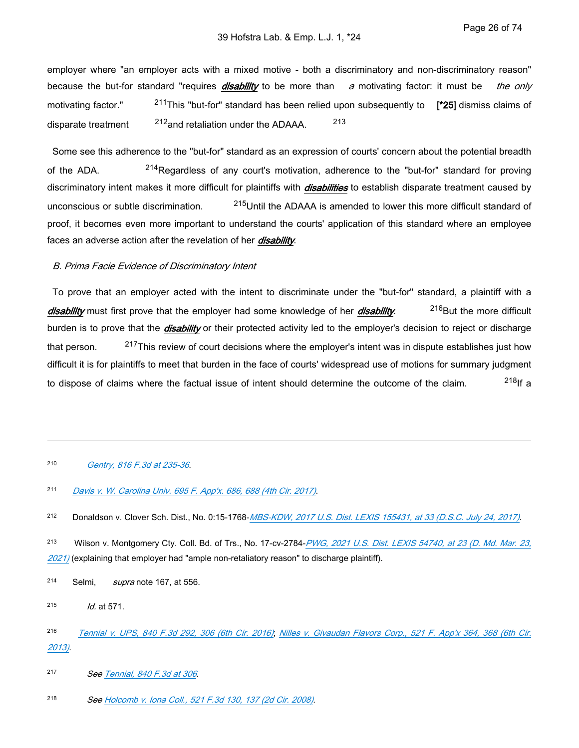employer where "an employer acts with a mixed motive - both a discriminatory and non-discriminatory reason" because the but-for standard "requires *disability* to be more than *a* motivating factor: it must be *the only* motivating factor." 211This "but-for" standard has been relied upon subsequently to **[\*25]** dismiss claims of disparate treatment  $^{212}$  and retaliation under the ADAAA. 213

 Some see this adherence to the "but-for" standard as an expression of courts' concern about the potential breadth of the ADA. <sup>214</sup>Regardless of any court's motivation, adherence to the "but-for" standard for proving discriminatory intent makes it more difficult for plaintiffs with *disabilities* to establish disparate treatment caused by unconscious or subtle discrimination. <sup>215</sup>Until the ADAAA is amended to lower this more difficult standard of proof, it becomes even more important to understand the courts' application of this standard where an employee faces an adverse action after the revelation of her *disability*.

#### *B. Prima Facie Evidence of Discriminatory Intent*

 To prove that an employer acted with the intent to discriminate under the "but-for" standard, a plaintiff with a *disability* must first prove that the employer had some knowledge of her *disability*. 216But the more difficult burden is to prove that the *disability* or their protected activity led to the employer's decision to reject or discharge that person.  $2^{17}$ This review of court decisions where the employer's intent was in dispute establishes just how difficult it is for plaintiffs to meet that burden in the face of courts' widespread use of motions for summary judgment to dispose of claims where the factual issue of intent should determine the outcome of the claim.  $^{218}$ If a

#### 210 *[Gentry, 816 F.3d at 235-36](https://advance.lexis.com/api/document?collection=cases&id=urn:contentItem:5J77-2GG1-F04K-M15K-00000-00&context=1516831)*.

211 *[Davis v. W. Carolina Univ. 695 F. App'x. 686, 688 \(4th Cir. 2017\)](https://advance.lexis.com/api/document?collection=cases&id=urn:contentItem:5NSK-89R1-F04K-M1BG-00000-00&context=1516831)*.

212 Donaldson v. Clover Sch. Dist., No. 0:15-1768-*[MBS-KDW, 2017 U.S. Dist. LEXIS 155431, at 33 \(D.S.C. July 24, 2017\)](https://advance.lexis.com/api/document?collection=cases&id=urn:contentItem:5PJ8-B091-F04F-8178-00000-00&context=1516831)*.

<sup>213</sup>Wilson v. Montgomery Cty. Coll. Bd. of Trs., No. 17-cv-2784-*[PWG, 2021 U.S. Dist. LEXIS 54740, at 23 \(D. Md. Mar. 23,](https://advance.lexis.com/api/document?collection=cases&id=urn:contentItem:628S-R6M1-FFTT-X3GT-00000-00&context=1516831)  [2021\)](https://advance.lexis.com/api/document?collection=cases&id=urn:contentItem:628S-R6M1-FFTT-X3GT-00000-00&context=1516831)* (explaining that employer had "ample non-retaliatory reason" to discharge plaintiff).

- <sup>214</sup>Selmi, *supra* note 167, at 556.
- 215 *Id.* at 571.

216 *[Tennial v. UPS, 840 F.3d 292, 306 \(6th Cir. 2016\)](https://advance.lexis.com/api/document?collection=cases&id=urn:contentItem:5M14-23V1-F04K-P00S-00000-00&context=1516831)*; *[Nilles v. Givaudan Flavors Corp., 521 F. App'x 364, 368 \(6th Cir.](https://advance.lexis.com/api/document?collection=cases&id=urn:contentItem:582T-BS71-F04K-P0RJ-00000-00&context=1516831)  [2013\)](https://advance.lexis.com/api/document?collection=cases&id=urn:contentItem:582T-BS71-F04K-P0RJ-00000-00&context=1516831)*.

- 217 *See [Tennial, 840 F.3d at 306](https://advance.lexis.com/api/document?collection=cases&id=urn:contentItem:5M14-23V1-F04K-P00S-00000-00&context=1516831)*.
- 218 *See [Holcomb v. Iona Coll., 521 F.3d 130, 137 \(2d Cir. 2008\)](https://advance.lexis.com/api/document?collection=cases&id=urn:contentItem:4S69-5390-TXFX-422J-00000-00&context=1516831)*.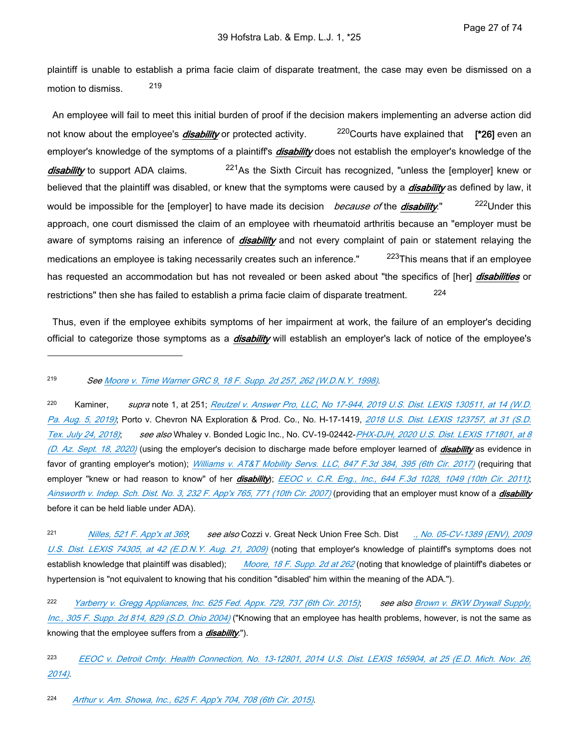plaintiff is unable to establish a prima facie claim of disparate treatment, the case may even be dismissed on a motion to dismiss. 219

 An employee will fail to meet this initial burden of proof if the decision makers implementing an adverse action did not know about the employee's *disability* or protected activity. <sup>220</sup>Courts have explained that [\*26] even an employer's knowledge of the symptoms of a plaintiff's *disability* does not establish the employer's knowledge of the disability to support ADA claims. <sup>221</sup>As the Sixth Circuit has recognized, "unless the [employer] knew or believed that the plaintiff was disabled, or knew that the symptoms were caused by a *disability* as defined by law, it would be impossible for the [employer] to have made its decision *because of* the *disability*." <sup>222</sup>Under this approach, one court dismissed the claim of an employee with rheumatoid arthritis because an "employer must be aware of symptoms raising an inference of *disability* and not every complaint of pain or statement relaying the medications an employee is taking necessarily creates such an inference." <sup>223</sup>This means that if an employee has requested an accommodation but has not revealed or been asked about "the specifics of [her] *disabilities* or restrictions" then she has failed to establish a prima facie claim of disparate treatment.  $224$ 

 Thus, even if the employee exhibits symptoms of her impairment at work, the failure of an employer's deciding official to categorize those symptoms as a *disability* will establish an employer's lack of notice of the employee's

219 *See [Moore v. Time Warner GRC 9, 18 F. Supp. 2d 257, 262 \(W.D.N.Y. 1998\)](https://advance.lexis.com/api/document?collection=cases&id=urn:contentItem:3TGM-CCY0-0038-Y00C-00000-00&context=1516831)*.

<sup>220</sup>Kaminer, *supra* note 1, at 251; *[Reutzel v. Answer Pro, LLC, No 17-944, 2019 U.S. Dist. LEXIS 130511, at 14 \(W.D.](https://advance.lexis.com/api/document?collection=cases&id=urn:contentItem:5WRJ-37M1-F22N-X1WS-00000-00&context=1516831)  [Pa. Aug. 5, 2019\)](https://advance.lexis.com/api/document?collection=cases&id=urn:contentItem:5WRJ-37M1-F22N-X1WS-00000-00&context=1516831)*; Porto v. Chevron NA Exploration & Prod. Co., No. H-17-1419, *[2018 U.S. Dist. LEXIS 123757, at 31 \(S.D.](https://advance.lexis.com/api/document?collection=cases&id=urn:contentItem:5SW9-RV31-F81W-2176-00000-00&context=1516831)  [Tex. July 24, 2018\)](https://advance.lexis.com/api/document?collection=cases&id=urn:contentItem:5SW9-RV31-F81W-2176-00000-00&context=1516831)*; *see also* Whaley v. Bonded Logic Inc., No. CV-19-02442-*[PHX-DJH, 2020 U.S. Dist. LEXIS 171801, at 8](https://advance.lexis.com/api/document?collection=cases&id=urn:contentItem:60WK-8BG1-FGRY-B4W2-00000-00&context=1516831)  [\(D. Az. Sept. 18, 2020\)](https://advance.lexis.com/api/document?collection=cases&id=urn:contentItem:60WK-8BG1-FGRY-B4W2-00000-00&context=1516831)* (using the employer's decision to discharge made before employer learned of *disability* as evidence in favor of granting employer's motion); *[Williams v. AT&T Mobility Servs. LLC, 847 F.3d 384, 395 \(6th Cir. 2017\)](https://advance.lexis.com/api/document?collection=cases&id=urn:contentItem:5MRC-7CY1-F04K-P0MM-00000-00&context=1516831)* (requiring that employer "knew or had reason to know" of her *disability*); *[EEOC v. C.R. Eng., Inc., 644 F.3d 1028, 1049 \(10th Cir. 2011\)](https://advance.lexis.com/api/document?collection=cases&id=urn:contentItem:52SD-55M1-F04K-W08W-00000-00&context=1516831)*; *[Ainsworth v. Indep. Sch. Dist. No. 3, 232 F. App'x 765, 771 \(10th Cir. 2007\)](https://advance.lexis.com/api/document?collection=cases&id=urn:contentItem:4NKB-3G90-0038-X54W-00000-00&context=1516831)* (providing that an employer must know of a *disability* before it can be held liable under ADA).

221 *[Nilles, 521 F. App'x at 369](https://advance.lexis.com/api/document?collection=cases&id=urn:contentItem:582T-BS71-F04K-P0RJ-00000-00&context=1516831)*; *see also* Cozzi v. Great Neck Union Free Sch. Dist *., [No. 05-CV-1389 \(ENV\), 2009](https://advance.lexis.com/api/document?collection=cases&id=urn:contentItem:4X2T-JHC0-TXFR-J2JV-00000-00&context=1516831)  [U.S. Dist. LEXIS 74305, at 42 \(E.D.N.Y. Aug. 21, 2009\)](https://advance.lexis.com/api/document?collection=cases&id=urn:contentItem:4X2T-JHC0-TXFR-J2JV-00000-00&context=1516831)* (noting that employer's knowledge of plaintiff's symptoms does not establish knowledge that plaintiff was disabled); *[Moore, 18 F. Supp. 2d at 262](https://advance.lexis.com/api/document?collection=cases&id=urn:contentItem:3TGM-CCY0-0038-Y00C-00000-00&context=1516831)* (noting that knowledge of plaintiff's diabetes or hypertension is "not equivalent to knowing that his condition "disabled' him within the meaning of the ADA.").

222 *[Yarberry v. Gregg Appliances, Inc. 625 Fed. Appx. 729, 737 \(6th Cir. 2015\)](https://advance.lexis.com/api/document?collection=cases&id=urn:contentItem:5GV5-NPG1-F04K-P002-00000-00&context=1516831)*; *see also [Brown v. BKW Drywall Supply,](https://advance.lexis.com/api/document?collection=cases&id=urn:contentItem:4BT7-7W30-0038-Y0B7-00000-00&context=1516831)  [Inc., 305 F. Supp. 2d 814, 829 \(S.D. Ohio 2004\)](https://advance.lexis.com/api/document?collection=cases&id=urn:contentItem:4BT7-7W30-0038-Y0B7-00000-00&context=1516831)* ("Knowing that an employee has health problems, however, is not the same as knowing that the employee suffers from a *disability*.").

223 *[EEOC v. Detroit Cmty. Health Connection, No. 13-12801, 2014 U.S. Dist. LEXIS 165904, at 25 \(E.D. Mich. Nov. 26,](https://advance.lexis.com/api/document?collection=cases&id=urn:contentItem:5DP9-16X1-F04D-H09J-00000-00&context=1516831)  [2014\)](https://advance.lexis.com/api/document?collection=cases&id=urn:contentItem:5DP9-16X1-F04D-H09J-00000-00&context=1516831)*.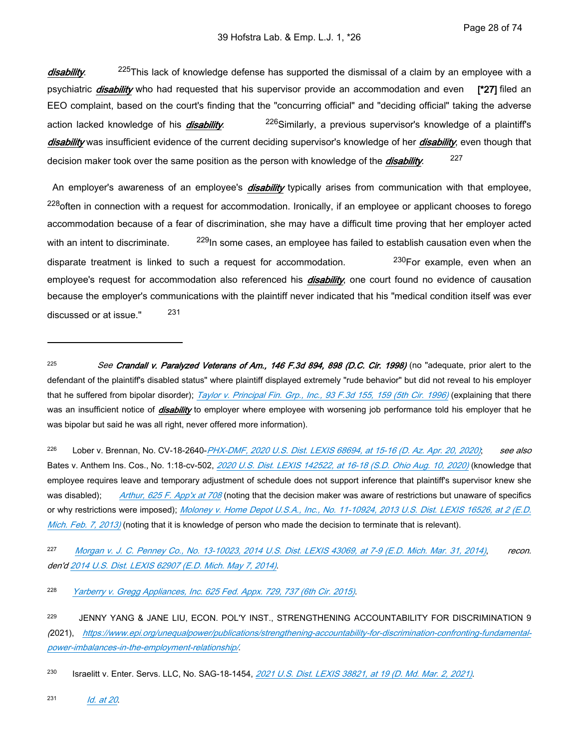*disability*.  $225$ This lack of knowledge defense has supported the dismissal of a claim by an employee with a psychiatric *disability* who had requested that his supervisor provide an accommodation and even **[\*27]** filed an EEO complaint, based on the court's finding that the "concurring official" and "deciding official" taking the adverse action lacked knowledge of his *disability*. 226Similarly, a previous supervisor's knowledge of a plaintiff's *disability* was insufficient evidence of the current deciding supervisor's knowledge of her *disability*, even though that decision maker took over the same position as the person with knowledge of the *disability*. 227

 An employer's awareness of an employee's *disability* typically arises from communication with that employee, <sup>228</sup>often in connection with a request for accommodation. Ironically, if an employee or applicant chooses to forego accommodation because of a fear of discrimination, she may have a difficult time proving that her employer acted with an intent to discriminate. <sup>229</sup>In some cases, an employee has failed to establish causation even when the disparate treatment is linked to such a request for accommodation. 230For example, even when an employee's request for accommodation also referenced his *disability*, one court found no evidence of causation because the employer's communications with the plaintiff never indicated that his "medical condition itself was ever discussed or at issue." 231

225 *See Crandall v. Paralyzed Veterans of Am., 146 F.3d 894, 898 (D.C. Cir. 1998)* (no "adequate, prior alert to the defendant of the plaintiff's disabled status" where plaintiff displayed extremely "rude behavior" but did not reveal to his employer that he suffered from bipolar disorder); *[Taylor v. Principal Fin. Grp., Inc., 93 F.3d 155, 159 \(5th Cir. 1996\)](https://advance.lexis.com/api/document?collection=cases&id=urn:contentItem:3S4X-1XX0-006F-M1H1-00000-00&context=1516831)* (explaining that there was an insufficient notice of *disability* to employer where employee with worsening job performance told his employer that he was bipolar but said he was all right, never offered more information).

<sup>226</sup>Lober v. Brennan, No. CV-18-2640-*[PHX-DMF, 2020 U.S. Dist. LEXIS 68694, at 15-16 \(D. Az. Apr. 20, 2020\)](https://advance.lexis.com/api/document?collection=cases&id=urn:contentItem:5YPX-3CF1-F4GK-M327-00000-00&context=1516831)*; *see also* Bates v. Anthem Ins. Cos., No. 1:18-cv-502, *[2020 U.S. Dist. LEXIS 142522, at 16-18 \(S.D. Ohio Aug. 10, 2020\)](https://advance.lexis.com/api/document?collection=cases&id=urn:contentItem:60JS-X5T1-FGCG-S001-00000-00&context=1516831)* (knowledge that employee requires leave and temporary adjustment of schedule does not support inference that plaintiff's supervisor knew she was disabled); *[Arthur, 625 F. App'x at 708](https://advance.lexis.com/api/document?collection=cases&id=urn:contentItem:5GNX-J0H1-F04K-P0GP-00000-00&context=1516831)* (noting that the decision maker was aware of restrictions but unaware of specifics or why restrictions were imposed); *[Moloney v. Home Depot U.S.A., Inc., No. 11-10924, 2013 U.S. Dist. LEXIS 16526, at 2 \(E.D.](https://advance.lexis.com/api/document?collection=cases&id=urn:contentItem:57P6-5KM1-F04D-H0X2-00000-00&context=1516831)  [Mich. Feb. 7, 2013\)](https://advance.lexis.com/api/document?collection=cases&id=urn:contentItem:57P6-5KM1-F04D-H0X2-00000-00&context=1516831)* (noting that it is knowledge of person who made the decision to terminate that is relevant).

227 *[Morgan v. J. C. Penney Co., No. 13-10023, 2014 U.S. Dist. LEXIS 43069, at 7-9 \(E.D. Mich. Mar. 31, 2014\)](https://advance.lexis.com/api/document?collection=cases&id=urn:contentItem:5BW3-VHR1-F04D-H005-00000-00&context=1516831)*, *recon. den'd [2014 U.S. Dist. LEXIS 62907 \(E.D. Mich. May 7, 2014\)](https://advance.lexis.com/api/document?collection=cases&id=urn:contentItem:5C50-SB51-F04D-H03R-00000-00&context=1516831)*.

228 *[Yarberry v. Gregg Appliances, Inc. 625 Fed. Appx. 729, 737 \(6th Cir. 2015\)](https://advance.lexis.com/api/document?collection=cases&id=urn:contentItem:5GV5-NPG1-F04K-P002-00000-00&context=1516831)*.

231 *[Id. at 20](https://advance.lexis.com/api/document?collection=cases&id=urn:contentItem:45CX-7TT0-0038-X1GM-00000-00&context=1516831)*.

<sup>&</sup>lt;sup>229</sup> JENNY YANG & JANE LIU, ECON. POL'Y INST., STRENGTHENING ACCOUNTABILITY FOR DISCRIMINATION 9 *(*2021), *[https://www.epi.org/unequalpower/publications/strengthening-accountability-for-discrimination-confronting-fundamental](https://www.epi.org/unequalpower/publications/strengthening-accountability-for-discrimination-confronting-fundamental-power-imbalances-in-the-employment-relationship/)[power-imbalances-in-the-employment-relationship/](https://www.epi.org/unequalpower/publications/strengthening-accountability-for-discrimination-confronting-fundamental-power-imbalances-in-the-employment-relationship/)*.

<sup>230</sup>Israelitt v. Enter. Servs. LLC, No. SAG-18-1454, *[2021 U.S. Dist. LEXIS 38821, at 19 \(D. Md. Mar. 2, 2021\)](https://advance.lexis.com/api/document?collection=cases&id=urn:contentItem:6249-BBY1-JX3N-B2ND-00000-00&context=1516831)*.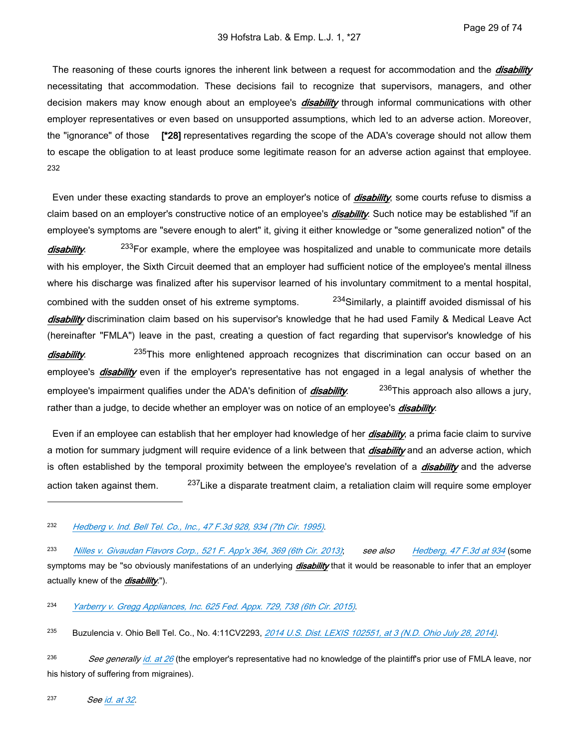The reasoning of these courts ignores the inherent link between a request for accommodation and the *disability* necessitating that accommodation. These decisions fail to recognize that supervisors, managers, and other decision makers may know enough about an employee's *disability* through informal communications with other employer representatives or even based on unsupported assumptions, which led to an adverse action. Moreover, the "ignorance" of those **[\*28]** representatives regarding the scope of the ADA's coverage should not allow them to escape the obligation to at least produce some legitimate reason for an adverse action against that employee. 232

 Even under these exacting standards to prove an employer's notice of *disability*, some courts refuse to dismiss a claim based on an employer's constructive notice of an employee's *disability*. Such notice may be established "if an employee's symptoms are "severe enough to alert" it, giving it either knowledge or "some generalized notion" of the

*disability*. <sup>233</sup>For example, where the employee was hospitalized and unable to communicate more details with his employer, the Sixth Circuit deemed that an employer had sufficient notice of the employee's mental illness where his discharge was finalized after his supervisor learned of his involuntary commitment to a mental hospital, combined with the sudden onset of his extreme symptoms.  $234$ Similarly, a plaintiff avoided dismissal of his *disability* discrimination claim based on his supervisor's knowledge that he had used Family & Medical Leave Act (hereinafter "FMLA") leave in the past, creating a question of fact regarding that supervisor's knowledge of his

*disability*. <sup>235</sup>This more enlightened approach recognizes that discrimination can occur based on an employee's *disability* even if the employer's representative has not engaged in a legal analysis of whether the employee's impairment qualifies under the ADA's definition of *disability*.  $236$ This approach also allows a jury, rather than a judge, to decide whether an employer was on notice of an employee's *disability*.

 Even if an employee can establish that her employer had knowledge of her *disability*, a prima facie claim to survive a motion for summary judgment will require evidence of a link between that *disability* and an adverse action, which is often established by the temporal proximity between the employee's revelation of a *disability* and the adverse action taken against them. <sup>237</sup>Like a disparate treatment claim, a retaliation claim will require some employer

236 *See generally [id. at 26](https://advance.lexis.com/api/document?collection=cases&id=urn:contentItem:45CX-7TT0-0038-X1GM-00000-00&context=1516831)* (the employer's representative had no knowledge of the plaintiff's prior use of FMLA leave, nor his history of suffering from migraines).

237 *See [id. at 32](https://advance.lexis.com/api/document?collection=cases&id=urn:contentItem:45CX-7TT0-0038-X1GM-00000-00&context=1516831)*.

<sup>232</sup>  *[Hedberg v. Ind. Bell Tel. Co., Inc., 47 F.3d 928, 934 \(7th Cir. 1995\)](https://advance.lexis.com/api/document?collection=cases&id=urn:contentItem:3S3D-8J20-001T-D1TK-00000-00&context=1516831)*.

<sup>233</sup>  *[Nilles v. Givaudan Flavors Corp., 521 F. App'x 364, 369 \(6th Cir. 2013\)](https://advance.lexis.com/api/document?collection=cases&id=urn:contentItem:582T-BS71-F04K-P0RJ-00000-00&context=1516831)*; *see also [Hedberg, 47 F.3d at 934](https://advance.lexis.com/api/document?collection=cases&id=urn:contentItem:3S3D-8J20-001T-D1TK-00000-00&context=1516831)* (some symptoms may be "so obviously manifestations of an underlying *disability* that it would be reasonable to infer that an employer actually knew of the *disability*.").

<sup>234</sup>  *[Yarberry v. Gregg Appliances, Inc. 625 Fed. Appx. 729, 738 \(6th Cir. 2015\)](https://advance.lexis.com/api/document?collection=cases&id=urn:contentItem:5GV5-NPG1-F04K-P002-00000-00&context=1516831)*.

<sup>235</sup>Buzulencia v. Ohio Bell Tel. Co., No. 4:11CV2293, *[2014 U.S. Dist. LEXIS 102551, at 3 \(N.D. Ohio July 28, 2014\)](https://advance.lexis.com/api/document?collection=cases&id=urn:contentItem:5CSK-50H1-F04F-11YW-00000-00&context=1516831)*.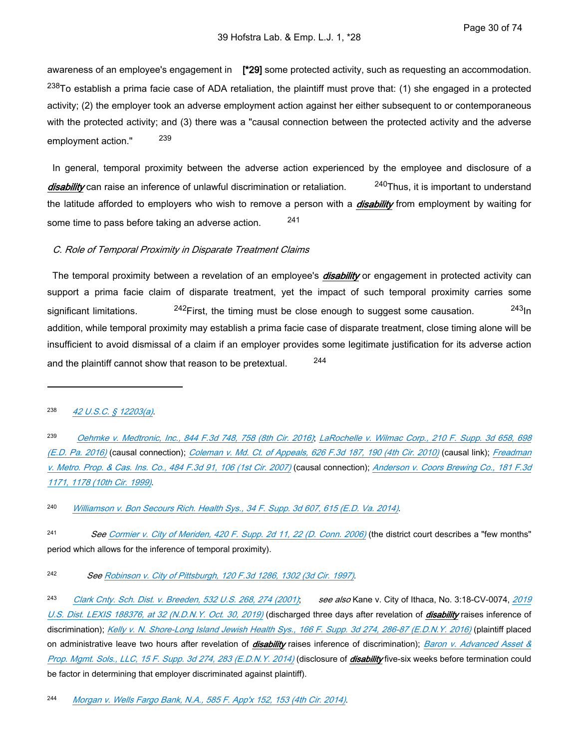awareness of an employee's engagement in **[\*29]** some protected activity, such as requesting an accommodation. <sup>238</sup>To establish a prima facie case of ADA retaliation, the plaintiff must prove that: (1) she engaged in a protected activity; (2) the employer took an adverse employment action against her either subsequent to or contemporaneous with the protected activity; and (3) there was a "causal connection between the protected activity and the adverse employment action." 239

 In general, temporal proximity between the adverse action experienced by the employee and disclosure of a disability can raise an inference of unlawful discrimination or retaliation. <sup>240</sup>Thus, it is important to understand the latitude afforded to employers who wish to remove a person with a *disability* from employment by waiting for some time to pass before taking an adverse action. 241

#### *C. Role of Temporal Proximity in Disparate Treatment Claims*

 The temporal proximity between a revelation of an employee's *disability* or engagement in protected activity can support a prima facie claim of disparate treatment, yet the impact of such temporal proximity carries some significant limitations. <sup>242</sup>First, the timing must be close enough to suggest some causation. <sup>243</sup>In addition, while temporal proximity may establish a prima facie case of disparate treatment, close timing alone will be insufficient to avoid dismissal of a claim if an employer provides some legitimate justification for its adverse action and the plaintiff cannot show that reason to be pretextual. 244

240 *[Williamson v. Bon Secours Rich. Health Sys., 34 F. Supp. 3d 607, 615 \(E.D. Va. 2014\)](https://advance.lexis.com/api/document?collection=cases&id=urn:contentItem:5CSF-X9V1-F04F-F17R-00000-00&context=1516831)*.

241 *See [Cormier v. City of Meriden, 420 F. Supp. 2d 11, 22 \(D. Conn. 2006\)](https://advance.lexis.com/api/document?collection=cases&id=urn:contentItem:4JGC-T3Y0-0038-Y4Y9-00000-00&context=1516831)* (the district court describes a "few months" period which allows for the inference of temporal proximity).

242 *See [Robinson v. City of Pittsburgh, 120 F.3d 1286, 1302 \(3d Cir. 1997\)](https://advance.lexis.com/api/document?collection=cases&id=urn:contentItem:3S4X-FD20-00B1-D0T7-00000-00&context=1516831)*.

<sup>238</sup>  *[42 U.S.C. § 12203\(a\)](https://advance.lexis.com/api/document?collection=statutes-legislation&id=urn:contentItem:8SHT-0732-D6RV-H0XC-00000-00&context=1516831)*.

<sup>239</sup>  *[Oehmke v. Medtronic, Inc., 844 F.3d 748, 758 \(8th Cir. 2016\)](https://advance.lexis.com/api/document?collection=cases&id=urn:contentItem:5MFN-XV51-F04K-S07K-00000-00&context=1516831)*; *[LaRochelle v. Wilmac Corp., 210 F. Supp. 3d 658, 698](https://advance.lexis.com/api/document?collection=cases&id=urn:contentItem:5KTK-76G1-F04F-408Y-00000-00&context=1516831)  [\(E.D. Pa. 2016\)](https://advance.lexis.com/api/document?collection=cases&id=urn:contentItem:5KTK-76G1-F04F-408Y-00000-00&context=1516831)* (causal connection); *[Coleman v. Md. Ct. of Appeals, 626 F.3d 187, 190 \(4th Cir. 2010\)](https://advance.lexis.com/api/document?collection=cases&id=urn:contentItem:51F9-VPM1-652R-2000-00000-00&context=1516831)* (causal link); *[Freadman](https://advance.lexis.com/api/document?collection=cases&id=urn:contentItem:4NHP-51S0-0038-X4HR-00000-00&context=1516831)  [v. Metro. Prop. & Cas. Ins. Co., 484 F.3d 91, 106 \(1st Cir. 2007\)](https://advance.lexis.com/api/document?collection=cases&id=urn:contentItem:4NHP-51S0-0038-X4HR-00000-00&context=1516831)* (causal connection); *[Anderson v. Coors Brewing Co., 181 F.3d](https://advance.lexis.com/api/document?collection=cases&id=urn:contentItem:3WVB-7850-0038-X423-00000-00&context=1516831)  [1171, 1178 \(10th Cir. 1999\)](https://advance.lexis.com/api/document?collection=cases&id=urn:contentItem:3WVB-7850-0038-X423-00000-00&context=1516831)*.

<sup>243</sup>  *[Clark Cnty. Sch. Dist. v. Breeden, 532 U.S. 268, 274 \(2001\)](https://advance.lexis.com/api/document?collection=cases&id=urn:contentItem:42WG-7220-004B-Y04F-00000-00&context=1516831)*; *see also* Kane v. City of Ithaca, No. 3:18-CV-0074, *[2019](https://advance.lexis.com/api/document?collection=cases&id=urn:contentItem:5XD2-8521-F956-S2KM-00000-00&context=1516831)  [U.S. Dist. LEXIS 188376, at 32 \(N.D.N.Y. Oct. 30, 2019\)](https://advance.lexis.com/api/document?collection=cases&id=urn:contentItem:5XD2-8521-F956-S2KM-00000-00&context=1516831)* (discharged three days after revelation of *disability* raises inference of discrimination); *[Kelly v. N. Shore-Long Island Jewish Health Sys., 166 F. Supp. 3d 274, 286-87 \(E.D.N.Y. 2016\)](https://advance.lexis.com/api/document?collection=cases&id=urn:contentItem:5HVS-61H1-F04F-02XK-00000-00&context=1516831)* (plaintiff placed on administrative leave two hours after revelation of *disability* raises inference of discrimination); *[Baron v. Advanced Asset &](https://advance.lexis.com/api/document?collection=cases&id=urn:contentItem:5C38-XGS1-F04F-013V-00000-00&context=1516831)  [Prop. Mgmt. Sols., LLC, 15 F. Supp. 3d 274, 283 \(E.D.N.Y. 2014\)](https://advance.lexis.com/api/document?collection=cases&id=urn:contentItem:5C38-XGS1-F04F-013V-00000-00&context=1516831)* (disclosure of *disability* five-six weeks before termination could be factor in determining that employer discriminated against plaintiff).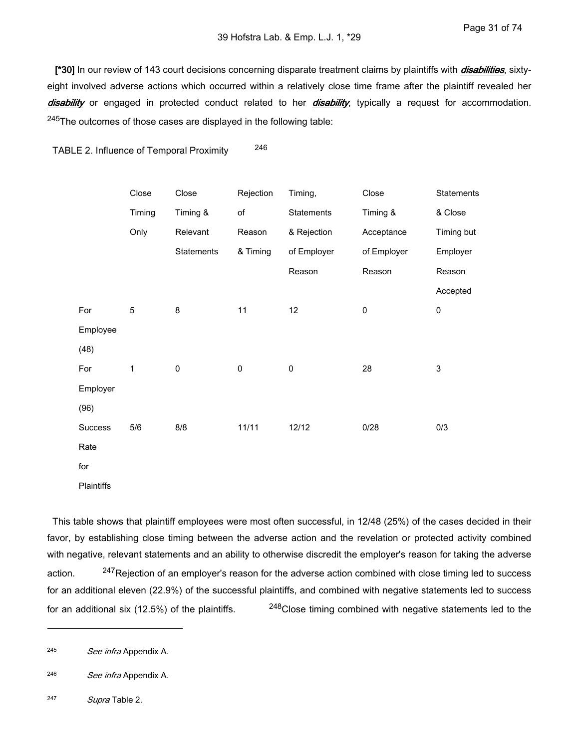**[\*30]** In our review of 143 court decisions concerning disparate treatment claims by plaintiffs with *disabilities*, sixtyeight involved adverse actions which occurred within a relatively close time frame after the plaintiff revealed her *disability* or engaged in protected conduct related to her *disability*, typically a request for accommodation.  $245$ The outcomes of those cases are displayed in the following table:

TABLE 2. Influence of Temporal Proximity 246

|          | Close  | Close      | Rejection   | Timing,     | Close       | Statements  |
|----------|--------|------------|-------------|-------------|-------------|-------------|
|          | Timing | Timing &   | of          | Statements  | Timing &    | & Close     |
|          | Only   | Relevant   | Reason      | & Rejection | Acceptance  | Timing but  |
|          |        | Statements | & Timing    | of Employer | of Employer | Employer    |
|          |        |            |             | Reason      | Reason      | Reason      |
|          |        |            |             |             |             | Accepted    |
| For      | 5      | 8          | 11          | 12          | $\pmb{0}$   | $\pmb{0}$   |
| Employee |        |            |             |             |             |             |
| (48)     |        |            |             |             |             |             |
| For      | 1      | $\pmb{0}$  | $\mathbf 0$ | $\pmb{0}$   | 28          | $\mathsf 3$ |
| Employer |        |            |             |             |             |             |
| (96)     |        |            |             |             |             |             |
| Success  | 5/6    | 8/8        | 11/11       | 12/12       | 0/28        | 0/3         |
| Rate     |        |            |             |             |             |             |
| for      |        |            |             |             |             |             |
|          |        |            |             |             |             |             |

**Plaintiffs** 

 This table shows that plaintiff employees were most often successful, in 12/48 (25%) of the cases decided in their favor, by establishing close timing between the adverse action and the revelation or protected activity combined with negative, relevant statements and an ability to otherwise discredit the employer's reason for taking the adverse action. <sup>247</sup>Rejection of an employer's reason for the adverse action combined with close timing led to success for an additional eleven (22.9%) of the successful plaintiffs, and combined with negative statements led to success for an additional six (12.5%) of the plaintiffs.  $^{248}$ Close timing combined with negative statements led to the

247 *Supra* Table 2.

<sup>245</sup>  *See infra* Appendix A.

<sup>246</sup>  *See infra* Appendix A.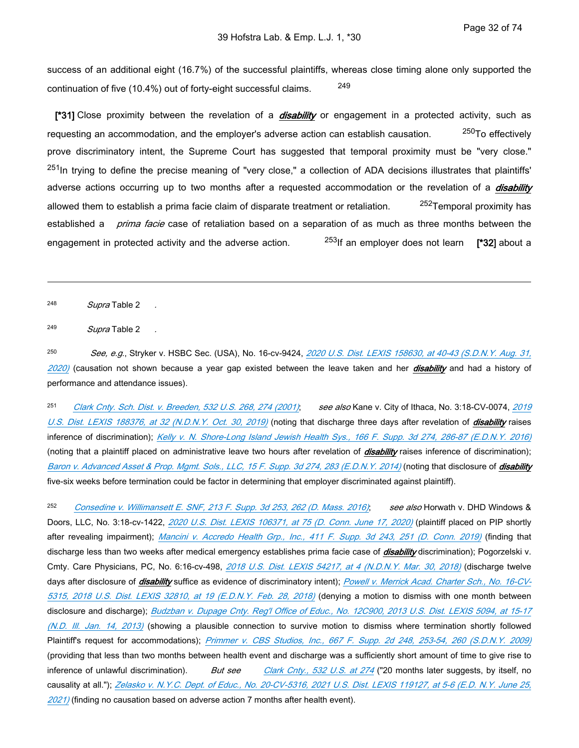success of an additional eight (16.7%) of the successful plaintiffs, whereas close timing alone only supported the continuation of five (10.4%) out of forty-eight successful claims. <sup>249</sup>

 **[\*31]** Close proximity between the revelation of a *disability* or engagement in a protected activity, such as requesting an accommodation, and the employer's adverse action can establish causation. <sup>250</sup>To effectively prove discriminatory intent, the Supreme Court has suggested that temporal proximity must be "very close." <sup>251</sup>In trying to define the precise meaning of "very close," a collection of ADA decisions illustrates that plaintiffs' adverse actions occurring up to two months after a requested accommodation or the revelation of a *disability* allowed them to establish a prima facie claim of disparate treatment or retaliation. <sup>252</sup>Temporal proximity has established a *prima facie* case of retaliation based on a separation of as much as three months between the engagement in protected activity and the adverse action. <sup>253</sup>If an employer does not learn **[\*32]** about a

248 *Supra* Table 2 *.*

249 *Supra* Table 2 *.*

250 *See, e.g*., Stryker v. HSBC Sec. (USA), No. 16-cv-9424, *[2020 U.S. Dist. LEXIS 158630, at 40-43 \(S.D.N.Y. Aug. 31,](https://advance.lexis.com/api/document?collection=cases&id=urn:contentItem:60R9-M4T1-F5DR-223V-00000-00&context=1516831)  [2020\)](https://advance.lexis.com/api/document?collection=cases&id=urn:contentItem:60R9-M4T1-F5DR-223V-00000-00&context=1516831)* (causation not shown because a year gap existed between the leave taken and her *disability* and had a history of performance and attendance issues).

251 *[Clark Cnty. Sch. Dist. v. Breeden, 532 U.S. 268, 274 \(2001\)](https://advance.lexis.com/api/document?collection=cases&id=urn:contentItem:42WG-7220-004B-Y04F-00000-00&context=1516831)*; *see also* Kane v. City of Ithaca, No. 3:18-CV-0074, *[2019](https://advance.lexis.com/api/document?collection=cases&id=urn:contentItem:5XD2-8521-F956-S2KM-00000-00&context=1516831)  [U.S. Dist. LEXIS 188376, at 32 \(N.D.N.Y. Oct. 30, 2019\)](https://advance.lexis.com/api/document?collection=cases&id=urn:contentItem:5XD2-8521-F956-S2KM-00000-00&context=1516831)* (noting that discharge three days after revelation of *disability* raises inference of discrimination); *[Kelly v. N. Shore-Long Island Jewish Health Sys., 166 F. Supp. 3d 274, 286-87 \(E.D.N.Y. 2016\)](https://advance.lexis.com/api/document?collection=cases&id=urn:contentItem:5HVS-61H1-F04F-02XK-00000-00&context=1516831)* (noting that a plaintiff placed on administrative leave two hours after revelation of *disability* raises inference of discrimination); *[Baron v. Advanced Asset & Prop. Mgmt. Sols., LLC, 15 F. Supp. 3d 274, 283 \(E.D.N.Y. 2014\)](https://advance.lexis.com/api/document?collection=cases&id=urn:contentItem:5C38-XGS1-F04F-013V-00000-00&context=1516831)* (noting that disclosure of *disability* five-six weeks before termination could be factor in determining that employer discriminated against plaintiff).

252 *[Consedine v. Willimansett E. SNF, 213 F. Supp. 3d 253, 262 \(D. Mass. 2016\)](https://advance.lexis.com/api/document?collection=cases&id=urn:contentItem:5KVS-C8X1-F04D-D1MR-00000-00&context=1516831)*; *see also* Horwath v. DHD Windows & Doors, LLC, No. 3:18-cv-1422, *[2020 U.S. Dist. LEXIS 106371, at 75 \(D. Conn. June 17, 2020\)](https://advance.lexis.com/api/document?collection=cases&id=urn:contentItem:605B-8BS1-FFMK-M2C7-00000-00&context=1516831)* (plaintiff placed on PIP shortly after revealing impairment); *[Mancini v. Accredo Health Grp., Inc., 411 F. Supp. 3d 243, 251 \(D. Conn. 2019\)](https://advance.lexis.com/api/document?collection=cases&id=urn:contentItem:5WYY-9TN1-JGHR-M1PF-00000-00&context=1516831)* (finding that discharge less than two weeks after medical emergency establishes prima facie case of *disability* discrimination); Pogorzelski v. Cmty. Care Physicians, PC, No. 6:16-cv-498, *[2018 U.S. Dist. LEXIS 54217, at 4 \(N.D.N.Y. Mar. 30, 2018\)](https://advance.lexis.com/api/document?collection=cases&id=urn:contentItem:5S0F-9231-JS0R-20KC-00000-00&context=1516831)* (discharge twelve days after disclosure of *disability* suffice as evidence of discriminatory intent); *[Powell v. Merrick Acad. Charter Sch., No. 16-CV-](https://advance.lexis.com/api/document?collection=cases&id=urn:contentItem:5RS2-9B71-F22N-X4GK-00000-00&context=1516831)[5315, 2018 U.S. Dist. LEXIS 32810, at 19 \(E.D.N.Y. Feb. 28, 2018\)](https://advance.lexis.com/api/document?collection=cases&id=urn:contentItem:5RS2-9B71-F22N-X4GK-00000-00&context=1516831)* (denying a motion to dismiss with one month between disclosure and discharge); *[Budzban v. Dupage Cnty. Reg'l Office of Educ., No. 12C900, 2013 U.S. Dist. LEXIS 5094, at 15-17](https://advance.lexis.com/api/document?collection=cases&id=urn:contentItem:57H2-WR71-F04D-72X8-00000-00&context=1516831)  [\(N.D. Ill. Jan. 14, 2013\)](https://advance.lexis.com/api/document?collection=cases&id=urn:contentItem:57H2-WR71-F04D-72X8-00000-00&context=1516831)* (showing a plausible connection to survive motion to dismiss where termination shortly followed Plaintiff's request for accommodations); *[Primmer v. CBS Studios, Inc., 667 F. Supp. 2d 248, 253-54, 260 \(S.D.N.Y. 2009\)](https://advance.lexis.com/api/document?collection=cases&id=urn:contentItem:4X67-MJ90-TXFR-J26B-00000-00&context=1516831)* (providing that less than two months between health event and discharge was a sufficiently short amount of time to give rise to inference of unlawful discrimination). *But see [Clark Cnty., 532 U.S. at 274](https://advance.lexis.com/api/document?collection=cases&id=urn:contentItem:42WG-7220-004B-Y04F-00000-00&context=1516831)* ("20 months later suggests, by itself, no causality at all."); *[Zelasko v. N.Y.C. Dept. of Educ., No. 20-CV-5316, 2021 U.S. Dist. LEXIS 119127, at 5-6 \(E.D. N.Y. June 25,](https://advance.lexis.com/api/document?collection=cases&id=urn:contentItem:630T-8KD1-FD4T-B1HV-00000-00&context=1516831)  [2021\)](https://advance.lexis.com/api/document?collection=cases&id=urn:contentItem:630T-8KD1-FD4T-B1HV-00000-00&context=1516831)* (finding no causation based on adverse action 7 months after health event).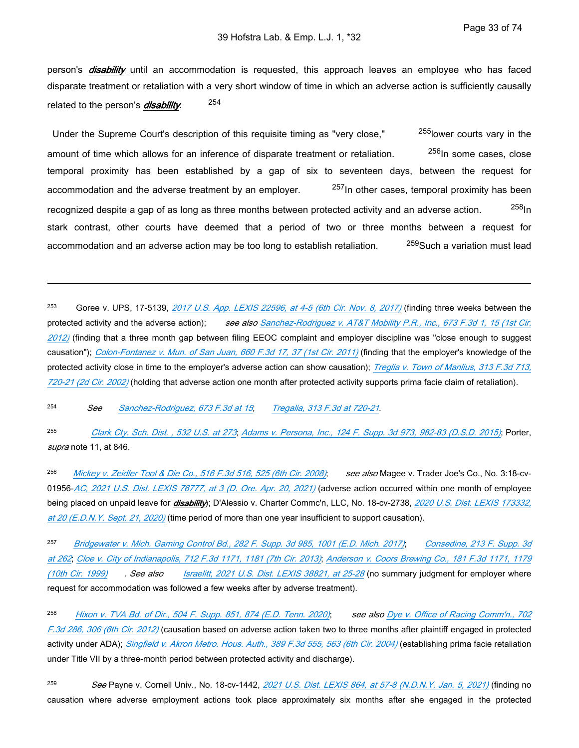person's *disability* until an accommodation is requested, this approach leaves an employee who has faced disparate treatment or retaliation with a very short window of time in which an adverse action is sufficiently causally related to the person's *disability*. 254

Under the Supreme Court's description of this requisite timing as "very close," <sup>255</sup>lower courts vary in the amount of time which allows for an inference of disparate treatment or retaliation. <sup>256</sup>In some cases, close temporal proximity has been established by a gap of six to seventeen days, between the request for accommodation and the adverse treatment by an employer. <sup>257</sup>In other cases, temporal proximity has been recognized despite a gap of as long as three months between protected activity and an adverse action. <sup>258</sup>In stark contrast, other courts have deemed that a period of two or three months between a request for accommodation and an adverse action may be too long to establish retaliation. <sup>259</sup>Such a variation must lead

<sup>253</sup>Goree v. UPS, 17-5139, *[2017 U.S. App. LEXIS 22596, at 4-5 \(6th Cir. Nov. 8, 2017\)](https://advance.lexis.com/api/document?collection=cases&id=urn:contentItem:5PXB-MPD1-F04K-P0SB-00000-00&context=1516831)* (finding three weeks between the protected activity and the adverse action); *see also [Sanchez-Rodriguez v. AT&T Mobility P.R., Inc., 673 F.3d 1, 15 \(1st Cir.](https://advance.lexis.com/api/document?collection=cases&id=urn:contentItem:554H-N161-F04K-H03Y-00000-00&context=1516831)  [2012\)](https://advance.lexis.com/api/document?collection=cases&id=urn:contentItem:554H-N161-F04K-H03Y-00000-00&context=1516831)* (finding that a three month gap between filing EEOC complaint and employer discipline was "close enough to suggest causation"); *[Colon-Fontanez v. Mun. of San Juan, 660 F.3d 17, 37 \(1st Cir. 2011\)](https://advance.lexis.com/api/document?collection=cases&id=urn:contentItem:83D0-CT11-652P-Y07T-00000-00&context=1516831)* (finding that the employer's knowledge of the protected activity close in time to the employer's adverse action can show causation); *[Treglia v. Town of Manlius, 313 F.3d 713,](https://advance.lexis.com/api/document?collection=cases&id=urn:contentItem:47GB-6BX0-0038-X2FV-00000-00&context=1516831)  [720-21 \(2d Cir. 2002\)](https://advance.lexis.com/api/document?collection=cases&id=urn:contentItem:47GB-6BX0-0038-X2FV-00000-00&context=1516831)* (holding that adverse action one month after protected activity supports prima facie claim of retaliation).

254 *See [Sanchez-Rodriguez, 673 F.3d at 15](https://advance.lexis.com/api/document?collection=cases&id=urn:contentItem:554H-N161-F04K-H03Y-00000-00&context=1516831)*; *[Tregalia, 313 F.3d at 720-21](https://advance.lexis.com/api/document?collection=cases&id=urn:contentItem:47GB-6BX0-0038-X2FV-00000-00&context=1516831)*.

255 *[Clark Cty. Sch. Dist. , 532 U.S. at 273](https://advance.lexis.com/api/document?collection=cases&id=urn:contentItem:42WG-7220-004B-Y04F-00000-00&context=1516831)*; *[Adams v. Persona, Inc., 124 F. Supp. 3d 973, 982-83 \(D.S.D. 2015\)](https://advance.lexis.com/api/document?collection=cases&id=urn:contentItem:5GRF-B771-F04F-9003-00000-00&context=1516831)*; Porter, *supra* note 11, at 846.

256 *[Mickey v. Zeidler Tool & Die Co., 516 F.3d 516, 525 \(6th Cir. 2008\)](https://advance.lexis.com/api/document?collection=cases&id=urn:contentItem:4RR3-MP10-TXFX-83B4-00000-00&context=1516831)*; *see also* Magee v. Trader Joe's Co., No. 3:18-cv-01956-*[AC, 2021 U.S. Dist. LEXIS 76777, at 3 \(D. Ore. Apr. 20, 2021\)](https://advance.lexis.com/api/document?collection=cases&id=urn:contentItem:62GR-SWD1-JWJ0-G2RX-00000-00&context=1516831)* (adverse action occurred within one month of employee being placed on unpaid leave for *disability*); D'Alessio v. Charter Commc'n, LLC, No. 18-cv-2738, *[2020 U.S. Dist. LEXIS 173332,](https://advance.lexis.com/api/document?collection=cases&id=urn:contentItem:60WV-2321-JW5H-X3T2-00000-00&context=1516831)  [at 20 \(E.D.N.Y. Sept. 21, 2020\)](https://advance.lexis.com/api/document?collection=cases&id=urn:contentItem:60WV-2321-JW5H-X3T2-00000-00&context=1516831)* (time period of more than one year insufficient to support causation).

257 *[Bridgewater v. Mich. Gaming Control Bd., 282 F. Supp. 3d 985, 1001 \(E.D. Mich. 2017\)](https://advance.lexis.com/api/document?collection=cases&id=urn:contentItem:5PP0-86Y1-F04D-H3M5-00000-00&context=1516831)*; *[Consedine, 213 F. Supp. 3d](https://advance.lexis.com/api/document?collection=cases&id=urn:contentItem:5KVS-C8X1-F04D-D1MR-00000-00&context=1516831)  [at 262](https://advance.lexis.com/api/document?collection=cases&id=urn:contentItem:5KVS-C8X1-F04D-D1MR-00000-00&context=1516831)*; *[Cloe v. City of Indianapolis, 712 F.3d 1171, 1181 \(7th Cir. 2013\)](https://advance.lexis.com/api/document?collection=cases&id=urn:contentItem:5855-4FY1-F04K-R0XS-00000-00&context=1516831)*; *[Anderson v. Coors Brewing Co., 181 F.3d 1171, 1179](https://advance.lexis.com/api/document?collection=cases&id=urn:contentItem:3WVB-7850-0038-X423-00000-00&context=1516831)  [\(10th Cir. 1999\)](https://advance.lexis.com/api/document?collection=cases&id=urn:contentItem:3WVB-7850-0038-X423-00000-00&context=1516831) . See also [Israelitt, 2021 U.S. Dist. LEXIS 38821, at 25-28](https://advance.lexis.com/api/document?collection=cases&id=urn:contentItem:6249-BBY1-JX3N-B2ND-00000-00&context=1516831)* (no summary judgment for employer where request for accommodation was followed a few weeks after by adverse treatment).

258 *[Hixon v. TVA Bd. of Dir., 504 F. Supp. 851, 874 \(E.D. Tenn. 2020\)](https://advance.lexis.com/api/document?collection=cases&id=urn:contentItem:3S4N-W7V0-0039-S3WV-00000-00&context=1516831)*; *see also [Dye v. Office of Racing Comm'n., 702](https://advance.lexis.com/api/document?collection=cases&id=urn:contentItem:5798-MD91-F04K-P3F1-00000-00&context=1516831)  [F.3d 286, 306 \(6th Cir. 2012\)](https://advance.lexis.com/api/document?collection=cases&id=urn:contentItem:5798-MD91-F04K-P3F1-00000-00&context=1516831)* (causation based on adverse action taken two to three months after plaintiff engaged in protected activity under ADA); *[Singfield v. Akron Metro. Hous. Auth., 389 F.3d 555, 563 \(6th Cir. 2004\)](https://advance.lexis.com/api/document?collection=cases&id=urn:contentItem:4DS3-R6D0-TVRV-B2GP-00000-00&context=1516831)* (establishing prima facie retaliation under Title VII by a three-month period between protected activity and discharge).

259 *See* Payne v. Cornell Univ., No. 18-cv-1442, *[2021 U.S. Dist. LEXIS 864, at 57-8 \(N.D.N.Y. Jan. 5, 2021\)](https://advance.lexis.com/api/document?collection=cases&id=urn:contentItem:61PB-B2G1-JNCK-217Y-00000-00&context=1516831)* (finding no causation where adverse employment actions took place approximately six months after she engaged in the protected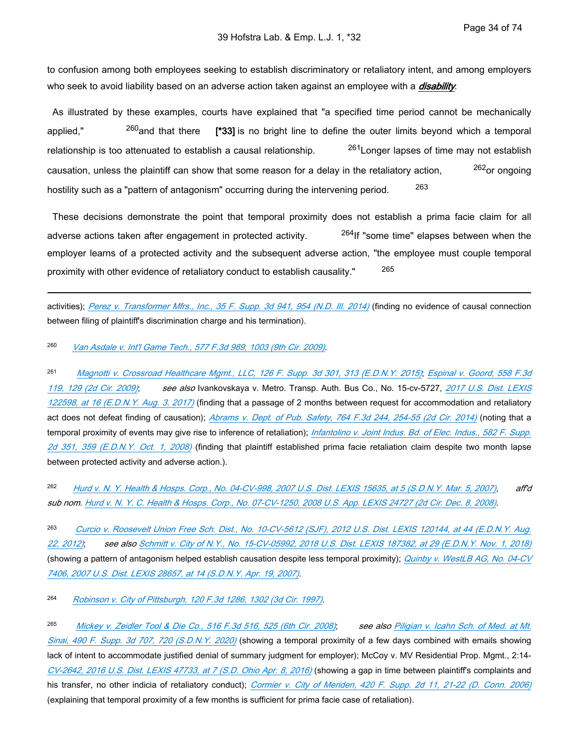to confusion among both employees seeking to establish discriminatory or retaliatory intent, and among employers who seek to avoid liability based on an adverse action taken against an employee with a *disability*.

 As illustrated by these examples, courts have explained that "a specified time period cannot be mechanically applied," 260and that there **[\*33]** is no bright line to define the outer limits beyond which a temporal relationship is too attenuated to establish a causal relationship. <sup>261</sup>Longer lapses of time may not establish causation, unless the plaintiff can show that some reason for a delay in the retaliatory action, <sup>262</sup>or ongoing hostility such as a "pattern of antagonism" occurring during the intervening period. <sup>263</sup>

 These decisions demonstrate the point that temporal proximity does not establish a prima facie claim for all adverse actions taken after engagement in protected activity. <sup>264</sup>If "some time" elapses between when the employer learns of a protected activity and the subsequent adverse action, "the employee must couple temporal proximity with other evidence of retaliatory conduct to establish causality." 265

activities); *[Perez v. Transformer Mfrs., Inc., 35 F. Supp. 3d 941, 954 \(N.D. Ill. 2014\)](https://advance.lexis.com/api/document?collection=cases&id=urn:contentItem:5BTM-1VM1-F04D-710T-00000-00&context=1516831)* (finding no evidence of causal connection between filing of plaintiff's discrimination charge and his termination).

260 *[Van Asdale v. Int'l Game Tech., 577 F.3d 989, 1003 \(9th Cir. 2009\)](https://advance.lexis.com/api/document?collection=cases&id=urn:contentItem:4X0G-TTY0-TXFX-D31R-00000-00&context=1516831)*.

261 *[Magnotti v. Crossroad Healthcare Mgmt., LLC, 126 F. Supp. 3d 301, 313 \(E.D.N.Y. 2015\)](https://advance.lexis.com/api/document?collection=cases&id=urn:contentItem:5GVB-GC21-F04F-0004-00000-00&context=1516831)*; *[Espinal v. Goord, 558 F.3d](https://advance.lexis.com/api/document?collection=cases&id=urn:contentItem:4VW5-SB00-TXFX-42RN-00000-00&context=1516831)  [119, 129 \(2d Cir. 2009\)](https://advance.lexis.com/api/document?collection=cases&id=urn:contentItem:4VW5-SB00-TXFX-42RN-00000-00&context=1516831)*; *see also* Ivankovskaya v. Metro. Transp. Auth. Bus Co., No. 15-cv-5727, *[2017 U.S. Dist. LEXIS](https://advance.lexis.com/api/document?collection=cases&id=urn:contentItem:5P5G-7B31-F04F-02R4-00000-00&context=1516831)  [122598, at 16 \(E.D.N.Y. Aug. 3, 2017\)](https://advance.lexis.com/api/document?collection=cases&id=urn:contentItem:5P5G-7B31-F04F-02R4-00000-00&context=1516831)* (finding that a passage of 2 months between request for accommodation and retaliatory act does not defeat finding of causation); *[Abrams v. Dept. of Pub. Safety, 764 F.3d 244, 254-55 \(2d Cir. 2014\)](https://advance.lexis.com/api/document?collection=cases&id=urn:contentItem:5D0M-KN11-F04K-J037-00000-00&context=1516831)* (noting that a temporal proximity of events may give rise to inference of retaliation); *[Infantolino v. Joint Indus. Bd. of Elec. Indus., 582 F. Supp.](https://advance.lexis.com/api/document?collection=cases&id=urn:contentItem:4TKH-S0X0-TXFR-J2H3-00000-00&context=1516831)  [2d 351, 359 \(E.D.N.Y. Oct. 1, 2008\)](https://advance.lexis.com/api/document?collection=cases&id=urn:contentItem:4TKH-S0X0-TXFR-J2H3-00000-00&context=1516831)* (finding that plaintiff established prima facie retaliation claim despite two month lapse between protected activity and adverse action.).

262 *[Hurd v. N. Y. Health & Hosps. Corp., No. 04-CV-998, 2007 U.S. Dist. LEXIS 15635, at 5 \(S.D.N.Y. Mar. 5, 2007\)](https://advance.lexis.com/api/document?collection=cases&id=urn:contentItem:4N6N-X2P0-TVW3-P39F-00000-00&context=1516831)*, *aff'd sub nom*. *[Hurd v. N. Y. C. Health & Hosps. Corp., No. 07-CV-1250, 2008 U.S. App. LEXIS 24727 \(2d Cir. Dec. 8, 2008\)](https://advance.lexis.com/api/document?collection=cases&id=urn:contentItem:4V3V-5VJ0-TXFX-4380-00000-00&context=1516831)*.

263 *[Curcio v. Roosevelt Union Free Sch. Dist., No. 10-CV-5612 \(SJF\), 2012 U.S. Dist. LEXIS 120144, at 44 \(E.D.N.Y. Aug.](https://advance.lexis.com/api/document?collection=cases&id=urn:contentItem:56DF-SG71-F04F-051K-00000-00&context=1516831)  [22, 2012\)](https://advance.lexis.com/api/document?collection=cases&id=urn:contentItem:56DF-SG71-F04F-051K-00000-00&context=1516831)*; *see also [Schmitt v. City of N.Y., No. 15-CV-05992, 2018 U.S. Dist. LEXIS 187382, at 29 \(E.D.N.Y. Nov. 1, 2018\)](https://advance.lexis.com/api/document?collection=cases&id=urn:contentItem:5TMG-YXR1-JFDC-X19Y-00000-00&context=1516831)* (showing a pattern of antagonism helped establish causation despite less temporal proximity); *[Quinby v. WestLB AG, No. 04-CV](https://advance.lexis.com/api/document?collection=cases&id=urn:contentItem:4NHW-VMD0-TVW3-P266-00000-00&context=1516831)  [7406, 2007 U.S. Dist. LEXIS 28657, at 14 \(S.D.N.Y. Apr. 19, 2007\)](https://advance.lexis.com/api/document?collection=cases&id=urn:contentItem:4NHW-VMD0-TVW3-P266-00000-00&context=1516831)*.

264 *[Robinson v. City of Pittsburgh, 120 F.3d 1286, 1302 \(3d Cir. 1997\)](https://advance.lexis.com/api/document?collection=cases&id=urn:contentItem:3S4X-FD20-00B1-D0T7-00000-00&context=1516831)*.

265 *[Mickey v. Zeidler Tool & Die Co., 516 F.3d 516, 525 \(6th Cir. 2008\)](https://advance.lexis.com/api/document?collection=cases&id=urn:contentItem:4RR3-MP10-TXFX-83B4-00000-00&context=1516831)*; *see also [Piligian v. Icahn Sch. of Med. at Mt.](https://advance.lexis.com/api/document?collection=cases&id=urn:contentItem:60Y4-MGW1-F65M-614W-00000-00&context=1516831)  [Sinai, 490 F. Supp. 3d 707, 720 \(S.D.N.Y. 2020\)](https://advance.lexis.com/api/document?collection=cases&id=urn:contentItem:60Y4-MGW1-F65M-614W-00000-00&context=1516831)* (showing a temporal proximity of a few days combined with emails showing lack of intent to accommodate justified denial of summary judgment for employer); McCoy v. MV Residential Prop. Mgmt., 2:14- *[CV-2642, 2016 U.S. Dist. LEXIS 47733, at 7 \(S.D. Ohio Apr. 8, 2016\)](https://advance.lexis.com/api/document?collection=cases&id=urn:contentItem:5JGT-0J71-F04F-11FH-00000-00&context=1516831)* (showing a gap in time between plaintiff's complaints and his transfer, no other indicia of retaliatory conduct); *[Cormier v. City of Meriden, 420 F. Supp. 2d 11, 21-22 \(D. Conn. 2006\)](https://advance.lexis.com/api/document?collection=cases&id=urn:contentItem:4JGC-T3Y0-0038-Y4Y9-00000-00&context=1516831)* (explaining that temporal proximity of a few months is sufficient for prima facie case of retaliation).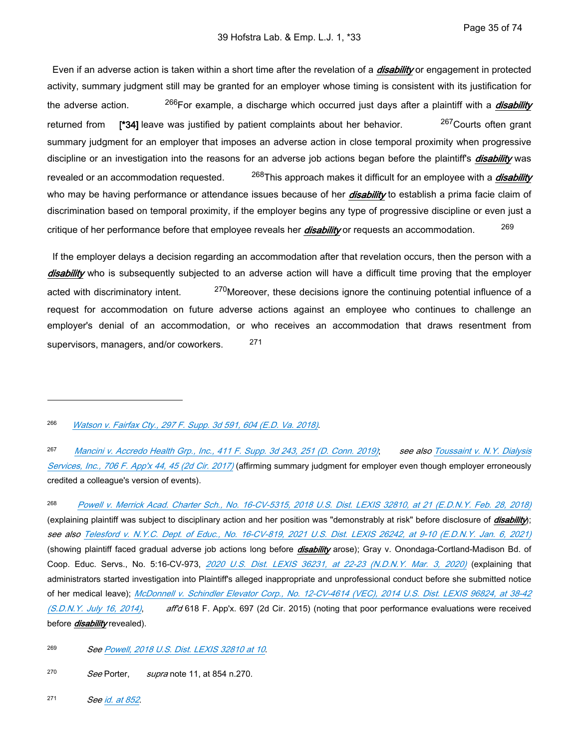Even if an adverse action is taken within a short time after the revelation of a *disability* or engagement in protected activity, summary judgment still may be granted for an employer whose timing is consistent with its justification for the adverse action. 266For example, a discharge which occurred just days after a plaintiff with a *disability* returned from [\*34] leave was justified by patient complaints about her behavior. <sup>267</sup>Courts often grant summary judgment for an employer that imposes an adverse action in close temporal proximity when progressive discipline or an investigation into the reasons for an adverse job actions began before the plaintiff's *disability* was revealed or an accommodation requested. 268This approach makes it difficult for an employee with a *disability* who may be having performance or attendance issues because of her *disability* to establish a prima facie claim of discrimination based on temporal proximity, if the employer begins any type of progressive discipline or even just a critique of her performance before that employee reveals her *disability* or requests an accommodation. 269

 If the employer delays a decision regarding an accommodation after that revelation occurs, then the person with a *disability* who is subsequently subjected to an adverse action will have a difficult time proving that the employer acted with discriminatory intent. <sup>270</sup>Moreover, these decisions ignore the continuing potential influence of a request for accommodation on future adverse actions against an employee who continues to challenge an employer's denial of an accommodation, or who receives an accommodation that draws resentment from supervisors, managers, and/or coworkers. 271

#### 266 *[Watson v. Fairfax Cty., 297 F. Supp. 3d 591, 604 \(E.D. Va. 2018\)](https://advance.lexis.com/api/document?collection=cases&id=urn:contentItem:5RS4-PN61-F8SS-60GJ-00000-00&context=1516831)*.

267 *[Mancini v. Accredo Health Grp., Inc., 411 F. Supp. 3d 243, 251 \(D. Conn. 2019\)](https://advance.lexis.com/api/document?collection=cases&id=urn:contentItem:5WYY-9TN1-JGHR-M1PF-00000-00&context=1516831)*; *see also [Toussaint v. N.Y. Dialysis](https://advance.lexis.com/api/document?collection=cases&id=urn:contentItem:5R6W-88S1-F04K-J1SV-00000-00&context=1516831)  [Services, Inc., 706 F. App'x 44, 45 \(2d Cir. 2017\)](https://advance.lexis.com/api/document?collection=cases&id=urn:contentItem:5R6W-88S1-F04K-J1SV-00000-00&context=1516831)* (affirming summary judgment for employer even though employer erroneously credited a colleague's version of events).

268 *[Powell v. Merrick Acad. Charter Sch., No. 16-CV-5315, 2018 U.S. Dist. LEXIS 32810, at 21 \(E.D.N.Y. Feb. 28, 2018\)](https://advance.lexis.com/api/document?collection=cases&id=urn:contentItem:5RS2-9B71-F22N-X4GK-00000-00&context=1516831)* (explaining plaintiff was subject to disciplinary action and her position was "demonstrably at risk" before disclosure of *disability*); *see also [Telesford v. N.Y.C. Dept. of Educ., No. 16-CV-819, 2021 U.S. Dist. LEXIS 26242, at 9-10 \(E.D.N.Y. Jan. 6, 2021\)](https://advance.lexis.com/api/document?collection=cases&id=urn:contentItem:6204-5F91-F7VM-S2BR-00000-00&context=1516831)* (showing plaintiff faced gradual adverse job actions long before *disability* arose); Gray v. Onondaga-Cortland-Madison Bd. of Coop. Educ. Servs., No. 5:16-CV-973, *[2020 U.S. Dist. LEXIS 36231, at 22-23 \(N.D.N.Y. Mar. 3, 2020\)](https://advance.lexis.com/api/document?collection=cases&id=urn:contentItem:5YBN-GJ01-FGRY-B2NM-00000-00&context=1516831)* (explaining that administrators started investigation into Plaintiff's alleged inappropriate and unprofessional conduct before she submitted notice of her medical leave); *[McDonnell v. Schindler Elevator Corp., No. 12-CV-4614 \(VEC\), 2014 U.S. Dist. LEXIS 96824, at 38-42](https://advance.lexis.com/api/document?collection=cases&id=urn:contentItem:5CNX-NMJ1-F04F-047D-00000-00&context=1516831)  [\(S.D.N.Y. July 16, 2014\)](https://advance.lexis.com/api/document?collection=cases&id=urn:contentItem:5CNX-NMJ1-F04F-047D-00000-00&context=1516831)*, *aff'd* 618 F. App'x. 697 (2d Cir. 2015) (noting that poor performance evaluations were received before *disability* revealed).

- 269 *See [Powell, 2018 U.S. Dist. LEXIS 32810 at 10](https://advance.lexis.com/api/document?collection=cases&id=urn:contentItem:5RS2-9B71-F22N-X4GK-00000-00&context=1516831)*.
- 270 *See* Porter, *supra* note 11, at 854 n.270.
- 271 *See [id. at 852](https://advance.lexis.com/api/document?collection=cases&id=urn:contentItem:3S4N-W7V0-0039-S3WV-00000-00&context=1516831)*.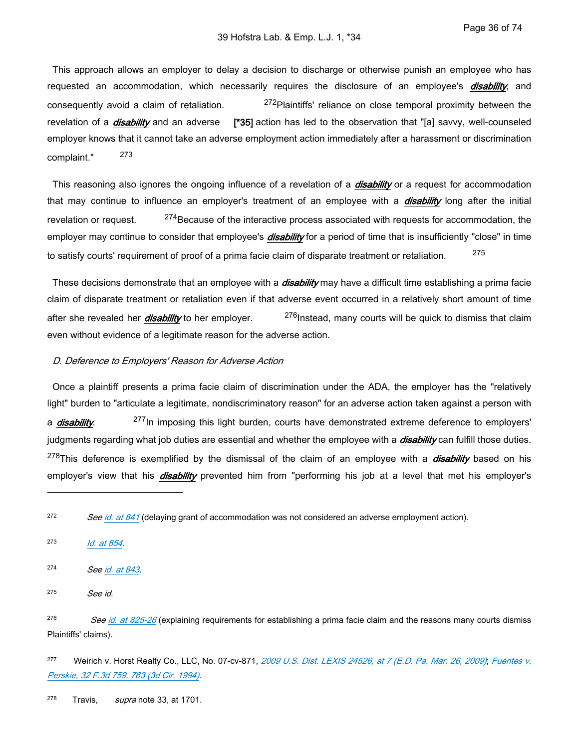This approach allows an employer to delay a decision to discharge or otherwise punish an employee who has requested an accommodation, which necessarily requires the disclosure of an employee's *disability*, and consequently avoid a claim of retaliation. <sup>272</sup>Plaintiffs' reliance on close temporal proximity between the revelation of a *disability* and an adverse **[\*35]** action has led to the observation that "[a] savvy, well-counseled employer knows that it cannot take an adverse employment action immediately after a harassment or discrimination complaint." 273

 This reasoning also ignores the ongoing influence of a revelation of a *disability* or a request for accommodation that may continue to influence an employer's treatment of an employee with a *disability* long after the initial revelation or request. <sup>274</sup>Because of the interactive process associated with requests for accommodation, the employer may continue to consider that employee's *disability* for a period of time that is insufficiently "close" in time to satisfy courts' requirement of proof of a prima facie claim of disparate treatment or retaliation. 275

 These decisions demonstrate that an employee with a *disability* may have a difficult time establishing a prima facie claim of disparate treatment or retaliation even if that adverse event occurred in a relatively short amount of time after she revealed her *disability* to her employer. <sup>276</sup>Instead, many courts will be quick to dismiss that claim even without evidence of a legitimate reason for the adverse action.

#### *D. Deference to Employers' Reason for Adverse Action*

 Once a plaintiff presents a prima facie claim of discrimination under the ADA, the employer has the "relatively light" burden to "articulate a legitimate, nondiscriminatory reason" for an adverse action taken against a person with a *disability*. <sup>277</sup>In imposing this light burden, courts have demonstrated extreme deference to employers' judgments regarding what job duties are essential and whether the employee with a *disability* can fulfill those duties. <sup>278</sup>This deference is exemplified by the dismissal of the claim of an employee with a *disability* based on his employer's view that his *disability* prevented him from "performing his job at a level that met his employer's

273 *[Id. at 854](https://advance.lexis.com/api/document?collection=cases&id=urn:contentItem:3S4N-W7V0-0039-S3WV-00000-00&context=1516831)*.

274 *See [id. at 843](https://advance.lexis.com/api/document?collection=cases&id=urn:contentItem:5MFN-XV51-F04K-S07K-00000-00&context=1516831)*.

275 *See id.*

276 *See [id. at 825-26](https://advance.lexis.com/api/document?collection=cases&id=urn:contentItem:5MFN-XV51-F04K-S07K-00000-00&context=1516831)* (explaining requirements for establishing a prima facie claim and the reasons many courts dismiss Plaintiffs' claims).

<sup>277</sup>Weirich v. Horst Realty Co., LLC, No. 07-cv-871, *[2009 U.S. Dist. LEXIS 24526, at 7 \(E.D. Pa. Mar. 26, 2009\)](https://advance.lexis.com/api/document?collection=cases&id=urn:contentItem:4VXW-71D0-TXFR-P3CX-00000-00&context=1516831)*; *[Fuentes v.](https://advance.lexis.com/api/document?collection=cases&id=urn:contentItem:3S4X-3X80-003B-P4C6-00000-00&context=1516831)  [Perskie, 32 F.3d 759, 763 \(3d Cir. 1994\)](https://advance.lexis.com/api/document?collection=cases&id=urn:contentItem:3S4X-3X80-003B-P4C6-00000-00&context=1516831)*.

<sup>278</sup> Travis, *supra* note 33, at 1701.

<sup>272</sup>  *See [id. at 841](https://advance.lexis.com/api/document?collection=cases&id=urn:contentItem:5MFN-XV51-F04K-S07K-00000-00&context=1516831)* (delaying grant of accommodation was not considered an adverse employment action).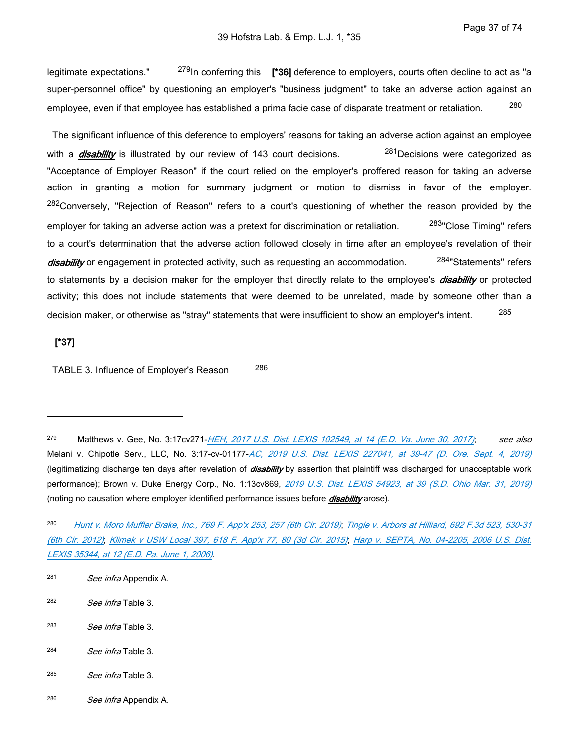legitimate expectations." 279In conferring this **[\*36]** deference to employers, courts often decline to act as "a super-personnel office" by questioning an employer's "business judgment" to take an adverse action against an employee, even if that employee has established a prima facie case of disparate treatment or retaliation. 280

 The significant influence of this deference to employers' reasons for taking an adverse action against an employee with a *disability* is illustrated by our review of 143 court decisions. <sup>281</sup>Decisions were categorized as "Acceptance of Employer Reason" if the court relied on the employer's proffered reason for taking an adverse action in granting a motion for summary judgment or motion to dismiss in favor of the employer. <sup>282</sup>Conversely, "Rejection of Reason" refers to a court's questioning of whether the reason provided by the employer for taking an adverse action was a pretext for discrimination or retaliation. <sup>283</sup>"Close Timing" refers to a court's determination that the adverse action followed closely in time after an employee's revelation of their disability or engagement in protected activity, such as requesting an accommodation. <sup>284</sup>"Statements" refers to statements by a decision maker for the employer that directly relate to the employee's *disability* or protected activity; this does not include statements that were deemed to be unrelated, made by someone other than a decision maker, or otherwise as "stray" statements that were insufficient to show an employer's intent. 285

# **[\*37]**

TABLE 3. Influence of Employer's Reason 286

- 281 *See infra* Appendix A.
- 282 *See infra* Table 3.
- 283 *See infra* Table 3.
- 284 *See infra* Table 3.
- 285 *See infra* Table 3.
- 286 *See infra* Appendix A.

<sup>279</sup>Matthews v. Gee, No. 3:17cv271-*[HEH, 2017 U.S. Dist. LEXIS 102549, at 14 \(E.D. Va. June 30, 2017\)](https://advance.lexis.com/api/document?collection=cases&id=urn:contentItem:5NX6-STV1-F04F-F25S-00000-00&context=1516831)*; *see also* Melani v. Chipotle Serv., LLC, No. 3:17-cv-01177-*[AC, 2019 U.S. Dist. LEXIS 227041, at 39-47 \(D. Ore. Sept. 4, 2019\)](https://advance.lexis.com/api/document?collection=cases&id=urn:contentItem:5Y69-8RJ1-FD4T-B3DY-00000-00&context=1516831)* (legitimatizing discharge ten days after revelation of *disability* by assertion that plaintiff was discharged for unacceptable work performance); Brown v. Duke Energy Corp., No. 1:13cv869, *[2019 U.S. Dist. LEXIS 54923, at 39 \(S.D. Ohio Mar. 31, 2019\)](https://advance.lexis.com/api/document?collection=cases&id=urn:contentItem:5VSM-JDH1-JWBS-63CW-00000-00&context=1516831)* (noting no causation where employer identified performance issues before *disability* arose).

<sup>280</sup>  *[Hunt v. Moro Muffler Brake, Inc., 769 F. App'x 253, 257 \(6th Cir. 2019\)](https://advance.lexis.com/api/document?collection=cases&id=urn:contentItem:5VYT-06N1-F22N-X0HV-00000-00&context=1516831)*; *[Tingle v. Arbors at Hilliard, 692 F.3d 523, 530-31](https://advance.lexis.com/api/document?collection=cases&id=urn:contentItem:56FK-K0K1-F04K-P22C-00000-00&context=1516831)  [\(6th Cir. 2012\)](https://advance.lexis.com/api/document?collection=cases&id=urn:contentItem:56FK-K0K1-F04K-P22C-00000-00&context=1516831)*; *[Klimek v USW Local 397, 618 F. App'x 77, 80 \(3d Cir. 2015\)](https://advance.lexis.com/api/document?collection=cases&id=urn:contentItem:5G7J-4PR1-F04K-K02K-00000-00&context=1516831)*; *[Harp v. SEPTA, No. 04-2205, 2006 U.S. Dist.](https://advance.lexis.com/api/document?collection=cases&id=urn:contentItem:4K3F-FVJ0-0038-Y1W7-00000-00&context=1516831)  [LEXIS 35344, at 12 \(E.D. Pa. June 1, 2006\)](https://advance.lexis.com/api/document?collection=cases&id=urn:contentItem:4K3F-FVJ0-0038-Y1W7-00000-00&context=1516831)*.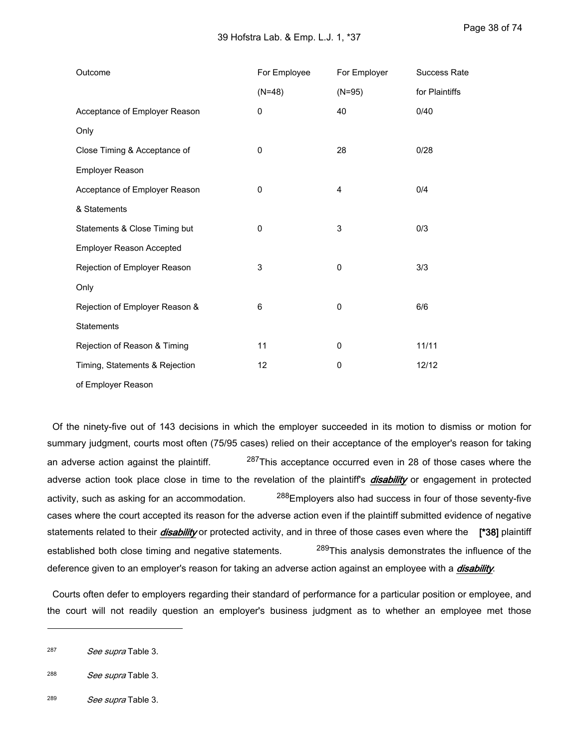| Outcome                        | For Employee | For Employer | <b>Success Rate</b> |
|--------------------------------|--------------|--------------|---------------------|
|                                | $(N=48)$     | $(N=95)$     | for Plaintiffs      |
| Acceptance of Employer Reason  | $\mathbf 0$  | 40           | 0/40                |
| Only                           |              |              |                     |
| Close Timing & Acceptance of   | $\mathbf 0$  | 28           | 0/28                |
| Employer Reason                |              |              |                     |
| Acceptance of Employer Reason  | 0            | 4            | 0/4                 |
| & Statements                   |              |              |                     |
| Statements & Close Timing but  | 0            | 3            | 0/3                 |
| Employer Reason Accepted       |              |              |                     |
| Rejection of Employer Reason   | 3            | 0            | 3/3                 |
| Only                           |              |              |                     |
| Rejection of Employer Reason & | 6            | 0            | 6/6                 |
| Statements                     |              |              |                     |
| Rejection of Reason & Timing   | 11           | $\mathbf 0$  | 11/11               |
| Timing, Statements & Rejection | 12           | 0            | 12/12               |
| of Employer Reason             |              |              |                     |

 Of the ninety-five out of 143 decisions in which the employer succeeded in its motion to dismiss or motion for summary judgment, courts most often (75/95 cases) relied on their acceptance of the employer's reason for taking an adverse action against the plaintiff. <sup>287</sup>This acceptance occurred even in 28 of those cases where the adverse action took place close in time to the revelation of the plaintiff's *disability* or engagement in protected activity, such as asking for an accommodation. <sup>288</sup>Employers also had success in four of those seventy-five cases where the court accepted its reason for the adverse action even if the plaintiff submitted evidence of negative statements related to their *disability* or protected activity, and in three of those cases even where the **[\*38]** plaintiff established both close timing and negative statements. <sup>289</sup>This analysis demonstrates the influence of the deference given to an employer's reason for taking an adverse action against an employee with a *disability*.

 Courts often defer to employers regarding their standard of performance for a particular position or employee, and the court will not readily question an employer's business judgment as to whether an employee met those

- 288 *See supra* Table 3.
- 289 *See supra* Table 3.

<sup>287</sup>  *See supra* Table 3.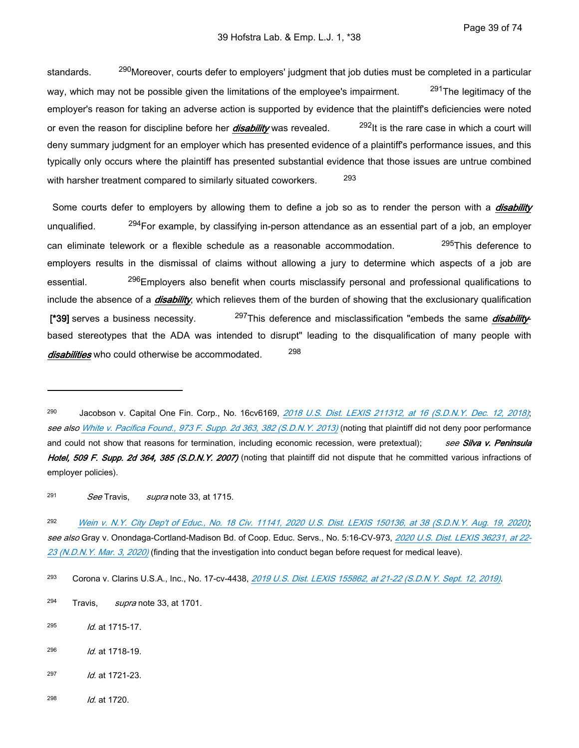standards. <sup>290</sup>Moreover, courts defer to employers' judgment that job duties must be completed in a particular way, which may not be possible given the limitations of the employee's impairment. <sup>291</sup>The legitimacy of the employer's reason for taking an adverse action is supported by evidence that the plaintiff's deficiencies were noted or even the reason for discipline before her *disability* was revealed. <sup>292</sup>It is the rare case in which a court will deny summary judgment for an employer which has presented evidence of a plaintiff's performance issues, and this typically only occurs where the plaintiff has presented substantial evidence that those issues are untrue combined with harsher treatment compared to similarly situated coworkers. 293

 Some courts defer to employers by allowing them to define a job so as to render the person with a *disability* unqualified. <sup>294</sup>For example, by classifying in-person attendance as an essential part of a job, an employer can eliminate telework or a flexible schedule as a reasonable accommodation. 295This deference to employers results in the dismissal of claims without allowing a jury to determine which aspects of a job are essential. <sup>296</sup>Employers also benefit when courts misclassify personal and professional qualifications to include the absence of a *disability*, which relieves them of the burden of showing that the exclusionary qualification  **[\*39]** serves a business necessity. 297This deference and misclassification "embeds the same *disability*based stereotypes that the ADA was intended to disrupt" leading to the disqualification of many people with disabilities who could otherwise be accommodated. 298

291 *See* Travis, *supra* note 33, at 1715.

292 *[Wein v. N.Y. City Dep't of Educ., No. 18 Civ. 11141, 2020 U.S. Dist. LEXIS 150136, at 38 \(S.D.N.Y. Aug. 19, 2020\)](https://advance.lexis.com/api/document?collection=cases&id=urn:contentItem:60MK-FVR1-FBV7-B15D-00000-00&context=1516831)*; *see also* Gray v. Onondaga-Cortland-Madison Bd. of Coop. Educ. Servs., No. 5:16-CV-973, *[2020 U.S. Dist. LEXIS 36231, at 22-](https://advance.lexis.com/api/document?collection=cases&id=urn:contentItem:5YBN-GJ01-FGRY-B2NM-00000-00&context=1516831) [23 \(N.D.N.Y. Mar. 3, 2020\)](https://advance.lexis.com/api/document?collection=cases&id=urn:contentItem:5YBN-GJ01-FGRY-B2NM-00000-00&context=1516831)* (finding that the investigation into conduct began before request for medical leave).

- 295 *Id.* at 1715-17.
- 296 *Id.* at 1718-19.
- 297 *Id.* at 1721-23.
- 298 *Id.* at 1720.

<sup>290</sup>Jacobson v. Capital One Fin. Corp., No. 16cv6169, *[2018 U.S. Dist. LEXIS 211312, at 16 \(S.D.N.Y. Dec. 12, 2018\)](https://advance.lexis.com/api/document?collection=cases&id=urn:contentItem:5TYP-0W61-FFTT-X17D-00000-00&context=1516831)*; *see also [White v. Pacifica Found., 973 F. Supp. 2d 363, 382 \(S.D.N.Y. 2013\)](https://advance.lexis.com/api/document?collection=cases&id=urn:contentItem:59CX-M811-F04F-0295-00000-00&context=1516831)* (noting that plaintiff did not deny poor performance and could not show that reasons for termination, including economic recession, were pretextual); *see Silva v. Peninsula Hotel, 509 F. Supp. 2d 364, 385 (S.D.N.Y. 2007)* (noting that plaintiff did not dispute that he committed various infractions of employer policies).

<sup>293</sup>Corona v. Clarins U.S.A., Inc., No. 17-cv-4438, *[2019 U.S. Dist. LEXIS 155862, at 21-22 \(S.D.N.Y. Sept. 12, 2019\)](https://advance.lexis.com/api/document?collection=cases&id=urn:contentItem:5X1M-XNT1-FFMK-M35S-00000-00&context=1516831)*.

<sup>&</sup>lt;sup>294</sup> Travis, *supra* note 33, at 1701.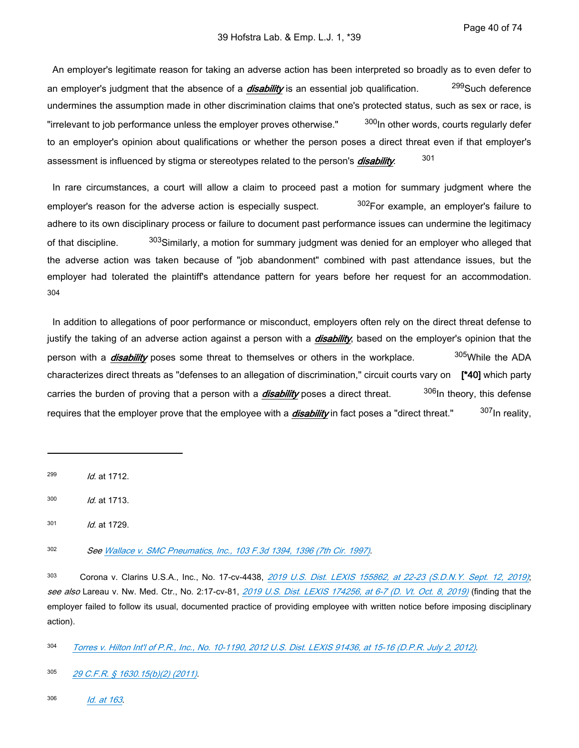An employer's legitimate reason for taking an adverse action has been interpreted so broadly as to even defer to an employer's judgment that the absence of a *disability* is an essential job qualification. <sup>299</sup>Such deference undermines the assumption made in other discrimination claims that one's protected status, such as sex or race, is "irrelevant to job performance unless the employer proves otherwise." 300In other words, courts regularly defer to an employer's opinion about qualifications or whether the person poses a direct threat even if that employer's assessment is influenced by stigma or stereotypes related to the person's *disability*. 301

 In rare circumstances, a court will allow a claim to proceed past a motion for summary judgment where the employer's reason for the adverse action is especially suspect. <sup>302</sup>For example, an employer's failure to adhere to its own disciplinary process or failure to document past performance issues can undermine the legitimacy of that discipline. <sup>303</sup>Similarly, a motion for summary judgment was denied for an employer who alleged that the adverse action was taken because of "job abandonment" combined with past attendance issues, but the employer had tolerated the plaintiff's attendance pattern for years before her request for an accommodation. 304

 In addition to allegations of poor performance or misconduct, employers often rely on the direct threat defense to justify the taking of an adverse action against a person with a *disability*, based on the employer's opinion that the person with a *disability* poses some threat to themselves or others in the workplace. <sup>305</sup>While the ADA characterizes direct threats as "defenses to an allegation of discrimination," circuit courts vary on **[\*40]** which party carries the burden of proving that a person with a *disability* poses a direct threat. <sup>306</sup>In theory, this defense requires that the employer prove that the employee with a *disability* in fact poses a "direct threat." <sup>307</sup>In reality,

302 *See [Wallace v. SMC Pneumatics, Inc., 103 F.3d 1394, 1396 \(7th Cir. 1997\)](https://advance.lexis.com/api/document?collection=cases&id=urn:contentItem:3S4X-JP30-00B1-D221-00000-00&context=1516831)*.

<sup>303</sup>Corona v. Clarins U.S.A., Inc., No. 17-cv-4438, *[2019 U.S. Dist. LEXIS 155862, at 22-23 \(S.D.N.Y. Sept. 12, 2019\)](https://advance.lexis.com/api/document?collection=cases&id=urn:contentItem:5X1M-XNT1-FFMK-M35S-00000-00&context=1516831)*; *see also* Lareau v. Nw. Med. Ctr., No. 2:17-cv-81, *[2019 U.S. Dist. LEXIS 174256, at 6-7 \(D. Vt. Oct. 8, 2019\)](https://advance.lexis.com/api/document?collection=cases&id=urn:contentItem:5X76-SP31-JF75-M09J-00000-00&context=1516831)* (finding that the employer failed to follow its usual, documented practice of providing employee with written notice before imposing disciplinary action).

304 *[Torres v. Hilton Int'l of P.R., Inc., No. 10-1190, 2012 U.S. Dist. LEXIS 91436, at 15-16 \(D.P.R. July 2, 2012\)](https://advance.lexis.com/api/document?collection=cases&id=urn:contentItem:561B-WPB1-F04F-50PJ-00000-00&context=1516831)*.

306 *[Id. at 163](https://advance.lexis.com/api/document?collection=cases&id=urn:contentItem:5G7J-4PR1-F04K-K02K-00000-00&context=1516831)*.

<sup>299</sup>  *Id.* at 1712.

<sup>300</sup>  *Id.* at 1713.

<sup>301</sup>  *Id.* at 1729.

<sup>305</sup>  *[29 C.F.R. § 1630.15\(b\)\(2\) \(2011\)](https://advance.lexis.com/api/document?collection=administrative-codes&id=urn:contentItem:608H-2J01-DYB7-W1VJ-00000-00&context=1516831)*.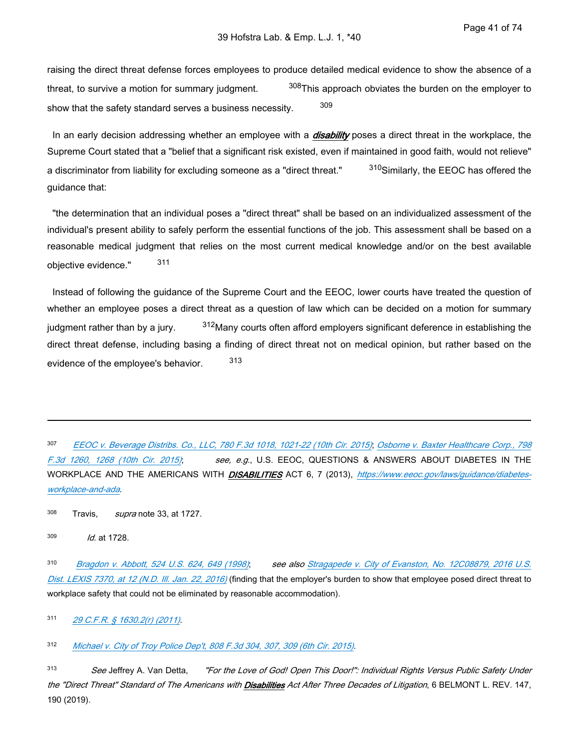raising the direct threat defense forces employees to produce detailed medical evidence to show the absence of a threat, to survive a motion for summary judgment.  $308$ This approach obviates the burden on the employer to show that the safety standard serves a business necessity. 309

 In an early decision addressing whether an employee with a *disability* poses a direct threat in the workplace, the Supreme Court stated that a "belief that a significant risk existed, even if maintained in good faith, would not relieve" a discriminator from liability for excluding someone as a "direct threat." <sup>310</sup>Similarly, the EEOC has offered the guidance that:

 "the determination that an individual poses a "direct threat" shall be based on an individualized assessment of the individual's present ability to safely perform the essential functions of the job. This assessment shall be based on a reasonable medical judgment that relies on the most current medical knowledge and/or on the best available objective evidence." 311

 Instead of following the guidance of the Supreme Court and the EEOC, lower courts have treated the question of whether an employee poses a direct threat as a question of law which can be decided on a motion for summary judgment rather than by a jury. <sup>312</sup>Many courts often afford employers significant deference in establishing the direct threat defense, including basing a finding of direct threat not on medical opinion, but rather based on the evidence of the employee's behavior. 313

307 *[EEOC v. Beverage Distribs. Co., LLC, 780 F.3d 1018, 1021-22 \(10th Cir. 2015\)](https://advance.lexis.com/api/document?collection=cases&id=urn:contentItem:5FHP-SC11-F04K-W093-00000-00&context=1516831)*; *[Osborne v. Baxter Healthcare Corp., 798](https://advance.lexis.com/api/document?collection=cases&id=urn:contentItem:5GS2-2Y31-F04K-W003-00000-00&context=1516831)  [F.3d 1260, 1268 \(10th Cir. 2015\)](https://advance.lexis.com/api/document?collection=cases&id=urn:contentItem:5GS2-2Y31-F04K-W003-00000-00&context=1516831)*; *see, e.g.*, U.S. EEOC, QUESTIONS & ANSWERS ABOUT DIABETES IN THE WORKPLACE AND THE AMERICANS WITH *DISABILITIES* ACT 6, 7 (2013), *[https://www.eeoc.gov/laws/guidance/diabetes](https://www.eeoc.gov/laws/guidance/diabetes-workplace-and-ada)[workplace-and-ada](https://www.eeoc.gov/laws/guidance/diabetes-workplace-and-ada)*.

<sup>308</sup>Travis, *supra* note 33, at 1727.

309 *Id.* at 1728.

310 *[Bragdon v. Abbott, 524 U.S. 624, 649 \(1998\)](https://advance.lexis.com/api/document?collection=cases&id=urn:contentItem:3TGV-N270-002K-6009-00000-00&context=1516831)*; *see also [Stragapede v. City of Evanston, No. 12C08879, 2016 U.S.](https://advance.lexis.com/api/document?collection=cases&id=urn:contentItem:5HX7-X2B1-F04D-726C-00000-00&context=1516831)  [Dist. LEXIS 7370, at 12 \(N.D. Ill. Jan. 22, 2016\)](https://advance.lexis.com/api/document?collection=cases&id=urn:contentItem:5HX7-X2B1-F04D-726C-00000-00&context=1516831)* (finding that the employer's burden to show that employee posed direct threat to workplace safety that could not be eliminated by reasonable accommodation).

311 *[29 C.F.R. § 1630.2\(r\) \(2011\)](https://advance.lexis.com/api/document?collection=administrative-codes&id=urn:contentItem:608H-2J01-DYB7-W1V3-00000-00&context=1516831)*.

312 *[Michael v. City of Troy Police Dep't, 808 F.3d 304, 307, 309 \(6th Cir. 2015\)](https://advance.lexis.com/api/document?collection=cases&id=urn:contentItem:5HKX-W441-F04K-P05W-00000-00&context=1516831)*.

313 *See* Jeffrey A. Van Detta, *"For the Love of God! Open This Door!": Individual Rights Versus Public Safety Under the "Direct Threat" Standard of The Americans with Disabilities Act After Three Decades of Litigation*, 6 BELMONT L. REV. 147, 190 (2019).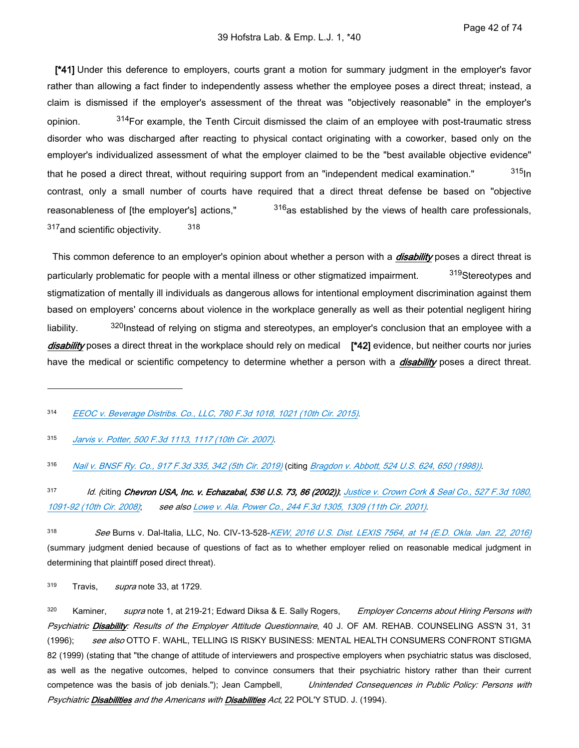**[\*41]** Under this deference to employers, courts grant a motion for summary judgment in the employer's favor rather than allowing a fact finder to independently assess whether the employee poses a direct threat; instead, a claim is dismissed if the employer's assessment of the threat was "objectively reasonable" in the employer's opinion. <sup>314</sup>For example, the Tenth Circuit dismissed the claim of an employee with post-traumatic stress disorder who was discharged after reacting to physical contact originating with a coworker, based only on the employer's individualized assessment of what the employer claimed to be the "best available objective evidence" that he posed a direct threat, without requiring support from an "independent medical examination." <sup>315</sup>In contrast, only a small number of courts have required that a direct threat defense be based on "objective reasonableness of [the employer's] actions,"  $316$  as established by the views of health care professionals, <sup>317</sup>and scientific objectivity. <sup>318</sup>

 This common deference to an employer's opinion about whether a person with a *disability* poses a direct threat is particularly problematic for people with a mental illness or other stigmatized impairment. <sup>319</sup>Stereotypes and stigmatization of mentally ill individuals as dangerous allows for intentional employment discrimination against them based on employers' concerns about violence in the workplace generally as well as their potential negligent hiring liability. 320Instead of relying on stigma and stereotypes, an employer's conclusion that an employee with a *disability* poses a direct threat in the workplace should rely on medical **[\*42]** evidence, but neither courts nor juries have the medical or scientific competency to determine whether a person with a *disability* poses a direct threat.

315 *[Jarvis v. Potter, 500 F.3d 1113, 1117 \(10th Cir. 2007\)](https://advance.lexis.com/api/document?collection=cases&id=urn:contentItem:4PJC-04B0-TXFX-F32V-00000-00&context=1516831)*.

316 *[Nail v. BNSF Ry. Co., 917 F.3d 335, 342 \(5th Cir. 2019\)](https://advance.lexis.com/api/document?collection=cases&id=urn:contentItem:5VF3-RY81-JJ6S-62KF-00000-00&context=1516831)* (citing *[Bragdon v. Abbott, 524 U.S. 624, 650 \(1998\)\)](https://advance.lexis.com/api/document?collection=cases&id=urn:contentItem:3TGV-N270-002K-6009-00000-00&context=1516831)*.

317 *Id. (*citing *Chevron USA, Inc. v. Echazabal, 536 U.S. 73, 86 (2002))*; *[Justice v. Crown Cork & Seal Co., 527 F.3d 1080,](https://advance.lexis.com/api/document?collection=cases&id=urn:contentItem:4SNH-MSG0-TXFX-F301-00000-00&context=1516831)  [1091-92 \(10th Cir. 2008\)](https://advance.lexis.com/api/document?collection=cases&id=urn:contentItem:4SNH-MSG0-TXFX-F301-00000-00&context=1516831)*; *see also [Lowe v. Ala. Power Co., 244 F.3d 1305, 1309 \(11th Cir. 2001\)](https://advance.lexis.com/api/document?collection=cases&id=urn:contentItem:42NH-12S0-0038-X1GS-00000-00&context=1516831)*.

318 *See* Burns v. Dal-Italia, LLC, No. CIV-13-528-*[KEW, 2016 U.S. Dist. LEXIS 7564, at 14 \(E.D. Okla. Jan. 22, 2016\)](https://advance.lexis.com/api/document?collection=cases&id=urn:contentItem:5HXC-1841-F04F-20R1-00000-00&context=1516831)* (summary judgment denied because of questions of fact as to whether employer relied on reasonable medical judgment in determining that plaintiff posed direct threat).

319 Travis, *supra* note 33, at 1729.

<sup>320</sup>Kaminer, *supra* note 1, at 219-21; Edward Diksa & E. Sally Rogers, *Employer Concerns about Hiring Persons with Psychiatric Disability: Results of the Employer Attitude Questionnaire*, 40 J. OF AM. REHAB. COUNSELING ASS'N 31, 31 (1996); *see also* OTTO F. WAHL, TELLING IS RISKY BUSINESS: MENTAL HEALTH CONSUMERS CONFRONT STIGMA 82 (1999) (stating that "the change of attitude of interviewers and prospective employers when psychiatric status was disclosed, as well as the negative outcomes, helped to convince consumers that their psychiatric history rather than their current competence was the basis of job denials."); Jean Campbell, *Unintended Consequences in Public Policy: Persons with Psychiatric Disabilities and the Americans with Disabilities Act*, 22 POL'Y STUD. J. (1994).

<sup>314</sup>  *[EEOC v. Beverage Distribs. Co., LLC, 780 F.3d 1018, 1021 \(10th Cir. 2015\)](https://advance.lexis.com/api/document?collection=cases&id=urn:contentItem:5FHP-SC11-F04K-W093-00000-00&context=1516831)*.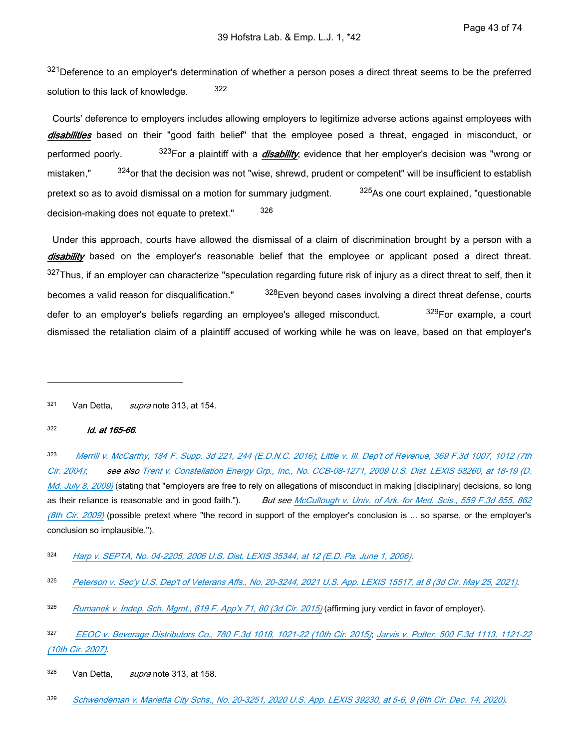<sup>321</sup>Deference to an employer's determination of whether a person poses a direct threat seems to be the preferred solution to this lack of knowledge.  $322$ 

 Courts' deference to employers includes allowing employers to legitimize adverse actions against employees with *disabilities* based on their "good faith belief" that the employee posed a threat, engaged in misconduct, or performed poorly. 323For a plaintiff with a *disability*, evidence that her employer's decision was "wrong or mistaken," $324$ or that the decision was not "wise, shrewd, prudent or competent" will be insufficient to establish pretext so as to avoid dismissal on a motion for summary judgment.  $325As$  one court explained, "questionable decision-making does not equate to pretext." 326

 Under this approach, courts have allowed the dismissal of a claim of discrimination brought by a person with a *disability* based on the employer's reasonable belief that the employee or applicant posed a direct threat. 327Thus, if an employer can characterize "speculation regarding future risk of injury as a direct threat to self, then it becomes a valid reason for disqualification." 328Even beyond cases involving a direct threat defense, courts defer to an employer's beliefs regarding an employee's alleged misconduct. <sup>329</sup>For example, a court dismissed the retaliation claim of a plaintiff accused of working while he was on leave, based on that employer's

<sup>321</sup> Van Detta, *supra* note 313, at 154.

#### 322 *Id. at 165-66*.

323 *[Merrill v. McCarthy, 184 F. Supp. 3d 221, 244 \(E.D.N.C. 2016\)](https://advance.lexis.com/api/document?collection=cases&id=urn:contentItem:5JPB-GKR1-F04D-R3NB-00000-00&context=1516831)*; *[Little v. Ill. Dep't of Revenue, 369 F.3d 1007, 1012 \(7th](https://advance.lexis.com/api/document?collection=cases&id=urn:contentItem:4CGG-XRB0-0038-X1DH-00000-00&context=1516831)  [Cir. 2004\)](https://advance.lexis.com/api/document?collection=cases&id=urn:contentItem:4CGG-XRB0-0038-X1DH-00000-00&context=1516831)*; *see also [Trent v. Constellation Energy Grp., Inc., No. CCB-08-1271, 2009 U.S. Dist. LEXIS 58260, at 18-19 \(D.](https://advance.lexis.com/api/document?collection=cases&id=urn:contentItem:4WR6-C110-TXFR-126H-00000-00&context=1516831)  [Md. July 8, 2009\)](https://advance.lexis.com/api/document?collection=cases&id=urn:contentItem:4WR6-C110-TXFR-126H-00000-00&context=1516831)* (stating that "employers are free to rely on allegations of misconduct in making [disciplinary] decisions, so long as their reliance is reasonable and in good faith."). *But see [McCullough v. Univ. of Ark. for Med. Scis., 559 F.3d 855, 862](https://advance.lexis.com/api/document?collection=cases&id=urn:contentItem:4VX6-J890-TXFX-B1W6-00000-00&context=1516831)  [\(8th Cir. 2009\)](https://advance.lexis.com/api/document?collection=cases&id=urn:contentItem:4VX6-J890-TXFX-B1W6-00000-00&context=1516831)* (possible pretext where "the record in support of the employer's conclusion is ... so sparse, or the employer's conclusion so implausible.").

#### 324 *[Harp v. SEPTA, No. 04-2205, 2006 U.S. Dist. LEXIS 35344, at 12 \(E.D. Pa. June 1, 2006\)](https://advance.lexis.com/api/document?collection=cases&id=urn:contentItem:4K3F-FVJ0-0038-Y1W7-00000-00&context=1516831)*.

- 325 *[Peterson v. Sec'y U.S. Dep't of Veterans Affs., No. 20-3244, 2021 U.S. App. LEXIS 15517, at 8 \(3d Cir. May 25, 2021\)](https://advance.lexis.com/api/document?collection=cases&id=urn:contentItem:62S3-5C91-FC6N-X2WF-00000-00&context=1516831)*.
- 326 *[Rumanek v. Indep. Sch. Mgmt., 619 F. App'x 71, 80 \(3d Cir. 2015\)](https://advance.lexis.com/api/document?collection=cases&id=urn:contentItem:5GGT-50S1-F04K-K09F-00000-00&context=1516831)* (affirming jury verdict in favor of employer).

<sup>328</sup> Van Detta, *supra* note 313, at 158.

<sup>327</sup>  *[EEOC v. Beverage Distributors Co., 780 F.3d 1018, 1021-22 \(10th Cir. 2015\)](https://advance.lexis.com/api/document?collection=cases&id=urn:contentItem:5FHP-SC11-F04K-W093-00000-00&context=1516831)*; *[Jarvis v. Potter, 500 F.3d 1113, 1121-22](https://advance.lexis.com/api/document?collection=cases&id=urn:contentItem:4PJC-04B0-TXFX-F32V-00000-00&context=1516831)  [\(10th Cir. 2007\)](https://advance.lexis.com/api/document?collection=cases&id=urn:contentItem:4PJC-04B0-TXFX-F32V-00000-00&context=1516831)*.

<sup>329</sup>  *[Schwendeman v. Marietta City Schs., No. 20-3251, 2020 U.S. App. LEXIS 39230, at 5-6, 9 \(6th Cir. Dec. 14, 2020\)](https://advance.lexis.com/api/document?collection=cases&id=urn:contentItem:61HS-5JM1-JBDT-B2MN-00000-00&context=1516831)*.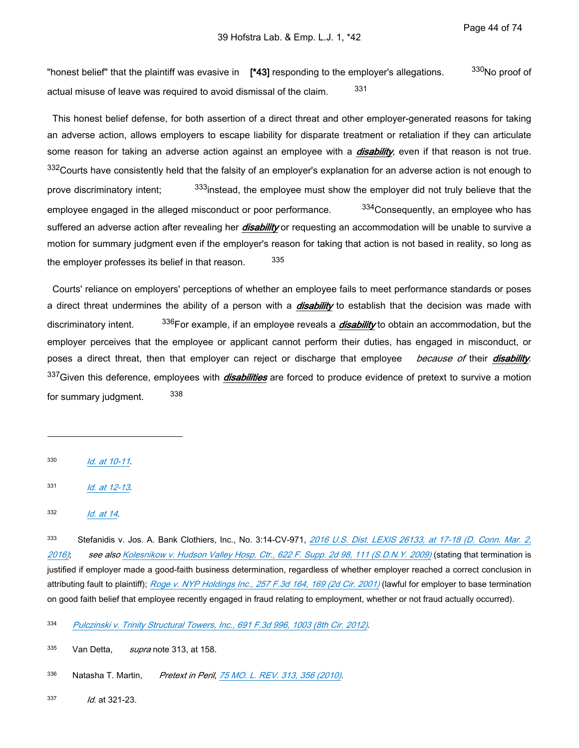"honest belief" that the plaintiff was evasive in [\*43] responding to the employer's allegations. <sup>330</sup>No proof of actual misuse of leave was required to avoid dismissal of the claim.  $331$ 

 This honest belief defense, for both assertion of a direct threat and other employer-generated reasons for taking an adverse action, allows employers to escape liability for disparate treatment or retaliation if they can articulate some reason for taking an adverse action against an employee with a *disability*, even if that reason is not true. 332Courts have consistently held that the falsity of an employer's explanation for an adverse action is not enough to prove discriminatory intent; <sup>333</sup>instead, the employee must show the employer did not truly believe that the employee engaged in the alleged misconduct or poor performance.  $334$ Consequently, an employee who has suffered an adverse action after revealing her *disability* or requesting an accommodation will be unable to survive a motion for summary judgment even if the employer's reason for taking that action is not based in reality, so long as the employer professes its belief in that reason. 335

 Courts' reliance on employers' perceptions of whether an employee fails to meet performance standards or poses a direct threat undermines the ability of a person with a *disability* to establish that the decision was made with discriminatory intent. 336For example, if an employee reveals a *disability* to obtain an accommodation, but the employer perceives that the employee or applicant cannot perform their duties, has engaged in misconduct, or poses a direct threat, then that employer can reject or discharge that employee *because of* their *disability*. <sup>337</sup>Given this deference, employees with *disabilities* are forced to produce evidence of pretext to survive a motion for summary judgment. 338

330 *[Id. at 10-11](https://advance.lexis.com/api/document?collection=cases&id=urn:contentItem:554H-N161-F04K-H03Y-00000-00&context=1516831)*.

331 *[Id. at 12-13](https://advance.lexis.com/api/document?collection=cases&id=urn:contentItem:554H-N161-F04K-H03Y-00000-00&context=1516831)*.

333 Stefanidis v. Jos. A. Bank Clothiers, Inc., No. 3:14-CV-971, *2016 U.S. Dist. LEXIS 26133, at 17-18 (D. Conn. Mar. 2, [2016\)](https://advance.lexis.com/api/document?collection=cases&id=urn:contentItem:5J6X-MF71-F04C-W0NN-00000-00&context=1516831)*; *see also [Kolesnikow v. Hudson Valley Hosp. Ctr., 622 F. Supp. 2d 98, 111 \(S.D.N.Y. 2009\)](https://advance.lexis.com/api/document?collection=cases&id=urn:contentItem:4WBK-2T00-TXFR-J32H-00000-00&context=1516831)* (stating that termination is justified if employer made a good-faith business determination, regardless of whether employer reached a correct conclusion in attributing fault to plaintiff); *[Roge v. NYP Holdings Inc., 257 F.3d 164, 169 \(2d Cir. 2001\)](https://advance.lexis.com/api/document?collection=cases&id=urn:contentItem:43HV-D440-0038-X1GM-00000-00&context=1516831)* (lawful for employer to base termination on good faith belief that employee recently engaged in fraud relating to employment, whether or not fraud actually occurred).

334 *[Pulczinski v. Trinity Structural Towers, Inc., 691 F.3d 996, 1003 \(8th Cir. 2012\)](https://advance.lexis.com/api/document?collection=cases&id=urn:contentItem:56G1-N5P1-F04K-S2K3-00000-00&context=1516831)*.

<sup>335</sup>Van Detta, *supra* note 313, at 158.

336 Natasha T. Martin, *Pretext in Peril, [75 MO. L. REV. 313, 356 \(2010\)](https://advance.lexis.com/api/document?collection=analytical-materials&id=urn:contentItem:50CW-SSM0-00CW-F05G-00000-00&context=1516831)*.

337 *Id.* at 321-23.

<sup>332</sup>  *[Id. at 14](https://advance.lexis.com/api/document?collection=cases&id=urn:contentItem:554H-N161-F04K-H03Y-00000-00&context=1516831)*.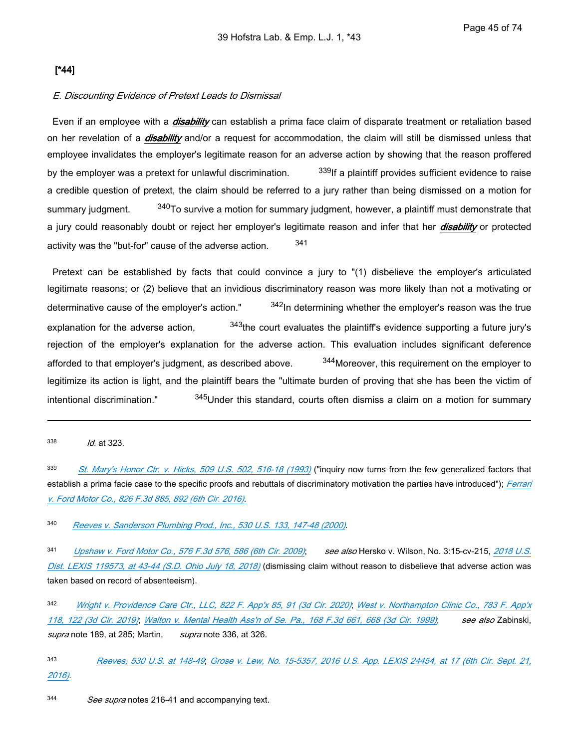## **[\*44]**

## *E. Discounting Evidence of Pretext Leads to Dismissal*

 Even if an employee with a *disability* can establish a prima face claim of disparate treatment or retaliation based on her revelation of a *disability* and/or a request for accommodation, the claim will still be dismissed unless that employee invalidates the employer's legitimate reason for an adverse action by showing that the reason proffered by the employer was a pretext for unlawful discrimination.  $339$  If a plaintiff provides sufficient evidence to raise a credible question of pretext, the claim should be referred to a jury rather than being dismissed on a motion for summary judgment. <sup>340</sup>To survive a motion for summary judgment, however, a plaintiff must demonstrate that a jury could reasonably doubt or reject her employer's legitimate reason and infer that her *disability* or protected activity was the "but-for" cause of the adverse action. 341

 Pretext can be established by facts that could convince a jury to "(1) disbelieve the employer's articulated legitimate reasons; or (2) believe that an invidious discriminatory reason was more likely than not a motivating or determinative cause of the employer's action."  $342$ In determining whether the employer's reason was the true explanation for the adverse action, <sup>343</sup>the court evaluates the plaintiff's evidence supporting a future jury's rejection of the employer's explanation for the adverse action. This evaluation includes significant deference afforded to that employer's judgment, as described above. <sup>344</sup>Moreover, this requirement on the employer to legitimize its action is light, and the plaintiff bears the "ultimate burden of proving that she has been the victim of intentional discrimination." <sup>345</sup>Under this standard, courts often dismiss a claim on a motion for summary

340 *[Reeves v. Sanderson Plumbing Prod., Inc., 530 U.S. 133, 147-48 \(2000\)](https://advance.lexis.com/api/document?collection=cases&id=urn:contentItem:40G9-3090-004B-Y03B-00000-00&context=1516831)*.

341 *[Upshaw v. Ford Motor Co., 576 F.3d 576, 586 \(6th Cir. 2009\)](https://advance.lexis.com/api/document?collection=cases&id=urn:contentItem:4X0P-GYX0-TXFX-838N-00000-00&context=1516831)*; *see also* Hersko v. Wilson, No. 3:15-cv-215, *[2018 U.S.](https://advance.lexis.com/api/document?collection=cases&id=urn:contentItem:5STW-MM01-K0HK-24V9-00000-00&context=1516831)  [Dist. LEXIS 119573, at 43-44 \(S.D. Ohio July 18, 2018\)](https://advance.lexis.com/api/document?collection=cases&id=urn:contentItem:5STW-MM01-K0HK-24V9-00000-00&context=1516831)* (dismissing claim without reason to disbelieve that adverse action was taken based on record of absenteeism).

342 *[Wright v. Providence Care Ctr., LLC, 822 F. App'x 85, 91 \(3d Cir. 2020\)](https://advance.lexis.com/api/document?collection=cases&id=urn:contentItem:60JN-CW31-JJD0-G002-00000-00&context=1516831)*; *[West v. Northampton Clinic Co., 783 F. App'x](https://advance.lexis.com/api/document?collection=cases&id=urn:contentItem:5WTK-NCD1-F016-S15V-00000-00&context=1516831)  [118, 122 \(3d Cir. 2019\)](https://advance.lexis.com/api/document?collection=cases&id=urn:contentItem:5WTK-NCD1-F016-S15V-00000-00&context=1516831)*; *[Walton v. Mental Health Ass'n of Se. Pa., 168 F.3d 661, 668 \(3d Cir. 1999\)](https://advance.lexis.com/api/document?collection=cases&id=urn:contentItem:3VW7-2V10-0038-X15V-00000-00&context=1516831)*; *see also* Zabinski, *supra* note 189, at 285; Martin, *supra* note 336, at 326.

344 *See supra* notes 216-41 and accompanying text.

<sup>338</sup>  *Id.* at 323.

<sup>339</sup>  *[St. Mary's Honor Ctr. v. Hicks, 509 U.S. 502, 516-18 \(1993\)](https://advance.lexis.com/api/document?collection=cases&id=urn:contentItem:3S4W-XDP0-003B-R3R4-00000-00&context=1516831)* ("inquiry now turns from the few generalized factors that establish a prima facie case to the specific proofs and rebuttals of discriminatory motivation the parties have introduced"); *[Ferrari](https://advance.lexis.com/api/document?collection=cases&id=urn:contentItem:5K2W-4S11-F04K-P0DC-00000-00&context=1516831)  [v. Ford Motor Co., 826 F.3d 885, 892 \(6th Cir. 2016\)](https://advance.lexis.com/api/document?collection=cases&id=urn:contentItem:5K2W-4S11-F04K-P0DC-00000-00&context=1516831)*.

<sup>343</sup>  *[Reeves, 530 U.S. at 148-49](https://advance.lexis.com/api/document?collection=cases&id=urn:contentItem:40G9-3090-004B-Y03B-00000-00&context=1516831)*; *[Grose v. Lew, No. 15-5357, 2016 U.S. App. LEXIS 24454, at 17 \(6th Cir. Sept. 21,](https://advance.lexis.com/api/document?collection=cases&id=urn:contentItem:5X5P-XVN1-DY33-B0NN-00000-00&context=1516831)  [2016\)](https://advance.lexis.com/api/document?collection=cases&id=urn:contentItem:5X5P-XVN1-DY33-B0NN-00000-00&context=1516831)*.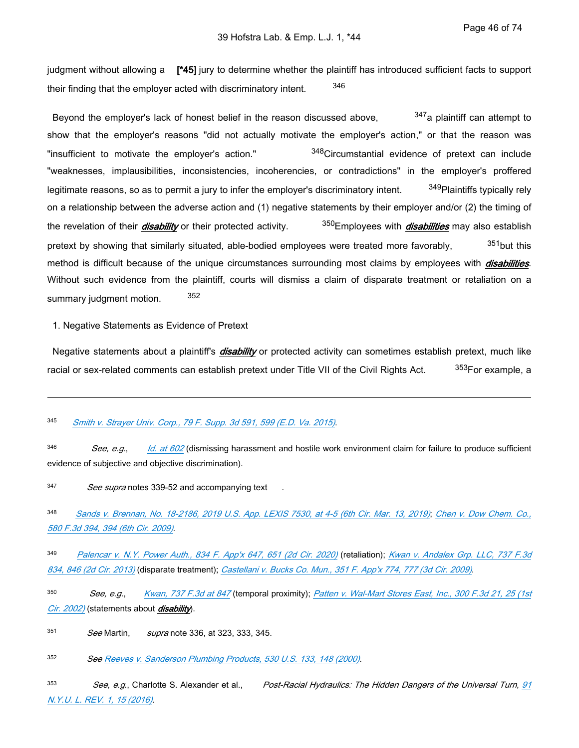judgment without allowing a **[\*45]** jury to determine whether the plaintiff has introduced sufficient facts to support their finding that the employer acted with discriminatory intent. 346

Beyond the employer's lack of honest belief in the reason discussed above,  $347a$  plaintiff can attempt to show that the employer's reasons "did not actually motivate the employer's action," or that the reason was "insufficient to motivate the employer's action." <sup>348</sup>Circumstantial evidence of pretext can include "weaknesses, implausibilities, inconsistencies, incoherencies, or contradictions" in the employer's proffered legitimate reasons, so as to permit a jury to infer the employer's discriminatory intent.  $349$ Plaintiffs typically rely on a relationship between the adverse action and (1) negative statements by their employer and/or (2) the timing of the revelation of their *disability* or their protected activity. 350Employees with *disabilities* may also establish pretext by showing that similarly situated, able-bodied employees were treated more favorably,  $351$ but this method is difficult because of the unique circumstances surrounding most claims by employees with *disabilities*. Without such evidence from the plaintiff, courts will dismiss a claim of disparate treatment or retaliation on a summary judgment motion. 352

1. Negative Statements as Evidence of Pretext

 Negative statements about a plaintiff's *disability* or protected activity can sometimes establish pretext, much like racial or sex-related comments can establish pretext under Title VII of the Civil Rights Act. <sup>353</sup>For example, a

#### 345 *[Smith v. Strayer Univ. Corp., 79 F. Supp. 3d 591, 599 \(E.D. Va. 2015\)](https://advance.lexis.com/api/document?collection=cases&id=urn:contentItem:5F2M-14X1-F04F-F4D4-00000-00&context=1516831)*.

- 346 *See, e.g.*, *[Id. at 602](https://advance.lexis.com/api/document?collection=cases&id=urn:contentItem:5F2M-14X1-F04F-F4D4-00000-00&context=1516831)* (dismissing harassment and hostile work environment claim for failure to produce sufficient evidence of subjective and objective discrimination).
- 347 *See supra* notes 339-52 and accompanying text *.*
- 348 *[Sands v. Brennan, No. 18-2186, 2019 U.S. App. LEXIS 7530, at 4-5 \(6th Cir. Mar. 13, 2019\)](https://advance.lexis.com/api/document?collection=cases&id=urn:contentItem:5VMV-JV21-F016-S0FX-00000-00&context=1516831)*; *[Chen v. Dow Chem. Co.,](https://advance.lexis.com/api/document?collection=cases&id=urn:contentItem:4X66-RBP0-TXFX-8261-00000-00&context=1516831)  [580 F.3d 394, 394 \(6th Cir. 2009\)](https://advance.lexis.com/api/document?collection=cases&id=urn:contentItem:4X66-RBP0-TXFX-8261-00000-00&context=1516831)*.
- 349 *[Palencar v. N.Y. Power Auth., 834 F. App'x 647, 651 \(2d Cir. 2020\)](https://advance.lexis.com/api/document?collection=cases&id=urn:contentItem:61G7-RP71-JJSF-20HP-00000-00&context=1516831)* (retaliation); *[Kwan v. Andalex Grp. LLC, 737 F.3d](https://advance.lexis.com/api/document?collection=cases&id=urn:contentItem:5B2P-4RT1-F04K-J12R-00000-00&context=1516831)  [834, 846 \(2d Cir. 2013\)](https://advance.lexis.com/api/document?collection=cases&id=urn:contentItem:5B2P-4RT1-F04K-J12R-00000-00&context=1516831)* (disparate treatment); *[Castellani v. Bucks Co. Mun., 351 F. App'x 774, 777 \(3d Cir. 2009\)](https://advance.lexis.com/api/document?collection=cases&id=urn:contentItem:7X2X-BDS0-YB0V-F001-00000-00&context=1516831)*.
- 350 *See, e.g.*, *[Kwan, 737 F.3d at 847](https://advance.lexis.com/api/document?collection=cases&id=urn:contentItem:5B2P-4RT1-F04K-J12R-00000-00&context=1516831)* (temporal proximity); *[Patten v. Wal-Mart Stores East, Inc., 300 F.3d 21, 25 \(1st](https://advance.lexis.com/api/document?collection=cases&id=urn:contentItem:46HF-W5Y0-0038-X11K-00000-00&context=1516831)  [Cir. 2002\)](https://advance.lexis.com/api/document?collection=cases&id=urn:contentItem:46HF-W5Y0-0038-X11K-00000-00&context=1516831)* (statements about *disability*).
- 351 *See* Martin, *supra* note 336, at 323, 333, 345.
- 352 *See [Reeves v. Sanderson Plumbing Products, 530 U.S. 133, 148 \(2000\)](https://advance.lexis.com/api/document?collection=cases&id=urn:contentItem:40G9-3090-004B-Y03B-00000-00&context=1516831)*.
- 353 *See, e.g*., Charlotte S. Alexander et al., *Post-Racial Hydraulics: The Hidden Dangers of the Universal Turn*, *[91](https://advance.lexis.com/api/document?collection=analytical-materials&id=urn:contentItem:5JMY-0HX0-02BN-104Y-00000-00&context=1516831)  [N.Y.U. L. REV. 1, 15 \(2016\)](https://advance.lexis.com/api/document?collection=analytical-materials&id=urn:contentItem:5JMY-0HX0-02BN-104Y-00000-00&context=1516831)*.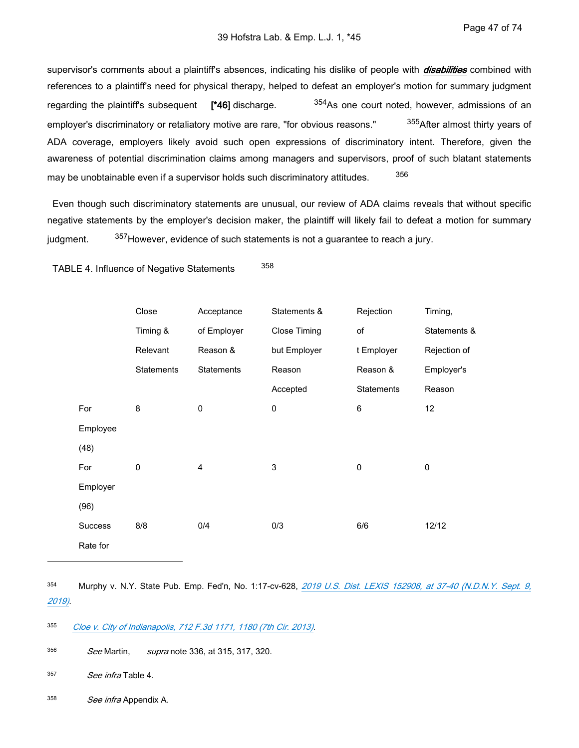supervisor's comments about a plaintiff's absences, indicating his dislike of people with *disabilities* combined with references to a plaintiff's need for physical therapy, helped to defeat an employer's motion for summary judgment regarding the plaintiff's subsequent [\*46] discharge. <sup>354</sup>As one court noted, however, admissions of an employer's discriminatory or retaliatory motive are rare, "for obvious reasons." 355After almost thirty years of ADA coverage, employers likely avoid such open expressions of discriminatory intent. Therefore, given the awareness of potential discrimination claims among managers and supervisors, proof of such blatant statements may be unobtainable even if a supervisor holds such discriminatory attitudes. 356

 Even though such discriminatory statements are unusual, our review of ADA claims reveals that without specific negative statements by the employer's decision maker, the plaintiff will likely fail to defeat a motion for summary judgment. <sup>357</sup>However, evidence of such statements is not a guarantee to reach a jury.

TABLE 4. Influence of Negative Statements 358

|          | Close      | Acceptance        | Statements &        | Rejection  | Timing,      |
|----------|------------|-------------------|---------------------|------------|--------------|
|          | Timing &   | of Employer       | <b>Close Timing</b> | of         | Statements & |
|          | Relevant   | Reason &          | but Employer        | t Employer | Rejection of |
|          | Statements | <b>Statements</b> | Reason              | Reason &   | Employer's   |
|          |            |                   | Accepted            | Statements | Reason       |
| For      | 8          | 0                 | $\mathbf 0$         | 6          | 12           |
| Employee |            |                   |                     |            |              |
| (48)     |            |                   |                     |            |              |
| For      | 0          | 4                 | $\mathsf 3$         | 0          | 0            |
| Employer |            |                   |                     |            |              |
| (96)     |            |                   |                     |            |              |
| Success  | 8/8        | 0/4               | 0/3                 | 6/6        | 12/12        |
| Rate for |            |                   |                     |            |              |

354 Murphy v. N.Y. State Pub. Emp. Fed'n, No. 1:17-cv-628, 2019 U.S. Dist. LEXIS 152908, at 37-40 (N.D.N.Y. Sept. 9, *[2019\)](https://advance.lexis.com/api/document?collection=cases&id=urn:contentItem:5X11-X1M1-F7ND-G4M9-00000-00&context=1516831)*.

355 *[Cloe v. City of Indianapolis, 712 F.3d 1171, 1180 \(7th Cir. 2013\)](https://advance.lexis.com/api/document?collection=cases&id=urn:contentItem:5855-4FY1-F04K-R0XS-00000-00&context=1516831)*.

356 *See* Martin, *supra* note 336, at 315, 317, 320.

357 *See infra* Table 4.

358 *See infra* Appendix A.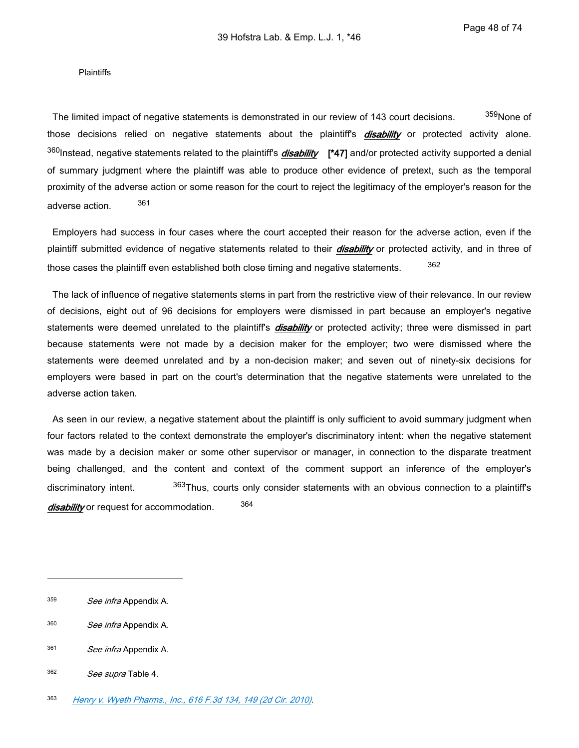#### **Plaintiffs**

The limited impact of negative statements is demonstrated in our review of 143 court decisions. <sup>359</sup>None of those decisions relied on negative statements about the plaintiff's *disability* or protected activity alone. 360Instead, negative statements related to the plaintiff's *disability* [\*47] and/or protected activity supported a denial of summary judgment where the plaintiff was able to produce other evidence of pretext, such as the temporal proximity of the adverse action or some reason for the court to reject the legitimacy of the employer's reason for the adverse action. 361

 Employers had success in four cases where the court accepted their reason for the adverse action, even if the plaintiff submitted evidence of negative statements related to their *disability* or protected activity, and in three of those cases the plaintiff even established both close timing and negative statements. 362

 The lack of influence of negative statements stems in part from the restrictive view of their relevance. In our review of decisions, eight out of 96 decisions for employers were dismissed in part because an employer's negative statements were deemed unrelated to the plaintiff's *disability* or protected activity; three were dismissed in part because statements were not made by a decision maker for the employer; two were dismissed where the statements were deemed unrelated and by a non-decision maker; and seven out of ninety-six decisions for employers were based in part on the court's determination that the negative statements were unrelated to the adverse action taken.

 As seen in our review, a negative statement about the plaintiff is only sufficient to avoid summary judgment when four factors related to the context demonstrate the employer's discriminatory intent: when the negative statement was made by a decision maker or some other supervisor or manager, in connection to the disparate treatment being challenged, and the content and context of the comment support an inference of the employer's discriminatory intent. <sup>363</sup>Thus, courts only consider statements with an obvious connection to a plaintiff's disability or request for accommodation. 364

<sup>359</sup>  *See infra* Appendix A.

<sup>360</sup>  *See infra* Appendix A.

<sup>361</sup>  *See infra* Appendix A.

<sup>362</sup>  *See supra* Table 4.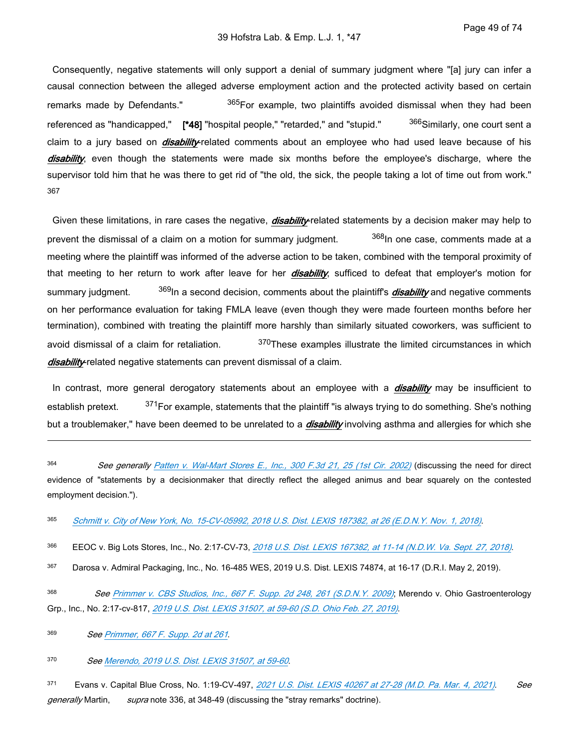Consequently, negative statements will only support a denial of summary judgment where "[a] jury can infer a causal connection between the alleged adverse employment action and the protected activity based on certain remarks made by Defendants." <sup>365</sup>For example, two plaintiffs avoided dismissal when they had been referenced as "handicapped," [\*48] "hospital people," "retarded," and "stupid." <sup>366</sup>Similarly, one court sent a claim to a jury based on *disability*-related comments about an employee who had used leave because of his *disability*, even though the statements were made six months before the employee's discharge, where the supervisor told him that he was there to get rid of "the old, the sick, the people taking a lot of time out from work." 367

 Given these limitations, in rare cases the negative, *disability*-related statements by a decision maker may help to prevent the dismissal of a claim on a motion for summary judgment. <sup>368</sup>In one case, comments made at a meeting where the plaintiff was informed of the adverse action to be taken, combined with the temporal proximity of that meeting to her return to work after leave for her *disability*, sufficed to defeat that employer's motion for summary judgment. <sup>369</sup>In a second decision, comments about the plaintiff's *disability* and negative comments on her performance evaluation for taking FMLA leave (even though they were made fourteen months before her termination), combined with treating the plaintiff more harshly than similarly situated coworkers, was sufficient to avoid dismissal of a claim for retaliation. <sup>370</sup>These examples illustrate the limited circumstances in which disability-related negative statements can prevent dismissal of a claim.

 In contrast, more general derogatory statements about an employee with a *disability* may be insufficient to establish pretext.  $371$  For example, statements that the plaintiff "is always trying to do something. She's nothing but a troublemaker," have been deemed to be unrelated to a *disability* involving asthma and allergies for which she

364 *See generally [Patten v. Wal-Mart Stores E., Inc., 300 F.3d 21, 25 \(1st Cir. 2002\)](https://advance.lexis.com/api/document?collection=cases&id=urn:contentItem:46HF-W5Y0-0038-X11K-00000-00&context=1516831)* (discussing the need for direct evidence of "statements by a decisionmaker that directly reflect the alleged animus and bear squarely on the contested employment decision.").

365 *[Schmitt v. City of New York, No. 15-CV-05992, 2018 U.S. Dist. LEXIS 187382, at 26 \(E.D.N.Y. Nov. 1, 2018\)](https://advance.lexis.com/api/document?collection=cases&id=urn:contentItem:5TMG-YXR1-JFDC-X19Y-00000-00&context=1516831)*.

<sup>366</sup>EEOC v. Big Lots Stores, Inc., No. 2:17-CV-73, *[2018 U.S. Dist. LEXIS 167382, at 11-14 \(N.D.W. Va. Sept. 27, 2018\)](https://advance.lexis.com/api/document?collection=cases&id=urn:contentItem:5TC1-CNG1-JCRC-B2C1-00000-00&context=1516831)*.

367 Darosa v. Admiral Packaging, Inc., No. 16-485 WES, 2019 U.S. Dist. LEXIS 74874, at 16-17 (D.R.I. May 2, 2019).

- 368 *See [Primmer v. CBS Studios, Inc., 667 F. Supp. 2d 248, 261 \(S.D.N.Y. 2009\)](https://advance.lexis.com/api/document?collection=cases&id=urn:contentItem:4X67-MJ90-TXFR-J26B-00000-00&context=1516831)*; Merendo v. Ohio Gastroenterology Grp., Inc., No. 2:17-cv-817, *[2019 U.S. Dist. LEXIS 31507, at 59-60 \(S.D. Ohio Feb. 27, 2019\)](https://advance.lexis.com/api/document?collection=cases&id=urn:contentItem:5VHS-3H71-JT42-S2V9-00000-00&context=1516831)*.
- 369 *See [Primmer, 667 F. Supp. 2d at 261](https://advance.lexis.com/api/document?collection=cases&id=urn:contentItem:4X67-MJ90-TXFR-J26B-00000-00&context=1516831)*.
- 370 *See [Merendo, 2019 U.S. Dist. LEXIS 31507, at 59-60](https://advance.lexis.com/api/document?collection=cases&id=urn:contentItem:5VHS-3H71-JT42-S2V9-00000-00&context=1516831)*.
- <sup>371</sup>Evans v. Capital Blue Cross, No. 1:19-CV-497, *[2021 U.S. Dist. LEXIS 40267 at 27-28 \(M.D. Pa. Mar. 4, 2021\)](https://advance.lexis.com/api/document?collection=cases&id=urn:contentItem:624K-DVX1-JSRM-618S-00000-00&context=1516831)*. *See generally* Martin, *supra* note 336, at 348-49 (discussing the "stray remarks" doctrine).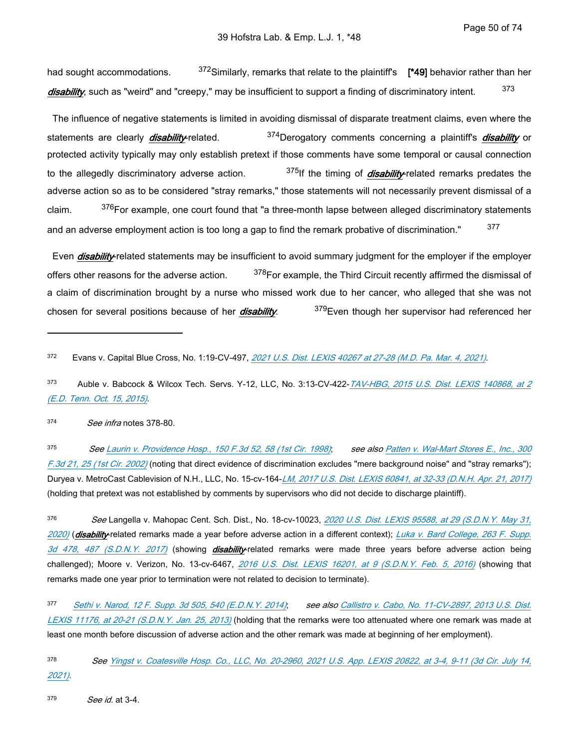had sought accommodations. 372Similarly, remarks that relate to the plaintiff's **[\*49]** behavior rather than her disability, such as "weird" and "creepy," may be insufficient to support a finding of discriminatory intent. 373

 The influence of negative statements is limited in avoiding dismissal of disparate treatment claims, even where the statements are clearly *disability*-related. 374Derogatory comments concerning a plaintiff's *disability* or protected activity typically may only establish pretext if those comments have some temporal or causal connection to the allegedly discriminatory adverse action. <sup>375</sup>If the timing of *disability*-related remarks predates the adverse action so as to be considered "stray remarks," those statements will not necessarily prevent dismissal of a claim. <sup>376</sup>For example, one court found that "a three-month lapse between alleged discriminatory statements and an adverse employment action is too long a gap to find the remark probative of discrimination." 377

 Even *disability*-related statements may be insufficient to avoid summary judgment for the employer if the employer offers other reasons for the adverse action. <sup>378</sup>For example, the Third Circuit recently affirmed the dismissal of a claim of discrimination brought by a nurse who missed work due to her cancer, who alleged that she was not chosen for several positions because of her *disability*. 379 Even though her supervisor had referenced her

373 Auble v. Babcock & Wilcox Tech. Servs. Y-12, LLC, No. 3:13-CV-422-*TAV-HBG, 2015 U.S. Dist. LEXIS 140868, at 2 [\(E.D. Tenn. Oct. 15, 2015\)](https://advance.lexis.com/api/document?collection=cases&id=urn:contentItem:5H54-XR91-F04F-B014-00000-00&context=1516831)*.

374 *See infra* notes 378-80.

375 *See [Laurin v. Providence Hosp., 150 F.3d 52, 58 \(1st Cir. 1998\)](https://advance.lexis.com/api/document?collection=cases&id=urn:contentItem:3T94-77T0-0038-X4KH-00000-00&context=1516831)*; *see also [Patten v. Wal-Mart Stores E., Inc., 300](https://advance.lexis.com/api/document?collection=cases&id=urn:contentItem:46HF-W5Y0-0038-X11K-00000-00&context=1516831)  [F.3d 21, 25 \(1st Cir. 2002\)](https://advance.lexis.com/api/document?collection=cases&id=urn:contentItem:46HF-W5Y0-0038-X11K-00000-00&context=1516831)* (noting that direct evidence of discrimination excludes "mere background noise" and "stray remarks"); Duryea v. MetroCast Cablevision of N.H., LLC, No. 15-cv-164-*[LM, 2017 U.S. Dist. LEXIS 60841, at 32-33 \(D.N.H. Apr. 21, 2017\)](https://advance.lexis.com/api/document?collection=cases&id=urn:contentItem:5NC9-9CF1-F04D-V001-00000-00&context=1516831)* (holding that pretext was not established by comments by supervisors who did not decide to discharge plaintiff).

376 *See* Langella v. Mahopac Cent. Sch. Dist., No. 18-cv-10023, *[2020 U.S. Dist. LEXIS 95588, at 29 \(S.D.N.Y. May 31,](https://advance.lexis.com/api/document?collection=cases&id=urn:contentItem:601R-YHG1-JG59-206K-00000-00&context=1516831)  [2020\)](https://advance.lexis.com/api/document?collection=cases&id=urn:contentItem:601R-YHG1-JG59-206K-00000-00&context=1516831)* (*disability*-related remarks made a year before adverse action in a different context); *[Luka v. Bard College, 263 F. Supp.](https://advance.lexis.com/api/document?collection=cases&id=urn:contentItem:5NX6-CBX1-F04F-052P-00000-00&context=1516831)  [3d 478, 487 \(S.D.N.Y. 2017\)](https://advance.lexis.com/api/document?collection=cases&id=urn:contentItem:5NX6-CBX1-F04F-052P-00000-00&context=1516831)* (showing *disability*-related remarks were made three years before adverse action being challenged); Moore v. Verizon, No. 13-cv-6467, *[2016 U.S. Dist. LEXIS 16201, at 9 \(S.D.N.Y. Feb. 5, 2016\)](https://advance.lexis.com/api/document?collection=cases&id=urn:contentItem:5J29-8N11-F04F-04H1-00000-00&context=1516831)* (showing that remarks made one year prior to termination were not related to decision to terminate).

377 *[Sethi v. Narod, 12 F. Supp. 3d 505, 540 \(E.D.N.Y. 2014\)](https://advance.lexis.com/api/document?collection=cases&id=urn:contentItem:5BWN-KYB1-F04F-00RK-00000-00&context=1516831)*; *see also [Callistro v. Cabo, No. 11-CV-2897, 2013 U.S. Dist.](https://advance.lexis.com/api/document?collection=cases&id=urn:contentItem:57M4-T3B1-F04F-0055-00000-00&context=1516831)  [LEXIS 11176, at 20-21 \(S.D.N.Y. Jan. 25, 2013\)](https://advance.lexis.com/api/document?collection=cases&id=urn:contentItem:57M4-T3B1-F04F-0055-00000-00&context=1516831)* (holding that the remarks were too attenuated where one remark was made at least one month before discussion of adverse action and the other remark was made at beginning of her employment).

378 *See [Yingst v. Coatesville Hosp. Co., LLC, No. 20-2960, 2021 U.S. App. LEXIS 20822, at 3-4, 9-11 \(3d Cir. July 14,](https://advance.lexis.com/api/document?collection=cases&id=urn:contentItem:634R-PH91-JFDC-X0R9-00000-00&context=1516831)  [2021\)](https://advance.lexis.com/api/document?collection=cases&id=urn:contentItem:634R-PH91-JFDC-X0R9-00000-00&context=1516831)*.

379 *See id.* at 3-4.

<sup>372</sup>Evans v. Capital Blue Cross, No. 1:19-CV-497, *[2021 U.S. Dist. LEXIS 40267 at 27-28 \(M.D. Pa. Mar. 4, 2021\)](https://advance.lexis.com/api/document?collection=cases&id=urn:contentItem:624K-DVX1-JSRM-618S-00000-00&context=1516831)*.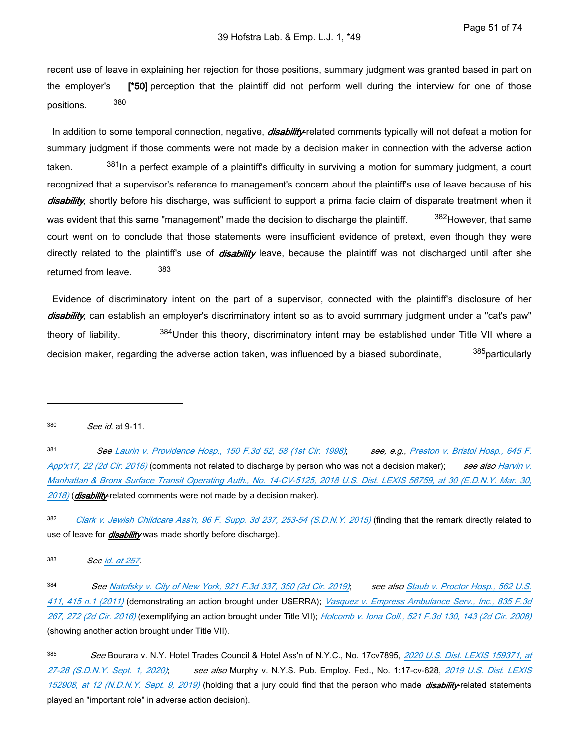recent use of leave in explaining her rejection for those positions, summary judgment was granted based in part on the employer's **[\*50]** perception that the plaintiff did not perform well during the interview for one of those positions. 380

 In addition to some temporal connection, negative, *disability*-related comments typically will not defeat a motion for summary judgment if those comments were not made by a decision maker in connection with the adverse action taken. <sup>381</sup>In a perfect example of a plaintiff's difficulty in surviving a motion for summary judgment, a court recognized that a supervisor's reference to management's concern about the plaintiff's use of leave because of his *disability*, shortly before his discharge, was sufficient to support a prima facie claim of disparate treatment when it was evident that this same "management" made the decision to discharge the plaintiff. <sup>382</sup>However, that same court went on to conclude that those statements were insufficient evidence of pretext, even though they were directly related to the plaintiff's use of *disability* leave, because the plaintiff was not discharged until after she returned from leave. 383

 Evidence of discriminatory intent on the part of a supervisor, connected with the plaintiff's disclosure of her *disability*, can establish an employer's discriminatory intent so as to avoid summary judgment under a "cat's paw" theory of liability. <sup>384</sup>Under this theory, discriminatory intent may be established under Title VII where a decision maker, regarding the adverse action taken, was influenced by a biased subordinate, <sup>385</sup>particularly

383 *See [id. at 257](https://advance.lexis.com/api/document?collection=cases&id=urn:contentItem:5FMX-BVB1-F04F-00M1-00000-00&context=1516831)*.

<sup>380</sup>  *See id.* at 9-11.

<sup>381</sup>  *See [Laurin v. Providence Hosp., 150 F.3d 52, 58 \(1st Cir. 1998\)](https://advance.lexis.com/api/document?collection=cases&id=urn:contentItem:3T94-77T0-0038-X4KH-00000-00&context=1516831)*; *see, e.g.*, *[Preston v. Bristol Hosp., 645 F.](https://advance.lexis.com/api/document?collection=cases&id=urn:contentItem:5JDY-C6B1-F04K-J11B-00000-00&context=1516831)  [App'x17, 22 \(2d Cir. 2016\)](https://advance.lexis.com/api/document?collection=cases&id=urn:contentItem:5JDY-C6B1-F04K-J11B-00000-00&context=1516831)* (comments not related to discharge by person who was not a decision maker); *see also [Harvin v.](https://advance.lexis.com/api/document?collection=cases&id=urn:contentItem:5S18-F3N1-JWBS-652B-00000-00&context=1516831)  [Manhattan & Bronx Surface Transit Operating Auth., No. 14-CV-5125, 2018 U.S. Dist. LEXIS 56759, at 30 \(E.D.N.Y. Mar. 30,](https://advance.lexis.com/api/document?collection=cases&id=urn:contentItem:5S18-F3N1-JWBS-652B-00000-00&context=1516831)  [2018\)](https://advance.lexis.com/api/document?collection=cases&id=urn:contentItem:5S18-F3N1-JWBS-652B-00000-00&context=1516831)* (*disability*-related comments were not made by a decision maker).

<sup>382</sup>  *[Clark v. Jewish Childcare Ass'n, 96 F. Supp. 3d 237, 253-54 \(S.D.N.Y. 2015\)](https://advance.lexis.com/api/document?collection=cases&id=urn:contentItem:5FMX-BVB1-F04F-00M1-00000-00&context=1516831)* (finding that the remark directly related to use of leave for *disability* was made shortly before discharge).

<sup>384</sup>  *See [Natofsky v. City of New York, 921 F.3d 337, 350 \(2d Cir. 2019\)](https://advance.lexis.com/api/document?collection=cases&id=urn:contentItem:5VX9-5511-JKHB-633W-00000-00&context=1516831)*; *see also [Staub v. Proctor Hosp., 562 U.S.](https://advance.lexis.com/api/document?collection=cases&id=urn:contentItem:528Y-R9B1-F04K-F112-00000-00&context=1516831)  [411, 415 n.1 \(2011\)](https://advance.lexis.com/api/document?collection=cases&id=urn:contentItem:528Y-R9B1-F04K-F112-00000-00&context=1516831)* (demonstrating an action brought under USERRA); *[Vasquez v. Empress Ambulance Serv., Inc., 835 F.3d](https://advance.lexis.com/api/document?collection=cases&id=urn:contentItem:5KK5-6DF1-F04K-J46N-00000-00&context=1516831)  [267, 272 \(2d Cir. 2016\)](https://advance.lexis.com/api/document?collection=cases&id=urn:contentItem:5KK5-6DF1-F04K-J46N-00000-00&context=1516831)* (exemplifying an action brought under Title VII); *[Holcomb v. Iona Coll., 521 F.3d 130, 143 \(2d Cir. 2008\)](https://advance.lexis.com/api/document?collection=cases&id=urn:contentItem:4S69-5390-TXFX-422J-00000-00&context=1516831)* (showing another action brought under Title VII).

<sup>385</sup>  *See* Bourara v. N.Y. Hotel Trades Council & Hotel Ass'n of N.Y.C., No. 17cv7895, *[2020 U.S. Dist. LEXIS 159371, at](https://advance.lexis.com/api/document?collection=cases&id=urn:contentItem:60RC-PWP1-F22N-X1V6-00000-00&context=1516831)  [27-28 \(S.D.N.Y. Sept. 1, 2020\)](https://advance.lexis.com/api/document?collection=cases&id=urn:contentItem:60RC-PWP1-F22N-X1V6-00000-00&context=1516831)*; *see also* Murphy v. N.Y.S. Pub. Employ. Fed., No. 1:17-cv-628, *[2019 U.S. Dist. LEXIS](https://advance.lexis.com/api/document?collection=cases&id=urn:contentItem:5X11-X1M1-F7ND-G4M9-00000-00&context=1516831)  [152908, at 12 \(N.D.N.Y. Sept. 9, 2019\)](https://advance.lexis.com/api/document?collection=cases&id=urn:contentItem:5X11-X1M1-F7ND-G4M9-00000-00&context=1516831)* (holding that a jury could find that the person who made *disability*-related statements played an "important role" in adverse action decision).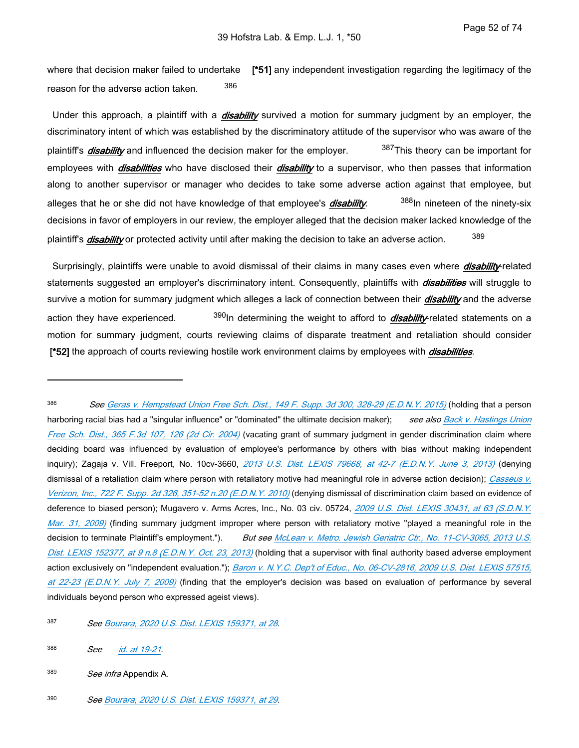where that decision maker failed to undertake **[\*51]** any independent investigation regarding the legitimacy of the reason for the adverse action taken.  $386$ 

 Under this approach, a plaintiff with a *disability* survived a motion for summary judgment by an employer, the discriminatory intent of which was established by the discriminatory attitude of the supervisor who was aware of the plaintiff's *disability* and influenced the decision maker for the employer. <sup>387</sup>This theory can be important for employees with *disabilities* who have disclosed their *disability* to a supervisor, who then passes that information along to another supervisor or manager who decides to take some adverse action against that employee, but alleges that he or she did not have knowledge of that employee's *disability*. 388In nineteen of the ninety-six decisions in favor of employers in our review, the employer alleged that the decision maker lacked knowledge of the plaintiff's *disability* or protected activity until after making the decision to take an adverse action. 389

 Surprisingly, plaintiffs were unable to avoid dismissal of their claims in many cases even where *disability*-related statements suggested an employer's discriminatory intent. Consequently, plaintiffs with *disabilities* will struggle to survive a motion for summary judgment which alleges a lack of connection between their *disability* and the adverse action they have experienced. <sup>390</sup>In determining the weight to afford to *disability*-related statements on a motion for summary judgment, courts reviewing claims of disparate treatment and retaliation should consider  **[\*52]** the approach of courts reviewing hostile work environment claims by employees with *disabilities*.

389 *See infra* Appendix A.

<sup>386</sup>  *See [Geras v. Hempstead Union Free Sch. Dist., 149 F. Supp. 3d 300, 328-29 \(E.D.N.Y. 2015\)](https://advance.lexis.com/api/document?collection=cases&id=urn:contentItem:5HMK-RVW1-F04F-01F2-00000-00&context=1516831)* (holding that a person harboring racial bias had a "singular influence" or "dominated" the ultimate decision maker); *see also [Back v. Hastings Union](https://advance.lexis.com/api/document?collection=cases&id=urn:contentItem:4C3V-CFY0-0038-X293-00000-00&context=1516831)  [Free Sch. Dist., 365 F.3d 107, 126 \(2d Cir. 2004\)](https://advance.lexis.com/api/document?collection=cases&id=urn:contentItem:4C3V-CFY0-0038-X293-00000-00&context=1516831)* (vacating grant of summary judgment in gender discrimination claim where deciding board was influenced by evaluation of employee's performance by others with bias without making independent inquiry); Zagaja v. Vill. Freeport, No. 10cv-3660, *[2013 U.S. Dist. LEXIS 79668, at 42-7 \(E.D.N.Y. June 3, 2013\)](https://advance.lexis.com/api/document?collection=cases&id=urn:contentItem:58KH-WRT1-F04F-000X-00000-00&context=1516831)* (denying dismissal of a retaliation claim where person with retaliatory motive had meaningful role in adverse action decision); *[Casseus v.](https://advance.lexis.com/api/document?collection=cases&id=urn:contentItem:7YXG-1151-652J-D010-00000-00&context=1516831)  [Verizon, Inc., 722 F. Supp. 2d 326, 351-52 n.20 \(E.D.N.Y. 2010\)](https://advance.lexis.com/api/document?collection=cases&id=urn:contentItem:7YXG-1151-652J-D010-00000-00&context=1516831)* (denying dismissal of discrimination claim based on evidence of deference to biased person); Mugavero v. Arms Acres, Inc., No. 03 civ. 05724, *[2009 U.S. Dist. LEXIS 30431, at 63 \(S.D.N.Y.](https://advance.lexis.com/api/document?collection=cases&id=urn:contentItem:4W29-0DN0-TXFR-J2W8-00000-00&context=1516831)  [Mar. 31, 2009\)](https://advance.lexis.com/api/document?collection=cases&id=urn:contentItem:4W29-0DN0-TXFR-J2W8-00000-00&context=1516831)* (finding summary judgment improper where person with retaliatory motive "played a meaningful role in the decision to terminate Plaintiff's employment."). *But see [McLean v. Metro. Jewish Geriatric Ctr., No. 11-CV-3065, 2013 U.S.](https://advance.lexis.com/api/document?collection=cases&id=urn:contentItem:59N6-FX81-F04F-00M5-00000-00&context=1516831)  [Dist. LEXIS 152377, at 9 n.8 \(E.D.N.Y. Oct. 23, 2013\)](https://advance.lexis.com/api/document?collection=cases&id=urn:contentItem:59N6-FX81-F04F-00M5-00000-00&context=1516831)* (holding that a supervisor with final authority based adverse employment action exclusively on "independent evaluation."); *[Baron v. N.Y.C. Dep't of Educ., No. 06-CV-2816, 2009 U.S. Dist. LEXIS 57515,](https://advance.lexis.com/api/document?collection=cases&id=urn:contentItem:4WPV-75C0-TXFR-J2RY-00000-00&context=1516831)  [at 22-23 \(E.D.N.Y. July 7, 2009\)](https://advance.lexis.com/api/document?collection=cases&id=urn:contentItem:4WPV-75C0-TXFR-J2RY-00000-00&context=1516831)* (finding that the employer's decision was based on evaluation of performance by several individuals beyond person who expressed ageist views).

<sup>387</sup>  *See [Bourara, 2020 U.S. Dist. LEXIS 159371, at 28](https://advance.lexis.com/api/document?collection=cases&id=urn:contentItem:60RC-PWP1-F22N-X1V6-00000-00&context=1516831)*.

<sup>388</sup>  *See [id. at 19-21](https://advance.lexis.com/api/document?collection=cases&id=urn:contentItem:5JDY-C6B1-F04K-J11B-00000-00&context=1516831)*.

<sup>390</sup>  *See [Bourara, 2020 U.S. Dist. LEXIS 159371, at 29](https://advance.lexis.com/api/document?collection=cases&id=urn:contentItem:60RC-PWP1-F22N-X1V6-00000-00&context=1516831)*.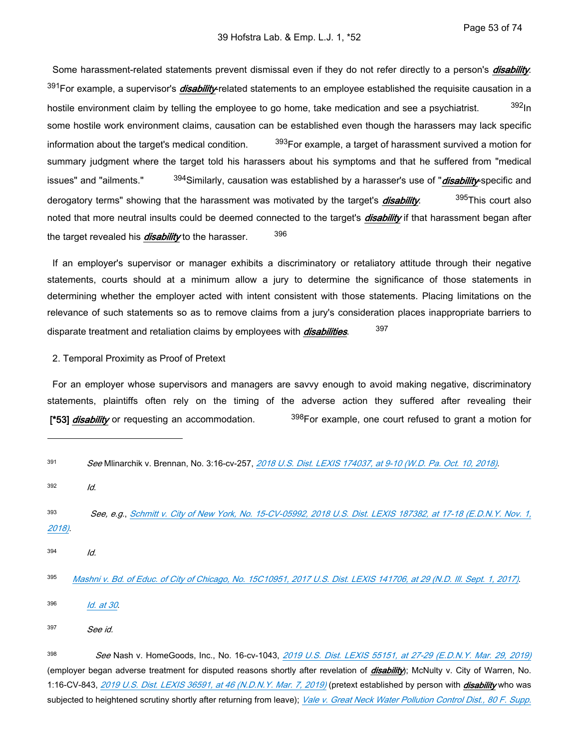Some harassment-related statements prevent dismissal even if they do not refer directly to a person's *disability*. <sup>391</sup>For example, a supervisor's *disability*-related statements to an employee established the requisite causation in a hostile environment claim by telling the employee to go home, take medication and see a psychiatrist. <sup>392</sup>In some hostile work environment claims, causation can be established even though the harassers may lack specific information about the target's medical condition. <sup>393</sup>For example, a target of harassment survived a motion for summary judgment where the target told his harassers about his symptoms and that he suffered from "medical issues" and "ailments." 394Similarly, causation was established by a harasser's use of "*disability*-specific and derogatory terms" showing that the harassment was motivated by the target's *disability*. <sup>395</sup>This court also noted that more neutral insults could be deemed connected to the target's *disability* if that harassment began after the target revealed his *disability* to the harasser. 396

 If an employer's supervisor or manager exhibits a discriminatory or retaliatory attitude through their negative statements, courts should at a minimum allow a jury to determine the significance of those statements in determining whether the employer acted with intent consistent with those statements. Placing limitations on the relevance of such statements so as to remove claims from a jury's consideration places inappropriate barriers to disparate treatment and retaliation claims by employees with *disabilities*. 397

## 2. Temporal Proximity as Proof of Pretext

 For an employer whose supervisors and managers are savvy enough to avoid making negative, discriminatory statements, plaintiffs often rely on the timing of the adverse action they suffered after revealing their [\*53] *disability* or requesting an accommodation. <sup>398</sup>For example, one court refused to grant a motion for

392 *Id*.

393 *See, e.g.*, *[Schmitt v. City of New York, No. 15-CV-05992, 2018 U.S. Dist. LEXIS 187382, at 17-18 \(E.D.N.Y. Nov. 1,](https://advance.lexis.com/api/document?collection=cases&id=urn:contentItem:5TMG-YXR1-JFDC-X19Y-00000-00&context=1516831)  [2018\)](https://advance.lexis.com/api/document?collection=cases&id=urn:contentItem:5TMG-YXR1-JFDC-X19Y-00000-00&context=1516831)*.

394

396 *[Id. at 30](https://advance.lexis.com/api/document?collection=cases&id=urn:contentItem:5JDY-C6B1-F04K-J11B-00000-00&context=1516831)*.

*Id.*

398 *See* Nash v. HomeGoods, Inc., No. 16-cv-1043, *[2019 U.S. Dist. LEXIS 55151, at 27-29 \(E.D.N.Y. Mar. 29, 2019\)](https://advance.lexis.com/api/document?collection=cases&id=urn:contentItem:5VSM-F051-JWBS-60SM-00000-00&context=1516831)* (employer began adverse treatment for disputed reasons shortly after revelation of *disability*); McNulty v. City of Warren, No. 1:16-CV-843, *[2019 U.S. Dist. LEXIS 36591, at 46 \(N.D.N.Y. Mar. 7, 2019\)](https://advance.lexis.com/api/document?collection=cases&id=urn:contentItem:5VKC-GF11-FG68-G3MJ-00000-00&context=1516831)* (pretext established by person with *disability* who was subjected to heightened scrutiny shortly after returning from leave); *[Vale v. Great Neck Water Pollution Control Dist., 80 F. Supp.](https://advance.lexis.com/api/document?collection=cases&id=urn:contentItem:5F40-P221-F04F-000J-00000-00&context=1516831)* 

<sup>391</sup>  *See* Mlinarchik v. Brennan, No. 3:16-cv-257, *[2018 U.S. Dist. LEXIS 174037, at 9-10 \(W.D. Pa. Oct. 10, 2018\)](https://advance.lexis.com/api/document?collection=cases&id=urn:contentItem:5TFT-KWH1-FCSB-S0D1-00000-00&context=1516831)*.

<sup>395</sup>  *[Mashni v. Bd. of Educ. of City of Chicago, No. 15C10951, 2017 U.S. Dist. LEXIS 141706, at 29 \(N.D. Ill. Sept. 1, 2017\)](https://advance.lexis.com/api/document?collection=cases&id=urn:contentItem:5PCN-CP11-F04D-70PM-00000-00&context=1516831)*.

<sup>397</sup>  *See id.*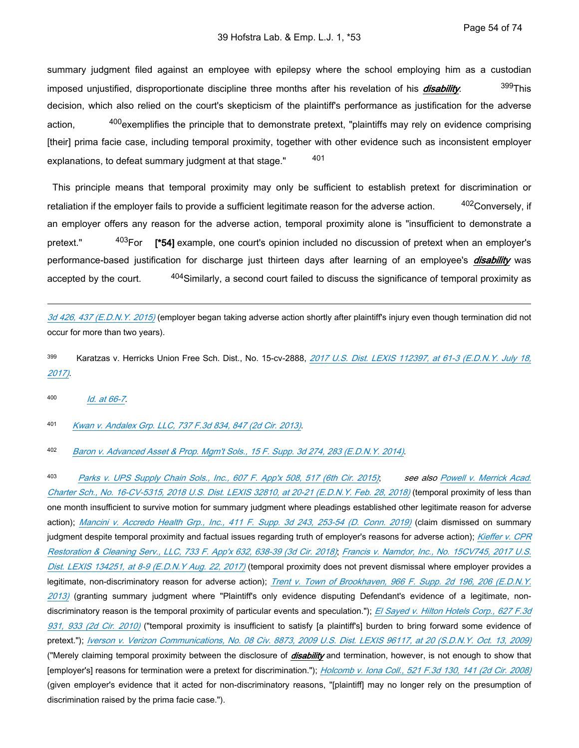summary judgment filed against an employee with epilepsy where the school employing him as a custodian imposed unjustified, disproportionate discipline three months after his revelation of his *disability*. <sup>399</sup>This decision, which also relied on the court's skepticism of the plaintiff's performance as justification for the adverse action, <sup>400</sup>exemplifies the principle that to demonstrate pretext, "plaintiffs may rely on evidence comprising [their] prima facie case, including temporal proximity, together with other evidence such as inconsistent employer explanations, to defeat summary judgment at that stage." 401

 This principle means that temporal proximity may only be sufficient to establish pretext for discrimination or retaliation if the employer fails to provide a sufficient legitimate reason for the adverse action. <sup>402</sup>Conversely, if an employer offers any reason for the adverse action, temporal proximity alone is "insufficient to demonstrate a pretext." 403For **[\*54]** example, one court's opinion included no discussion of pretext when an employer's performance-based justification for discharge just thirteen days after learning of an employee's *disability* was accepted by the court. <sup>404</sup>Similarly, a second court failed to discuss the significance of temporal proximity as

*[3d 426, 437 \(E.D.N.Y. 2015\)](https://advance.lexis.com/api/document?collection=cases&id=urn:contentItem:5F40-P221-F04F-000J-00000-00&context=1516831)* (employer began taking adverse action shortly after plaintiff's injury even though termination did not occur for more than two years).

<sup>399</sup>Karatzas v. Herricks Union Free Sch. Dist., No. 15-cv-2888, *[2017 U.S. Dist. LEXIS 112397, at 61-3 \(E.D.N.Y. July 18,](https://advance.lexis.com/api/document?collection=cases&id=urn:contentItem:5P27-YNR1-F04F-017B-00000-00&context=1516831)  [2017\)](https://advance.lexis.com/api/document?collection=cases&id=urn:contentItem:5P27-YNR1-F04F-017B-00000-00&context=1516831)*.

400 *[Id. at 66-7](https://advance.lexis.com/api/document?collection=cases&id=urn:contentItem:5JDY-C6B1-F04K-J11B-00000-00&context=1516831)*.

401 *[Kwan v. Andalex Grp. LLC, 737 F.3d 834, 847 \(2d Cir. 2013\)](https://advance.lexis.com/api/document?collection=cases&id=urn:contentItem:5B2P-4RT1-F04K-J12R-00000-00&context=1516831)*.

402 *[Baron v. Advanced Asset & Prop. Mgm't Sols., 15 F. Supp. 3d 274, 283 \(E.D.N.Y. 2014\)](https://advance.lexis.com/api/document?collection=cases&id=urn:contentItem:5C38-XGS1-F04F-013V-00000-00&context=1516831)*.

403 *[Parks v. UPS Supply Chain Sols., Inc., 607 F. App'x 508, 517 \(6th Cir. 2015\)](https://advance.lexis.com/api/document?collection=cases&id=urn:contentItem:5FSH-KRG1-F04K-P072-00000-00&context=1516831)*; *see also [Powell v. Merrick Acad.](https://advance.lexis.com/api/document?collection=cases&id=urn:contentItem:5RS2-9B71-F22N-X4GK-00000-00&context=1516831)  [Charter Sch., No. 16-CV-5315, 2018 U.S. Dist. LEXIS 32810, at 20-21 \(E.D.N.Y. Feb. 28, 2018\)](https://advance.lexis.com/api/document?collection=cases&id=urn:contentItem:5RS2-9B71-F22N-X4GK-00000-00&context=1516831)* (temporal proximity of less than one month insufficient to survive motion for summary judgment where pleadings established other legitimate reason for adverse action); *[Mancini v. Accredo Health Grp., Inc., 411 F. Supp. 3d 243, 253-54 \(D. Conn. 2019\)](https://advance.lexis.com/api/document?collection=cases&id=urn:contentItem:5WYY-9TN1-JGHR-M1PF-00000-00&context=1516831)* (claim dismissed on summary judgment despite temporal proximity and factual issues regarding truth of employer's reasons for adverse action); *[Kieffer v. CPR](https://advance.lexis.com/api/document?collection=cases&id=urn:contentItem:5SB7-61K1-FFMK-M0CV-00000-00&context=1516831)  [Restoration & Cleaning Serv., LLC, 733 F. App'x 632, 638-39 \(3d Cir. 2018\)](https://advance.lexis.com/api/document?collection=cases&id=urn:contentItem:5SB7-61K1-FFMK-M0CV-00000-00&context=1516831)*; *[Francis v. Namdor, Inc., No. 15CV745, 2017 U.S.](https://advance.lexis.com/api/document?collection=cases&id=urn:contentItem:5P9H-P711-F04F-0169-00000-00&context=1516831)  [Dist. LEXIS 134251, at 8-9 \(E.D.N.Y Aug. 22, 2017\)](https://advance.lexis.com/api/document?collection=cases&id=urn:contentItem:5P9H-P711-F04F-0169-00000-00&context=1516831)* (temporal proximity does not prevent dismissal where employer provides a legitimate, non-discriminatory reason for adverse action); *[Trent v. Town of Brookhaven, 966 F. Supp. 2d 196, 206 \(E.D.N.Y.](https://advance.lexis.com/api/document?collection=cases&id=urn:contentItem:594G-G701-F04F-0147-00000-00&context=1516831)  [2013\)](https://advance.lexis.com/api/document?collection=cases&id=urn:contentItem:594G-G701-F04F-0147-00000-00&context=1516831)* (granting summary judgment where "Plaintiff's only evidence disputing Defendant's evidence of a legitimate, nondiscriminatory reason is the temporal proximity of particular events and speculation."); *[El Sayed v. Hilton Hotels Corp., 627 F.3d](https://advance.lexis.com/api/document?collection=cases&id=urn:contentItem:51R5-V3P1-652R-00H3-00000-00&context=1516831)  [931, 933 \(2d Cir. 2010\)](https://advance.lexis.com/api/document?collection=cases&id=urn:contentItem:51R5-V3P1-652R-00H3-00000-00&context=1516831)* ("temporal proximity is insufficient to satisfy [a plaintiff's] burden to bring forward some evidence of pretext."); *[Iverson v. Verizon Communications, No. 08 Civ. 8873, 2009 U.S. Dist. LEXIS 96117, at 20 \(S.D.N.Y. Oct. 13, 2009\)](https://advance.lexis.com/api/document?collection=cases&id=urn:contentItem:4XG5-0JY0-TXFR-J3CY-00000-00&context=1516831)* ("Merely claiming temporal proximity between the disclosure of *disability* and termination, however, is not enough to show that [employer's] reasons for termination were a pretext for discrimination."); *[Holcomb v. Iona Coll., 521 F.3d 130, 141 \(2d Cir. 2008\)](https://advance.lexis.com/api/document?collection=cases&id=urn:contentItem:4S69-5390-TXFX-422J-00000-00&context=1516831)* (given employer's evidence that it acted for non-discriminatory reasons, "[plaintiff] may no longer rely on the presumption of discrimination raised by the prima facie case.").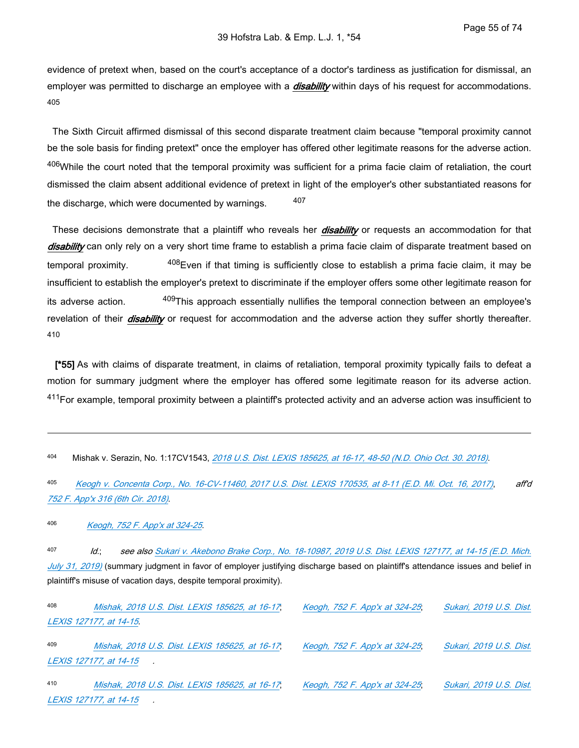evidence of pretext when, based on the court's acceptance of a doctor's tardiness as justification for dismissal, an employer was permitted to discharge an employee with a *disability* within days of his request for accommodations. 405

 The Sixth Circuit affirmed dismissal of this second disparate treatment claim because "temporal proximity cannot be the sole basis for finding pretext" once the employer has offered other legitimate reasons for the adverse action. 406While the court noted that the temporal proximity was sufficient for a prima facie claim of retaliation, the court dismissed the claim absent additional evidence of pretext in light of the employer's other substantiated reasons for the discharge, which were documented by warnings. 407

 These decisions demonstrate that a plaintiff who reveals her *disability* or requests an accommodation for that *disability* can only rely on a very short time frame to establish a prima facie claim of disparate treatment based on temporal proximity. <sup>408</sup>Even if that timing is sufficiently close to establish a prima facie claim, it may be insufficient to establish the employer's pretext to discriminate if the employer offers some other legitimate reason for its adverse action. <sup>409</sup>This approach essentially nullifies the temporal connection between an employee's revelation of their *disability* or request for accommodation and the adverse action they suffer shortly thereafter. 410

 **[\*55]** As with claims of disparate treatment, in claims of retaliation, temporal proximity typically fails to defeat a motion for summary judgment where the employer has offered some legitimate reason for its adverse action. 411For example, temporal proximity between a plaintiff's protected activity and an adverse action was insufficient to

405 *[Keogh v. Concenta Corp., No. 16-CV-11460, 2017 U.S. Dist. LEXIS 170535, at 8-11 \(E.D. Mi. Oct. 16, 2017\)](https://advance.lexis.com/api/document?collection=cases&id=urn:contentItem:5PR8-3B01-F04D-H3TM-00000-00&context=1516831)*, *aff'd [752 F. App'x 316 \(6th Cir. 2018\)](https://advance.lexis.com/api/document?collection=cases&id=urn:contentItem:5TP0-8V61-JKPJ-G40X-00000-00&context=1516831)*.

406 *[Keogh, 752 F. App'x at 324-25](https://advance.lexis.com/api/document?collection=cases&id=urn:contentItem:5TP0-8V61-JKPJ-G40X-00000-00&context=1516831)*.

407 *Id.*; *see also [Sukari v. Akebono Brake Corp., No. 18-10987, 2019 U.S. Dist. LEXIS 127177, at 14-15 \(E.D. Mich.](https://advance.lexis.com/api/document?collection=cases&id=urn:contentItem:5WPG-8441-FBV7-B4BT-00000-00&context=1516831)  [July 31, 2019\)](https://advance.lexis.com/api/document?collection=cases&id=urn:contentItem:5WPG-8441-FBV7-B4BT-00000-00&context=1516831)* (summary judgment in favor of employer justifying discharge based on plaintiff's attendance issues and belief in plaintiff's misuse of vacation days, despite temporal proximity).

| 408 | Mishak, 2018 U.S. Dist. LEXIS 185625, at 16-17. | Keogh, 752 F. App'x at 324-25, | Sukari, 2019 U.S. Dist. |
|-----|-------------------------------------------------|--------------------------------|-------------------------|
|     | LEXIS 127177, at 14-15                          |                                |                         |
| 409 | Mishak, 2018 U.S. Dist. LEXIS 185625, at 16-17. | Keogh, 752 F. App'x at 324-25, | Sukari, 2019 U.S. Dist. |
|     | LEXIS 127177, at 14-15                          |                                |                         |
| 410 | Mishak, 2018 U.S. Dist. LEXIS 185625, at 16-17. | Keogh, 752 F. App'x at 324-25. | Sukari, 2019 U.S. Dist. |
|     | LEXIS 127177, at 14-15                          |                                |                         |

<sup>404</sup>Mishak v. Serazin, No. 1:17CV1543, *[2018 U.S. Dist. LEXIS 185625, at 16-17, 48-50 \(N.D. Ohio Oct. 30. 2018\)](https://advance.lexis.com/api/document?collection=cases&id=urn:contentItem:5TM5-NCF1-JXNB-6009-00000-00&context=1516831)*.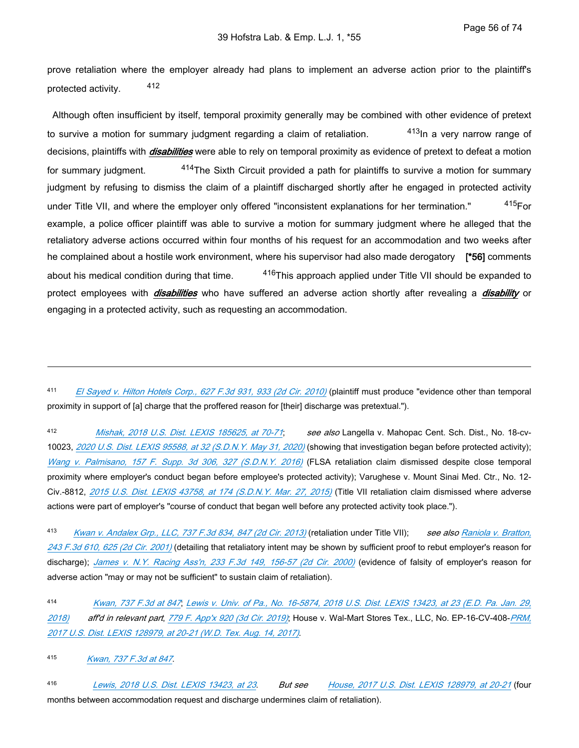prove retaliation where the employer already had plans to implement an adverse action prior to the plaintiff's protected activity. 412

 Although often insufficient by itself, temporal proximity generally may be combined with other evidence of pretext to survive a motion for summary judgment regarding a claim of retaliation.  $413$ In a very narrow range of decisions, plaintiffs with *disabilities* were able to rely on temporal proximity as evidence of pretext to defeat a motion for summary judgment. <sup>414</sup>The Sixth Circuit provided a path for plaintiffs to survive a motion for summary judgment by refusing to dismiss the claim of a plaintiff discharged shortly after he engaged in protected activity under Title VII, and where the employer only offered "inconsistent explanations for her termination." 415For example, a police officer plaintiff was able to survive a motion for summary judgment where he alleged that the retaliatory adverse actions occurred within four months of his request for an accommodation and two weeks after he complained about a hostile work environment, where his supervisor had also made derogatory **[\*56]** comments about his medical condition during that time. <sup>416</sup>This approach applied under Title VII should be expanded to protect employees with *disabilities* who have suffered an adverse action shortly after revealing a *disability* or engaging in a protected activity, such as requesting an accommodation.

411 *[El Sayed v. Hilton Hotels Corp., 627 F.3d 931, 933 \(2d Cir. 2010\)](https://advance.lexis.com/api/document?collection=cases&id=urn:contentItem:51R5-V3P1-652R-00H3-00000-00&context=1516831)* (plaintiff must produce "evidence other than temporal proximity in support of [a] charge that the proffered reason for [their] discharge was pretextual.").

412 *[Mishak, 2018 U.S. Dist. LEXIS 185625, at 70-71](https://advance.lexis.com/api/document?collection=cases&id=urn:contentItem:5TM5-NCF1-JXNB-6009-00000-00&context=1516831)*; *see also* Langella v. Mahopac Cent. Sch. Dist., No. 18-cv-10023, *[2020 U.S. Dist. LEXIS 95588, at 32 \(S.D.N.Y. May 31, 2020\)](https://advance.lexis.com/api/document?collection=cases&id=urn:contentItem:601R-YHG1-JG59-206K-00000-00&context=1516831)* (showing that investigation began before protected activity); *[Wang v. Palmisano, 157 F. Supp. 3d 306, 327 \(S.D.N.Y. 2016\)](https://advance.lexis.com/api/document?collection=cases&id=urn:contentItem:5HY4-HVV1-F04F-03JT-00000-00&context=1516831)* (FLSA retaliation claim dismissed despite close temporal proximity where employer's conduct began before employee's protected activity); Varughese v. Mount Sinai Med. Ctr., No. 12- Civ.-8812, *[2015 U.S. Dist. LEXIS 43758, at 174 \(S.D.N.Y. Mar. 27, 2015\)](https://advance.lexis.com/api/document?collection=cases&id=urn:contentItem:5FMX-8WR1-F04F-00KD-00000-00&context=1516831)* (Title VII retaliation claim dismissed where adverse actions were part of employer's "course of conduct that began well before any protected activity took place.").

413 *[Kwan v. Andalex Grp., LLC, 737 F.3d 834, 847 \(2d Cir. 2013\)](https://advance.lexis.com/api/document?collection=cases&id=urn:contentItem:5B2P-4RT1-F04K-J12R-00000-00&context=1516831)* (retaliation under Title VII); *see also [Raniola v. Bratton,](https://advance.lexis.com/api/document?collection=cases&id=urn:contentItem:42NX-W8P0-0038-X1YK-00000-00&context=1516831)  [243 F.3d 610, 625 \(2d Cir. 2001\)](https://advance.lexis.com/api/document?collection=cases&id=urn:contentItem:42NX-W8P0-0038-X1YK-00000-00&context=1516831)* (detailing that retaliatory intent may be shown by sufficient proof to rebut employer's reason for discharge); *[James v. N.Y. Racing Ass'n, 233 F.3d 149, 156-57 \(2d Cir. 2000\)](https://advance.lexis.com/api/document?collection=cases&id=urn:contentItem:41SS-9180-0038-X3W6-00000-00&context=1516831)* (evidence of falsity of employer's reason for adverse action "may or may not be sufficient" to sustain claim of retaliation).

414 *[Kwan, 737 F.3d at 847](https://advance.lexis.com/api/document?collection=cases&id=urn:contentItem:5B2P-4RT1-F04K-J12R-00000-00&context=1516831)*; *[Lewis v. Univ. of Pa., No. 16-5874, 2018 U.S. Dist. LEXIS 13423, at 23 \(E.D. Pa. Jan. 29,](https://advance.lexis.com/api/document?collection=cases&id=urn:contentItem:5RHM-BWF1-JJ1H-X248-00000-00&context=1516831)  [2018\)](https://advance.lexis.com/api/document?collection=cases&id=urn:contentItem:5RHM-BWF1-JJ1H-X248-00000-00&context=1516831) aff'd in relevant part*, *[779 F. App'x 920 \(3d Cir. 2019\)](https://advance.lexis.com/api/document?collection=cases&id=urn:contentItem:5WSD-V361-F7ND-G0RB-00000-00&context=1516831)*; House v. Wal-Mart Stores Tex., LLC, No. EP-16-CV-408-*[PRM,](https://advance.lexis.com/api/document?collection=cases&id=urn:contentItem:5P7T-Y4M1-F04F-C0JB-00000-00&context=1516831)  [2017 U.S. Dist. LEXIS 128979, at 20-21 \(W.D. Tex. Aug. 14, 2017\)](https://advance.lexis.com/api/document?collection=cases&id=urn:contentItem:5P7T-Y4M1-F04F-C0JB-00000-00&context=1516831)*.

415 *[Kwan, 737 F.3d at 847](https://advance.lexis.com/api/document?collection=cases&id=urn:contentItem:5B2P-4RT1-F04K-J12R-00000-00&context=1516831)*.

416 *[Lewis, 2018 U.S. Dist. LEXIS 13423, at 23](https://advance.lexis.com/api/document?collection=cases&id=urn:contentItem:5RHM-BWF1-JJ1H-X248-00000-00&context=1516831)*. *But see [House, 2017 U.S. Dist. LEXIS 128979, at 20-21](https://advance.lexis.com/api/document?collection=cases&id=urn:contentItem:5P7T-Y4M1-F04F-C0JB-00000-00&context=1516831)* (four months between accommodation request and discharge undermines claim of retaliation).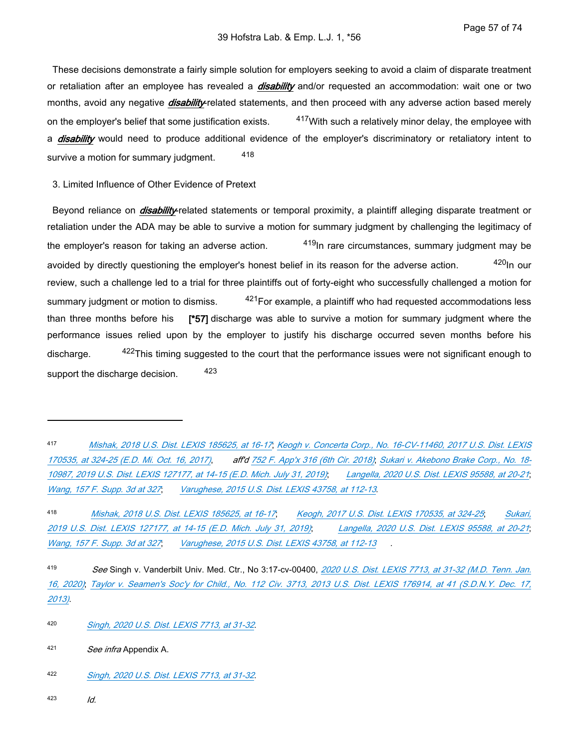These decisions demonstrate a fairly simple solution for employers seeking to avoid a claim of disparate treatment or retaliation after an employee has revealed a *disability* and/or requested an accommodation: wait one or two months, avoid any negative *disability*-related statements, and then proceed with any adverse action based merely on the employer's belief that some justification exists.  $417$ With such a relatively minor delay, the employee with a *disability* would need to produce additional evidence of the employer's discriminatory or retaliatory intent to survive a motion for summary judgment. 418

### 3. Limited Influence of Other Evidence of Pretext

 Beyond reliance on *disability*-related statements or temporal proximity, a plaintiff alleging disparate treatment or retaliation under the ADA may be able to survive a motion for summary judgment by challenging the legitimacy of the employer's reason for taking an adverse action.  $419$ In rare circumstances, summary judgment may be avoided by directly questioning the employer's honest belief in its reason for the adverse action. <sup>420</sup>In our review, such a challenge led to a trial for three plaintiffs out of forty-eight who successfully challenged a motion for summary judgment or motion to dismiss.  $421$  For example, a plaintiff who had requested accommodations less than three months before his **[\*57]** discharge was able to survive a motion for summary judgment where the performance issues relied upon by the employer to justify his discharge occurred seven months before his discharge. <sup>422</sup>This timing suggested to the court that the performance issues were not significant enough to support the discharge decision. 423

- 420 *[Singh, 2020 U.S. Dist. LEXIS 7713, at 31-32](https://advance.lexis.com/api/document?collection=cases&id=urn:contentItem:5Y0N-5B41-JC0G-6242-00000-00&context=1516831)*.
- 421 *See infra* Appendix A.
- 422 *[Singh, 2020 U.S. Dist. LEXIS 7713, at 31-32](https://advance.lexis.com/api/document?collection=cases&id=urn:contentItem:5Y0N-5B41-JC0G-6242-00000-00&context=1516831)*.
- 423

*Id.*

<sup>417</sup>  *[Mishak, 2018 U.S. Dist. LEXIS 185625, at 16-17](https://advance.lexis.com/api/document?collection=cases&id=urn:contentItem:5TM5-NCF1-JXNB-6009-00000-00&context=1516831)*; *[Keogh v. Concerta Corp., No. 16-CV-11460, 2017 U.S. Dist. LEXIS](https://advance.lexis.com/api/document?collection=cases&id=urn:contentItem:5PR8-3B01-F04D-H3TM-00000-00&context=1516831)  [170535, at 324-25 \(E.D. Mi. Oct. 16, 2017\)](https://advance.lexis.com/api/document?collection=cases&id=urn:contentItem:5PR8-3B01-F04D-H3TM-00000-00&context=1516831)*, *aff'd [752 F. App'x 316 \(6th Cir. 2018\)](https://advance.lexis.com/api/document?collection=cases&id=urn:contentItem:5TP0-8V61-JKPJ-G40X-00000-00&context=1516831)*; *[Sukari v. Akebono Brake Corp., No. 18-](https://advance.lexis.com/api/document?collection=cases&id=urn:contentItem:5WPG-8441-FBV7-B4BT-00000-00&context=1516831) [10987, 2019 U.S. Dist. LEXIS 127177, at 14-15 \(E.D. Mich. July 31, 2019\)](https://advance.lexis.com/api/document?collection=cases&id=urn:contentItem:5WPG-8441-FBV7-B4BT-00000-00&context=1516831)*; *[Langella, 2020 U.S. Dist. LEXIS 95588, at 20-21](https://advance.lexis.com/api/document?collection=cases&id=urn:contentItem:601R-YHG1-JG59-206K-00000-00&context=1516831)*; *[Wang, 157 F. Supp. 3d at 327](https://advance.lexis.com/api/document?collection=cases&id=urn:contentItem:5HY4-HVV1-F04F-03JT-00000-00&context=1516831)*; *[Varughese, 2015 U.S. Dist. LEXIS 43758, at 112-13](https://advance.lexis.com/api/document?collection=cases&id=urn:contentItem:5FMX-8WR1-F04F-00KD-00000-00&context=1516831)*.

<sup>418</sup>  *[Mishak, 2018 U.S. Dist. LEXIS 185625, at 16-17](https://advance.lexis.com/api/document?collection=cases&id=urn:contentItem:5TM5-NCF1-JXNB-6009-00000-00&context=1516831)*; *[Keogh, 2017 U.S. Dist. LEXIS 170535, at 324-25](https://advance.lexis.com/api/document?collection=cases&id=urn:contentItem:5PR8-3B01-F04D-H3TM-00000-00&context=1516831)*; *[Sukari,](https://advance.lexis.com/api/document?collection=cases&id=urn:contentItem:5WPG-8441-FBV7-B4BT-00000-00&context=1516831)  [2019 U.S. Dist. LEXIS 127177, at 14-15 \(E.D. Mich. July 31, 2019\)](https://advance.lexis.com/api/document?collection=cases&id=urn:contentItem:5WPG-8441-FBV7-B4BT-00000-00&context=1516831)*; *[Langella, 2020 U.S. Dist. LEXIS 95588, at 20-21](https://advance.lexis.com/api/document?collection=cases&id=urn:contentItem:601R-YHG1-JG59-206K-00000-00&context=1516831)*; *[Wang, 157 F. Supp. 3d at 327](https://advance.lexis.com/api/document?collection=cases&id=urn:contentItem:5HY4-HVV1-F04F-03JT-00000-00&context=1516831)*; *[Varughese, 2015 U.S. Dist. LEXIS 43758, at 112-13](https://advance.lexis.com/api/document?collection=cases&id=urn:contentItem:5FMX-8WR1-F04F-00KD-00000-00&context=1516831) .*

<sup>419</sup>  *See* Singh v. Vanderbilt Univ. Med. Ctr., No 3:17-cv-00400, *[2020 U.S. Dist. LEXIS 7713, at 31-32 \(M.D. Tenn. Jan.](https://advance.lexis.com/api/document?collection=cases&id=urn:contentItem:5Y0N-5B41-JC0G-6242-00000-00&context=1516831)  [16, 2020\)](https://advance.lexis.com/api/document?collection=cases&id=urn:contentItem:5Y0N-5B41-JC0G-6242-00000-00&context=1516831)*; *[Taylor v. Seamen's Soc'y for Child., No. 112 Civ. 3713, 2013 U.S. Dist. LEXIS 176914, at 41 \(S.D.N.Y. Dec. 17,](https://advance.lexis.com/api/document?collection=cases&id=urn:contentItem:5B2Y-0TM1-F04F-04CR-00000-00&context=1516831)  [2013\)](https://advance.lexis.com/api/document?collection=cases&id=urn:contentItem:5B2Y-0TM1-F04F-04CR-00000-00&context=1516831)*.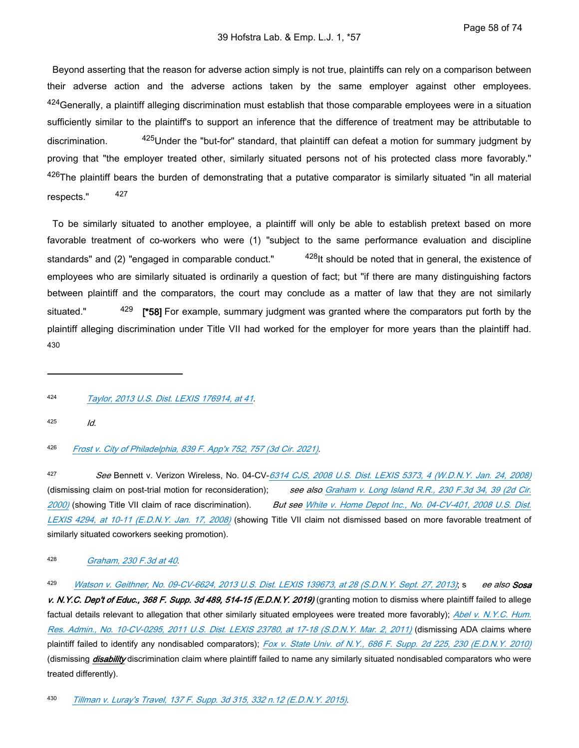Beyond asserting that the reason for adverse action simply is not true, plaintiffs can rely on a comparison between their adverse action and the adverse actions taken by the same employer against other employees. 424 Generally, a plaintiff alleging discrimination must establish that those comparable employees were in a situation sufficiently similar to the plaintiff's to support an inference that the difference of treatment may be attributable to discrimination. <sup>425</sup>Under the "but-for" standard, that plaintiff can defeat a motion for summary judgment by proving that "the employer treated other, similarly situated persons not of his protected class more favorably."  $426$ The plaintiff bears the burden of demonstrating that a putative comparator is similarly situated "in all material respects." 427

 To be similarly situated to another employee, a plaintiff will only be able to establish pretext based on more favorable treatment of co-workers who were (1) "subject to the same performance evaluation and discipline standards" and (2) "engaged in comparable conduct." <sup>428</sup>It should be noted that in general, the existence of employees who are similarly situated is ordinarily a question of fact; but "if there are many distinguishing factors between plaintiff and the comparators, the court may conclude as a matter of law that they are not similarly situated." **[\*58]** For example, summary judgment was granted where the comparators put forth by the plaintiff alleging discrimination under Title VII had worked for the employer for more years than the plaintiff had. 430

425 *Id.*

426 *[Frost v. City of Philadelphia, 839 F. App'x 752, 757 \(3d Cir. 2021\)](https://advance.lexis.com/api/document?collection=cases&id=urn:contentItem:61PF-KXJ1-JFSV-G19M-00000-00&context=1516831)*.

427 *See* Bennett v. Verizon Wireless, No. 04-CV-*[6314 CJS, 2008 U.S. Dist. LEXIS 5373, 4 \(W.D.N.Y. Jan. 24, 2008\)](https://advance.lexis.com/api/document?collection=cases&id=urn:contentItem:4RNT-CXM0-TXFR-J27H-00000-00&context=1516831)* (dismissing claim on post-trial motion for reconsideration); *see also [Graham v. Long Island R.R., 230 F.3d 34, 39 \(2d Cir.](https://advance.lexis.com/api/document?collection=cases&id=urn:contentItem:41G1-HRJ0-0038-X4H3-00000-00&context=1516831)  [2000\)](https://advance.lexis.com/api/document?collection=cases&id=urn:contentItem:41G1-HRJ0-0038-X4H3-00000-00&context=1516831)* (showing Title VII claim of race discrimination). *But see [White v. Home Depot Inc., No. 04-CV-401, 2008 U.S. Dist.](https://advance.lexis.com/api/document?collection=cases&id=urn:contentItem:4RNB-N7R0-TXFR-J1XW-00000-00&context=1516831)  [LEXIS 4294, at 10-11 \(E.D.N.Y. Jan. 17, 2008\)](https://advance.lexis.com/api/document?collection=cases&id=urn:contentItem:4RNB-N7R0-TXFR-J1XW-00000-00&context=1516831)* (showing Title VII claim not dismissed based on more favorable treatment of similarly situated coworkers seeking promotion).

#### 428 *[Graham, 230 F.3d at 40](https://advance.lexis.com/api/document?collection=cases&id=urn:contentItem:41G1-HRJ0-0038-X4H3-00000-00&context=1516831)*.

429 *[Watson v. Geithner, No. 09-CV-6624, 2013 U.S. Dist. LEXIS 139673, at 28 \(S.D.N.Y. Sept. 27, 2013\)](https://advance.lexis.com/api/document?collection=cases&id=urn:contentItem:59FN-6SG1-F04F-03CM-00000-00&context=1516831)*; s *ee also Sosa v. N.Y.C. Dep't of Educ., 368 F. Supp. 3d 489, 514-15 (E.D.N.Y. 2019)* (granting motion to dismiss where plaintiff failed to allege factual details relevant to allegation that other similarly situated employees were treated more favorably); *Abel v. N.Y.C. Hum. [Res. Admin., No. 10-CV-0295, 2011 U.S. Dist. LEXIS 23780, at 17-18 \(S.D.N.Y. Mar. 2, 2011\)](https://advance.lexis.com/api/document?collection=cases&id=urn:contentItem:52C1-MVY1-JCNC-80MC-00000-00&context=1516831)* (dismissing ADA claims where plaintiff failed to identify any nondisabled comparators); *[Fox v. State Univ. of N.Y., 686 F. Supp. 2d 225, 230 \(E.D.N.Y. 2010\)](https://advance.lexis.com/api/document?collection=cases&id=urn:contentItem:7XX5-J5S0-YB0N-V007-00000-00&context=1516831)* (dismissing *disability* discrimination claim where plaintiff failed to name any similarly situated nondisabled comparators who were treated differently).

<sup>424</sup>  *[Taylor, 2013 U.S. Dist. LEXIS 176914, at 41](https://advance.lexis.com/api/document?collection=cases&id=urn:contentItem:5B2Y-0TM1-F04F-04CR-00000-00&context=1516831)*.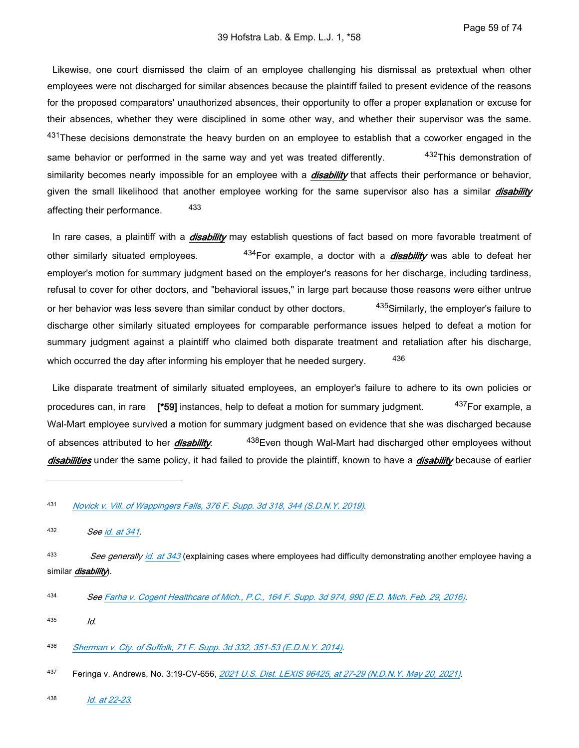Likewise, one court dismissed the claim of an employee challenging his dismissal as pretextual when other employees were not discharged for similar absences because the plaintiff failed to present evidence of the reasons for the proposed comparators' unauthorized absences, their opportunity to offer a proper explanation or excuse for their absences, whether they were disciplined in some other way, and whether their supervisor was the same. <sup>431</sup>These decisions demonstrate the heavy burden on an employee to establish that a coworker engaged in the same behavior or performed in the same way and yet was treated differently. <sup>432</sup>This demonstration of similarity becomes nearly impossible for an employee with a *disability* that affects their performance or behavior, given the small likelihood that another employee working for the same supervisor also has a similar *disability* affecting their performance. 433

 In rare cases, a plaintiff with a *disability* may establish questions of fact based on more favorable treatment of other similarly situated employees. 434For example, a doctor with a *disability* was able to defeat her employer's motion for summary judgment based on the employer's reasons for her discharge, including tardiness, refusal to cover for other doctors, and "behavioral issues," in large part because those reasons were either untrue or her behavior was less severe than similar conduct by other doctors. <sup>435</sup>Similarly, the employer's failure to discharge other similarly situated employees for comparable performance issues helped to defeat a motion for summary judgment against a plaintiff who claimed both disparate treatment and retaliation after his discharge, which occurred the day after informing his employer that he needed surgery. 436

 Like disparate treatment of similarly situated employees, an employer's failure to adhere to its own policies or procedures can, in rare **[\*59]** instances, help to defeat a motion for summary judgment. <sup>437</sup>For example, a Wal-Mart employee survived a motion for summary judgment based on evidence that she was discharged because of absences attributed to her *disability*. 438 Even though Wal-Mart had discharged other employees without *disabilities* under the same policy, it had failed to provide the plaintiff, known to have a *disability* because of earlier

432 *See [id. at 341](https://advance.lexis.com/api/document?collection=cases&id=urn:contentItem:5VRM-P0G1-DXWW-207X-00000-00&context=1516831)*.

435 *Id*.

<sup>437</sup>Feringa v. Andrews, No. 3:19-CV-656, *[2021 U.S. Dist. LEXIS 96425, at 27-29 \(N.D.N.Y. May 20, 2021\)](https://advance.lexis.com/api/document?collection=cases&id=urn:contentItem:62R7-2FS1-JWBS-61XY-00000-00&context=1516831)*.

438 *[Id. at 22-23](https://advance.lexis.com/api/document?collection=cases&id=urn:contentItem:5JDY-C6B1-F04K-J11B-00000-00&context=1516831)*.

<sup>431</sup>  *[Novick v. Vill. of Wappingers Falls, 376 F. Supp. 3d 318, 344 \(S.D.N.Y. 2019\)](https://advance.lexis.com/api/document?collection=cases&id=urn:contentItem:5VRM-P0G1-DXWW-207X-00000-00&context=1516831)*.

<sup>433</sup>  *See generally [id. at 343](https://advance.lexis.com/api/document?collection=cases&id=urn:contentItem:5VRM-P0G1-DXWW-207X-00000-00&context=1516831)* (explaining cases where employees had difficulty demonstrating another employee having a similar *disability*).

<sup>434</sup>  *See [Farha v. Cogent Healthcare of Mich., P.C., 164 F. Supp. 3d 974, 990 \(E.D. Mich. Feb. 29, 2016\)](https://advance.lexis.com/api/document?collection=cases&id=urn:contentItem:5J6P-8Y51-F04D-H41T-00000-00&context=1516831)*.

<sup>436</sup>  *[Sherman v. Cty. of Suffolk, 71 F. Supp. 3d 332, 351-53 \(E.D.N.Y. 2014\)](https://advance.lexis.com/api/document?collection=cases&id=urn:contentItem:5DY9-B4K1-F04F-000C-00000-00&context=1516831)*.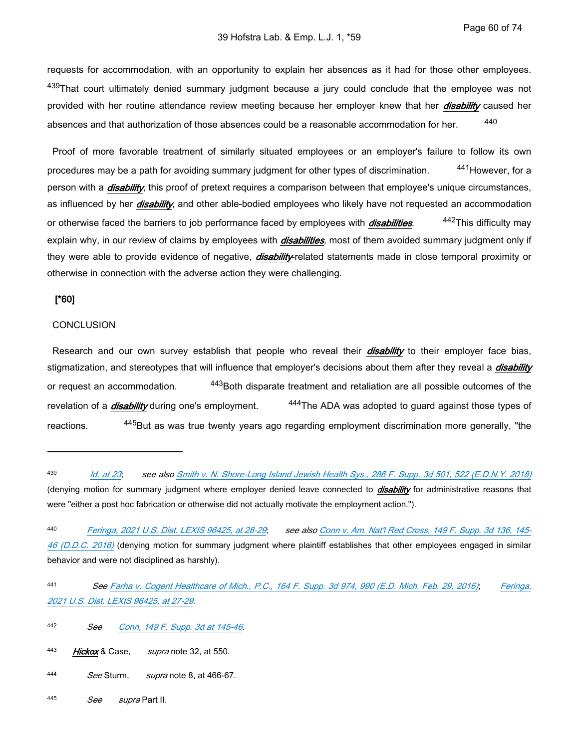requests for accommodation, with an opportunity to explain her absences as it had for those other employees. 439That court ultimately denied summary judgment because a jury could conclude that the employee was not provided with her routine attendance review meeting because her employer knew that her *disability* caused her absences and that authorization of those absences could be a reasonable accommodation for her. 440

 Proof of more favorable treatment of similarly situated employees or an employer's failure to follow its own procedures may be a path for avoiding summary judgment for other types of discrimination. <sup>441</sup>However, for a person with a *disability*, this proof of pretext requires a comparison between that employee's unique circumstances, as influenced by her *disability*, and other able-bodied employees who likely have not requested an accommodation or otherwise faced the barriers to job performance faced by employees with *disabilities*. 442 This difficulty may explain why, in our review of claims by employees with *disabilities*, most of them avoided summary judgment only if they were able to provide evidence of negative, *disability*-related statements made in close temporal proximity or otherwise in connection with the adverse action they were challenging.

### **[\*60]**

## CONCLUSION

 Research and our own survey establish that people who reveal their *disability* to their employer face bias, stigmatization, and stereotypes that will influence that employer's decisions about them after they reveal a *disability* or request an accommodation. <sup>443</sup>Both disparate treatment and retaliation are all possible outcomes of the revelation of a *disability* during one's employment. <sup>444</sup>The ADA was adopted to guard against those types of reactions. <sup>445</sup>But as was true twenty years ago regarding employment discrimination more generally, "the

- 444 *See* Sturm, *supra* note 8, at 466-67.
- 445 *See supra* Part II.

<sup>439</sup>  *[Id. at 23](https://advance.lexis.com/api/document?collection=cases&id=urn:contentItem:5JDY-C6B1-F04K-J11B-00000-00&context=1516831)*; *see also [Smith v. N. Shore-Long Island Jewish Health Sys., 286 F. Supp. 3d 501, 522 \(E.D.N.Y. 2018\)](https://advance.lexis.com/api/document?collection=cases&id=urn:contentItem:5RRS-6GJ1-JT42-S4HV-00000-00&context=1516831)* (denying motion for summary judgment where employer denied leave connected to *disability* for administrative reasons that were "either a post hoc fabrication or otherwise did not actually motivate the employment action.").

<sup>440</sup>  *[Feringa, 2021 U.S. Dist. LEXIS 96425, at 28-29](https://advance.lexis.com/api/document?collection=cases&id=urn:contentItem:62R7-2FS1-JWBS-61XY-00000-00&context=1516831)*; *see also [Conn v. Am. Nat'l Red Cross, 149 F. Supp. 3d 136, 145-](https://advance.lexis.com/api/document?collection=cases&id=urn:contentItem:5J5H-VBS1-F04C-Y1RH-00000-00&context=1516831) [46 \(D.D.C. 2016\)](https://advance.lexis.com/api/document?collection=cases&id=urn:contentItem:5J5H-VBS1-F04C-Y1RH-00000-00&context=1516831)* (denying motion for summary judgment where plaintiff establishes that other employees engaged in similar behavior and were not disciplined as harshly).

<sup>441</sup>  *See [Farha v. Cogent Healthcare of Mich., P.C., 164 F. Supp. 3d 974, 990 \(E.D. Mich. Feb. 29, 2016\)](https://advance.lexis.com/api/document?collection=cases&id=urn:contentItem:5J6P-8Y51-F04D-H41T-00000-00&context=1516831)*; *[Feringa,](https://advance.lexis.com/api/document?collection=cases&id=urn:contentItem:62R7-2FS1-JWBS-61XY-00000-00&context=1516831)  [2021 U.S. Dist. LEXIS 96425, at 27-29](https://advance.lexis.com/api/document?collection=cases&id=urn:contentItem:62R7-2FS1-JWBS-61XY-00000-00&context=1516831)*.

<sup>442</sup>  *See [Conn, 149 F. Supp. 3d at 145-46](https://advance.lexis.com/api/document?collection=cases&id=urn:contentItem:5J5H-VBS1-F04C-Y1RH-00000-00&context=1516831)*.

<sup>443</sup>  *Hickox* & Case, *supra* note 32, at 550.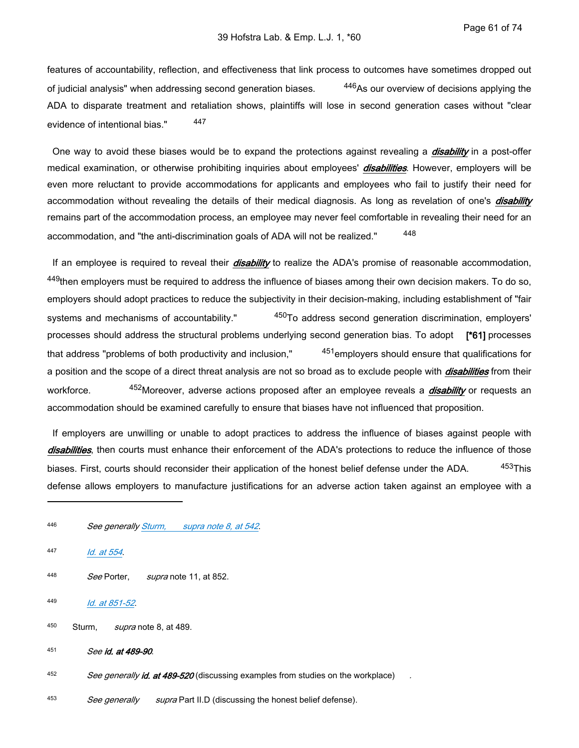features of accountability, reflection, and effectiveness that link process to outcomes have sometimes dropped out of judicial analysis" when addressing second generation biases. <sup>446</sup>As our overview of decisions applying the ADA to disparate treatment and retaliation shows, plaintiffs will lose in second generation cases without "clear evidence of intentional bias." 447

 One way to avoid these biases would be to expand the protections against revealing a *disability* in a post-offer medical examination, or otherwise prohibiting inquiries about employees' *disabilities*. However, employers will be even more reluctant to provide accommodations for applicants and employees who fail to justify their need for accommodation without revealing the details of their medical diagnosis. As long as revelation of one's *disability* remains part of the accommodation process, an employee may never feel comfortable in revealing their need for an accommodation, and "the anti-discrimination goals of ADA will not be realized." 448

 If an employee is required to reveal their *disability* to realize the ADA's promise of reasonable accommodation, <sup>449</sup>then employers must be required to address the influence of biases among their own decision makers. To do so, employers should adopt practices to reduce the subjectivity in their decision-making, including establishment of "fair systems and mechanisms of accountability." <sup>450</sup>To address second generation discrimination, employers' processes should address the structural problems underlying second generation bias. To adopt **[\*61]** processes that address "problems of both productivity and inclusion." 451employers should ensure that qualifications for a position and the scope of a direct threat analysis are not so broad as to exclude people with *disabilities* from their workforce. 452Moreover, adverse actions proposed after an employee reveals a *disability* or requests an accommodation should be examined carefully to ensure that biases have not influenced that proposition.

 If employers are unwilling or unable to adopt practices to address the influence of biases against people with *disabilities*, then courts must enhance their enforcement of the ADA's protections to reduce the influence of those biases. First, courts should reconsider their application of the honest belief defense under the ADA. <sup>453</sup>This defense allows employers to manufacture justifications for an adverse action taken against an employee with a

- 447 *[Id. at 554](https://advance.lexis.com/api/document?collection=cases&id=urn:contentItem:3S4W-XDP0-003B-R3R4-00000-00&context=1516831)*.
- 448 *See* Porter, *supra* note 11, at 852.
- 449 *[Id. at 851-52](https://advance.lexis.com/api/document?collection=cases&id=urn:contentItem:61PF-KXJ1-JFSV-G19M-00000-00&context=1516831)*.
- <sup>450</sup>Sturm, *supra* note 8, at 489.
- 451 *See id. at 489-90*.

452 *See generally id. at 489-520* (discussing examples from studies on the workplace) *.*

453 *See generally supra* Part II.D (discussing the honest belief defense).

<sup>446</sup>  *See generally [Sturm, supra note 8, at 542](https://advance.lexis.com/api/document?collection=cases&id=urn:contentItem:3S4W-XDP0-003B-R3R4-00000-00&context=1516831)*.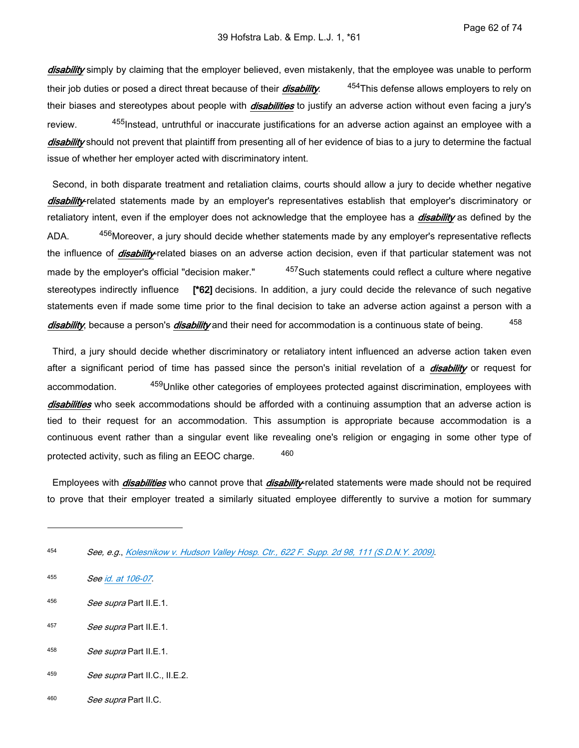*disability* simply by claiming that the employer believed, even mistakenly, that the employee was unable to perform their job duties or posed a direct threat because of their *disability*. 454This defense allows employers to rely on their biases and stereotypes about people with *disabilities* to justify an adverse action without even facing a jury's review. <sup>455</sup>Instead, untruthful or inaccurate justifications for an adverse action against an employee with a *disability* should not prevent that plaintiff from presenting all of her evidence of bias to a jury to determine the factual issue of whether her employer acted with discriminatory intent.

 Second, in both disparate treatment and retaliation claims, courts should allow a jury to decide whether negative *disability*-related statements made by an employer's representatives establish that employer's discriminatory or retaliatory intent, even if the employer does not acknowledge that the employee has a *disability* as defined by the ADA. <sup>456</sup>Moreover, a jury should decide whether statements made by any employer's representative reflects the influence of *disability*-related biases on an adverse action decision, even if that particular statement was not made by the employer's official "decision maker." <sup>457</sup>Such statements could reflect a culture where negative stereotypes indirectly influence **[\*62]** decisions. In addition, a jury could decide the relevance of such negative statements even if made some time prior to the final decision to take an adverse action against a person with a disability, because a person's *disability* and their need for accommodation is a continuous state of being. 458

 Third, a jury should decide whether discriminatory or retaliatory intent influenced an adverse action taken even after a significant period of time has passed since the person's initial revelation of a *disability* or request for accommodation. <sup>459</sup>Unlike other categories of employees protected against discrimination, employees with *disabilities* who seek accommodations should be afforded with a continuing assumption that an adverse action is tied to their request for an accommodation. This assumption is appropriate because accommodation is a continuous event rather than a singular event like revealing one's religion or engaging in some other type of protected activity, such as filing an EEOC charge. 460

 Employees with *disabilities* who cannot prove that *disability*-related statements were made should not be required to prove that their employer treated a similarly situated employee differently to survive a motion for summary

- 457 *See supra* Part II.E.1.
- 458 *See supra* Part II.E.1.
- 459 *See supra* Part II.C., II.E.2.
- 460 *See supra* Part II.C.

<sup>454</sup>  *See, e.g.*, *[Kolesnikow v. Hudson Valley Hosp. Ctr., 622 F. Supp. 2d 98, 111 \(S.D.N.Y. 2009\)](https://advance.lexis.com/api/document?collection=cases&id=urn:contentItem:4WBK-2T00-TXFR-J32H-00000-00&context=1516831)*.

<sup>455</sup>  *See [id. at 106-07](https://advance.lexis.com/api/document?collection=cases&id=urn:contentItem:4WBK-2T00-TXFR-J32H-00000-00&context=1516831)*.

<sup>456</sup>  *See supra* Part II.E.1.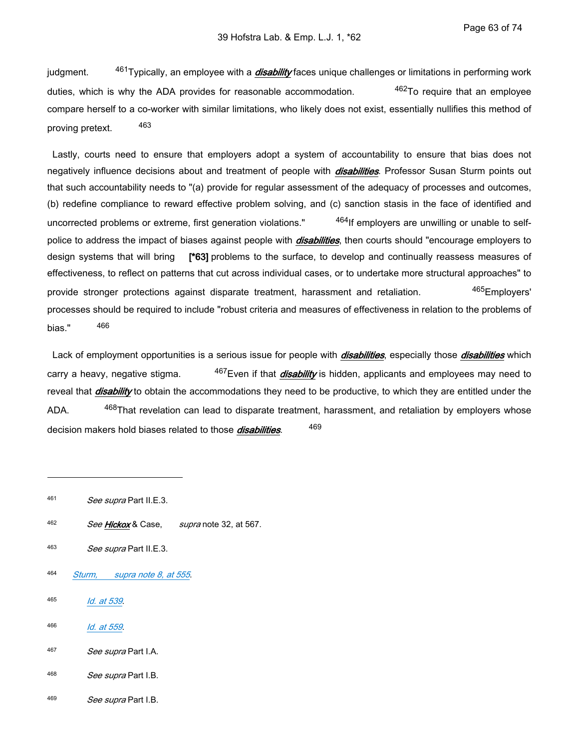judgment. 461Typically, an employee with a *disability* faces unique challenges or limitations in performing work duties, which is why the ADA provides for reasonable accommodation.  $462T<sub>O</sub>$  require that an employee compare herself to a co-worker with similar limitations, who likely does not exist, essentially nullifies this method of proving pretext. 463

 Lastly, courts need to ensure that employers adopt a system of accountability to ensure that bias does not negatively influence decisions about and treatment of people with *disabilities*. Professor Susan Sturm points out that such accountability needs to "(a) provide for regular assessment of the adequacy of processes and outcomes, (b) redefine compliance to reward effective problem solving, and (c) sanction stasis in the face of identified and uncorrected problems or extreme, first generation violations." <sup>464</sup>If employers are unwilling or unable to selfpolice to address the impact of biases against people with *disabilities*, then courts should "encourage employers to design systems that will bring **[\*63]** problems to the surface, to develop and continually reassess measures of effectiveness, to reflect on patterns that cut across individual cases, or to undertake more structural approaches" to provide stronger protections against disparate treatment, harassment and retaliation. 465Employers' processes should be required to include "robust criteria and measures of effectiveness in relation to the problems of bias." <sup>466</sup>

 Lack of employment opportunities is a serious issue for people with *disabilities*, especially those *disabilities* which carry a heavy, negative stigma. <sup>467</sup>Even if that *disability* is hidden, applicants and employees may need to reveal that *disability* to obtain the accommodations they need to be productive, to which they are entitled under the ADA. <sup>468</sup>That revelation can lead to disparate treatment, harassment, and retaliation by employers whose decision makers hold biases related to those *disabilities*. 469

- 462 *See Hickox* & Case, *supra* note 32, at 567.
- 463 *See supra* Part II.E.3.
- 464 *[Sturm, supra note 8, at 555](https://advance.lexis.com/api/document?collection=cases&id=urn:contentItem:3S4W-XDP0-003B-R3R4-00000-00&context=1516831)*.
- 465 *[Id. at 539](https://advance.lexis.com/api/document?collection=cases&id=urn:contentItem:3S4W-XDP0-003B-R3R4-00000-00&context=1516831)*.
- 466 *[Id. at 559](https://advance.lexis.com/api/document?collection=cases&id=urn:contentItem:3S4W-XDP0-003B-R3R4-00000-00&context=1516831)*.
- 467 *See supra* Part I.A.
- 468 *See supra* Part I.B.
- 469 *See supra* Part I.B.

<sup>461</sup>  *See supra* Part II.E.3.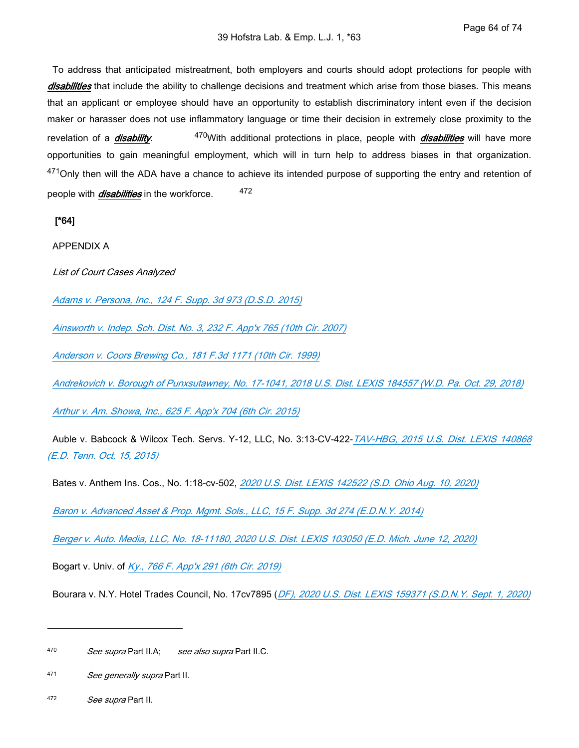To address that anticipated mistreatment, both employers and courts should adopt protections for people with *disabilities* that include the ability to challenge decisions and treatment which arise from those biases. This means that an applicant or employee should have an opportunity to establish discriminatory intent even if the decision maker or harasser does not use inflammatory language or time their decision in extremely close proximity to the revelation of a *disability*. <sup>470</sup>With additional protections in place, people with *disabilities* will have more opportunities to gain meaningful employment, which will in turn help to address biases in that organization. <sup>471</sup>Only then will the ADA have a chance to achieve its intended purpose of supporting the entry and retention of people with *disabilities* in the workforce. 472

## **[\*64]**

APPENDIX A

*List of Court Cases Analyzed*

*[Adams v. Persona, Inc., 124 F. Supp. 3d 973 \(D.S.D. 2015\)](https://advance.lexis.com/api/document?collection=cases&id=urn:contentItem:5GRF-B771-F04F-9003-00000-00&context=1516831)*

*[Ainsworth v. Indep. Sch. Dist. No. 3, 232 F. App'x 765 \(10th Cir. 2007\)](https://advance.lexis.com/api/document?collection=cases&id=urn:contentItem:4NKB-3G90-0038-X54W-00000-00&context=1516831)*

*[Anderson v. Coors Brewing Co., 181 F.3d 1171 \(10th Cir. 1999\)](https://advance.lexis.com/api/document?collection=cases&id=urn:contentItem:3WVB-7850-0038-X423-00000-00&context=1516831)*

*[Andrekovich v. Borough of Punxsutawney, No. 17-1041, 2018 U.S. Dist. LEXIS 184557 \(W.D. Pa. Oct. 29, 2018\)](https://advance.lexis.com/api/document?collection=cases&id=urn:contentItem:5TKW-2VH1-JFKM-600P-00000-00&context=1516831)*

*[Arthur v. Am. Showa, Inc., 625 F. App'x 704 \(6th Cir. 2015\)](https://advance.lexis.com/api/document?collection=cases&id=urn:contentItem:5GNX-J0H1-F04K-P0GP-00000-00&context=1516831)*

 Auble v. Babcock & Wilcox Tech. Servs. Y-12, LLC, No. 3:13-CV-422-*[TAV-HBG, 2015 U.S. Dist. LEXIS 140868](https://advance.lexis.com/api/document?collection=cases&id=urn:contentItem:5H54-XR91-F04F-B014-00000-00&context=1516831)  [\(E.D. Tenn. Oct. 15, 2015\)](https://advance.lexis.com/api/document?collection=cases&id=urn:contentItem:5H54-XR91-F04F-B014-00000-00&context=1516831)*

Bates v. Anthem Ins. Cos., No. 1:18-cv-502, *[2020 U.S. Dist. LEXIS 142522 \(S.D. Ohio Aug. 10, 2020\)](https://advance.lexis.com/api/document?collection=cases&id=urn:contentItem:60JS-X5T1-FGCG-S001-00000-00&context=1516831)*

*[Baron v. Advanced Asset & Prop. Mgmt. Sols., LLC, 15 F. Supp. 3d 274 \(E.D.N.Y. 2014\)](https://advance.lexis.com/api/document?collection=cases&id=urn:contentItem:5C38-XGS1-F04F-013V-00000-00&context=1516831)*

*[Berger v. Auto. Media, LLC, No. 18-11180, 2020 U.S. Dist. LEXIS 103050 \(E.D. Mich. June 12, 2020\)](https://advance.lexis.com/api/document?collection=cases&id=urn:contentItem:6046-FST1-F5DR-22VG-00000-00&context=1516831)*

Bogart v. Univ. of *[Ky., 766 F. App'x 291 \(6th Cir. 2019\)](https://advance.lexis.com/api/document?collection=cases&id=urn:contentItem:5VNP-4C61-F06F-24BX-00000-00&context=1516831)*

Bourara v. N.Y. Hotel Trades Council, No. 17cv7895 (*[DF\), 2020 U.S. Dist. LEXIS 159371 \(S.D.N.Y. Sept. 1, 2020\)](https://advance.lexis.com/api/document?collection=cases&id=urn:contentItem:60RC-PWP1-F22N-X1V6-00000-00&context=1516831)*

472 *See supra* Part II.

<sup>470</sup>  *See supra* Part II.A; *see also supra* Part II.C.

<sup>471</sup>  *See generally supra* Part II.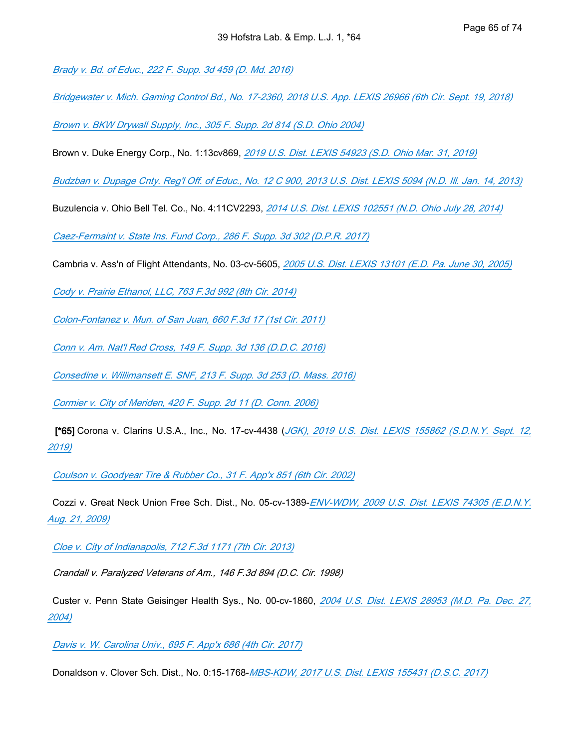*[Brady v. Bd. of Educ., 222 F. Supp. 3d 459 \(D. Md. 2016\)](https://advance.lexis.com/api/document?collection=cases&id=urn:contentItem:5MBY-1BS1-F04D-F0CN-00000-00&context=1516831)*

*[Bridgewater v. Mich. Gaming Control Bd., No. 17-2360, 2018 U.S. App. LEXIS 26966 \(6th Cir. Sept. 19, 2018\)](https://advance.lexis.com/api/document?collection=cases&id=urn:contentItem:5T9H-FJD1-F65M-63RT-00000-00&context=1516831)*

*[Brown v. BKW Drywall Supply, Inc., 305 F. Supp. 2d 814 \(S.D. Ohio 2004\)](https://advance.lexis.com/api/document?collection=cases&id=urn:contentItem:4BT7-7W30-0038-Y0B7-00000-00&context=1516831)*

Brown v. Duke Energy Corp., No. 1:13cv869, *[2019 U.S. Dist. LEXIS 54923 \(S.D. Ohio Mar. 31, 2019\)](https://advance.lexis.com/api/document?collection=cases&id=urn:contentItem:5VSM-JDH1-JWBS-63CW-00000-00&context=1516831)*

*[Budzban v. Dupage Cnty. Reg'l Off. of Educ., No. 12 C 900, 2013 U.S. Dist. LEXIS 5094 \(N.D. Ill. Jan. 14, 2013\)](https://advance.lexis.com/api/document?collection=cases&id=urn:contentItem:57H2-WR71-F04D-72X8-00000-00&context=1516831)*

Buzulencia v. Ohio Bell Tel. Co., No. 4:11CV2293, *[2014 U.S. Dist. LEXIS 102551 \(N.D. Ohio July 28, 2014\)](https://advance.lexis.com/api/document?collection=cases&id=urn:contentItem:5CSK-50H1-F04F-11YW-00000-00&context=1516831)*

*[Caez-Fermaint v. State Ins. Fund Corp., 286 F. Supp. 3d 302 \(D.P.R. 2017\)](https://advance.lexis.com/api/document?collection=cases&id=urn:contentItem:5R6N-V1S1-F016-S16H-00000-00&context=1516831)*

Cambria v. Ass'n of Flight Attendants, No. 03-cv-5605, *[2005 U.S. Dist. LEXIS 13101 \(E.D. Pa. June 30, 2005\)](https://advance.lexis.com/api/document?collection=cases&id=urn:contentItem:4GJN-4WS0-0038-Y2S5-00000-00&context=1516831)*

*[Cody v. Prairie Ethanol, LLC, 763 F.3d 992 \(8th Cir. 2014\)](https://advance.lexis.com/api/document?collection=cases&id=urn:contentItem:5CX8-VBB1-F04K-S01K-00000-00&context=1516831)*

*[Colon-Fontanez v. Mun. of San Juan, 660 F.3d 17 \(1st Cir. 2011\)](https://advance.lexis.com/api/document?collection=cases&id=urn:contentItem:83D0-CT11-652P-Y07T-00000-00&context=1516831)*

*[Conn v. Am. Nat'l Red Cross, 149 F. Supp. 3d 136 \(D.D.C. 2016\)](https://advance.lexis.com/api/document?collection=cases&id=urn:contentItem:5J5H-VBS1-F04C-Y1RH-00000-00&context=1516831)*

*[Consedine v. Willimansett E. SNF, 213 F. Supp. 3d 253 \(D. Mass. 2016\)](https://advance.lexis.com/api/document?collection=cases&id=urn:contentItem:5KVS-C8X1-F04D-D1MR-00000-00&context=1516831)*

*[Cormier v. City of Meriden, 420 F. Supp. 2d 11 \(D. Conn. 2006\)](https://advance.lexis.com/api/document?collection=cases&id=urn:contentItem:4JGC-T3Y0-0038-Y4Y9-00000-00&context=1516831)*

 **[\*65]** Corona v. Clarins U.S.A., Inc., No. 17-cv-4438 (*[JGK\), 2019 U.S. Dist. LEXIS 155862 \(S.D.N.Y. Sept. 12,](https://advance.lexis.com/api/document?collection=cases&id=urn:contentItem:5X1M-XNT1-FFMK-M35S-00000-00&context=1516831)  [2019\)](https://advance.lexis.com/api/document?collection=cases&id=urn:contentItem:5X1M-XNT1-FFMK-M35S-00000-00&context=1516831)*

*[Coulson v. Goodyear Tire & Rubber Co., 31 F. App'x 851 \(6th Cir. 2002\)](https://advance.lexis.com/api/document?collection=cases&id=urn:contentItem:45DJ-5DG0-0038-X1SR-00000-00&context=1516831)*

 Cozzi v. Great Neck Union Free Sch. Dist., No. 05-cv-1389-*[ENV-WDW, 2009 U.S. Dist. LEXIS 74305 \(E.D.N.Y.](https://advance.lexis.com/api/document?collection=cases&id=urn:contentItem:4X2T-JHC0-TXFR-J2JV-00000-00&context=1516831)  [Aug. 21, 2009\)](https://advance.lexis.com/api/document?collection=cases&id=urn:contentItem:4X2T-JHC0-TXFR-J2JV-00000-00&context=1516831)*

*[Cloe v. City of Indianapolis, 712 F.3d 1171 \(7th Cir. 2013\)](https://advance.lexis.com/api/document?collection=cases&id=urn:contentItem:5855-4FY1-F04K-R0XS-00000-00&context=1516831)*

*Crandall v. Paralyzed Veterans of Am., 146 F.3d 894 (D.C. Cir. 1998)*

 Custer v. Penn State Geisinger Health Sys., No. 00-cv-1860, *[2004 U.S. Dist. LEXIS 28953 \(M.D. Pa. Dec. 27,](https://advance.lexis.com/api/document?collection=cases&id=urn:contentItem:4HX0-3710-TVWB-J37K-00000-00&context=1516831)  [2004\)](https://advance.lexis.com/api/document?collection=cases&id=urn:contentItem:4HX0-3710-TVWB-J37K-00000-00&context=1516831)*

*[Davis v. W. Carolina Univ., 695 F. App'x 686 \(4th Cir. 2017\)](https://advance.lexis.com/api/document?collection=cases&id=urn:contentItem:5NSK-89R1-F04K-M1BG-00000-00&context=1516831)*

Donaldson v. Clover Sch. Dist., No. 0:15-1768-*[MBS-KDW, 2017 U.S. Dist. LEXIS 155431 \(D.S.C. 2017\)](https://advance.lexis.com/api/document?collection=cases&id=urn:contentItem:5PJ8-B091-F04F-8178-00000-00&context=1516831)*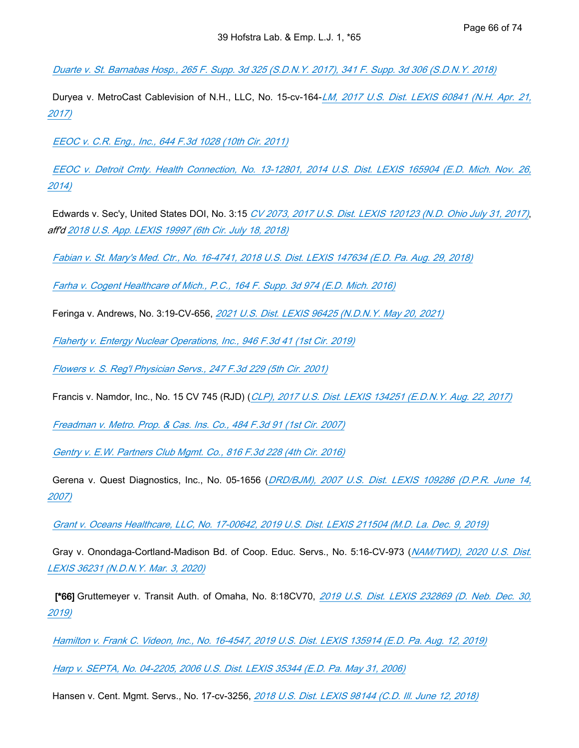*[Duarte v. St. Barnabas Hosp., 265 F. Supp. 3d 325 \(S.D.N.Y. 2017\), 341 F. Supp. 3d 306 \(S.D.N.Y. 2018\)](https://advance.lexis.com/api/document?collection=cases&id=urn:contentItem:5PG7-1521-F04F-0394-00000-00&context=1516831)*

 Duryea v. MetroCast Cablevision of N.H., LLC, No. 15-cv-164-*[LM, 2017 U.S. Dist. LEXIS 60841 \(N.H. Apr. 21,](https://advance.lexis.com/api/document?collection=cases&id=urn:contentItem:5NC9-9CF1-F04D-V001-00000-00&context=1516831)  [2017\)](https://advance.lexis.com/api/document?collection=cases&id=urn:contentItem:5NC9-9CF1-F04D-V001-00000-00&context=1516831)*

*[EEOC v. C.R. Eng., Inc., 644 F.3d 1028 \(10th Cir. 2011\)](https://advance.lexis.com/api/document?collection=cases&id=urn:contentItem:52SD-55M1-F04K-W08W-00000-00&context=1516831)*

 *[EEOC v. Detroit Cmty. Health Connection, No. 13-12801, 2014 U.S. Dist. LEXIS 165904 \(E.D. Mich. Nov. 26,](https://advance.lexis.com/api/document?collection=cases&id=urn:contentItem:5DP9-16X1-F04D-H09J-00000-00&context=1516831)  [2014\)](https://advance.lexis.com/api/document?collection=cases&id=urn:contentItem:5DP9-16X1-F04D-H09J-00000-00&context=1516831)*

 Edwards v. Sec'y, United States DOI, No. 3:15 *[CV 2073, 2017 U.S. Dist. LEXIS 120123 \(N.D. Ohio July 31, 2017\)](https://advance.lexis.com/api/document?collection=cases&id=urn:contentItem:5P4Y-FCD1-F04F-14C5-00000-00&context=1516831)*, *aff'd [2018 U.S. App. LEXIS 19997 \(6th Cir. July 18, 2018\)](https://advance.lexis.com/api/document?collection=cases&id=urn:contentItem:5SV3-HGF1-F1WF-M3KW-00000-00&context=1516831)*

*[Fabian v. St. Mary's Med. Ctr., No. 16-4741, 2018 U.S. Dist. LEXIS 147634 \(E.D. Pa. Aug. 29, 2018\)](https://advance.lexis.com/api/document?collection=cases&id=urn:contentItem:5T52-0121-JJD0-G4FM-00000-00&context=1516831)*

*[Farha v. Cogent Healthcare of Mich., P.C., 164 F. Supp. 3d 974 \(E.D. Mich. 2016\)](https://advance.lexis.com/api/document?collection=cases&id=urn:contentItem:5J6P-8Y51-F04D-H41T-00000-00&context=1516831)*

Feringa v. Andrews, No. 3:19-CV-656, *[2021 U.S. Dist. LEXIS 96425 \(N.D.N.Y. May 20, 2021\)](https://advance.lexis.com/api/document?collection=cases&id=urn:contentItem:62R7-2FS1-JWBS-61XY-00000-00&context=1516831)*

*[Flaherty v. Entergy Nuclear Operations, Inc., 946 F.3d 41 \(1st Cir. 2019\)](https://advance.lexis.com/api/document?collection=cases&id=urn:contentItem:5XTF-40T1-F8D9-M54D-00000-00&context=1516831)*

*[Flowers v. S. Reg'l Physician Servs., 247 F.3d 229 \(5th Cir. 2001\)](https://advance.lexis.com/api/document?collection=cases&id=urn:contentItem:42PK-CBN0-0038-X2CY-00000-00&context=1516831)*

Francis v. Namdor, Inc., No. 15 CV 745 (RJD) (*[CLP\), 2017 U.S. Dist. LEXIS 134251 \(E.D.N.Y. Aug. 22, 2017\)](https://advance.lexis.com/api/document?collection=cases&id=urn:contentItem:5P9H-P711-F04F-0169-00000-00&context=1516831)*

*[Freadman v. Metro. Prop. & Cas. Ins. Co., 484 F.3d 91 \(1st Cir. 2007\)](https://advance.lexis.com/api/document?collection=cases&id=urn:contentItem:4NHP-51S0-0038-X4HR-00000-00&context=1516831)*

*[Gentry v. E.W. Partners Club Mgmt. Co., 816 F.3d 228 \(4th Cir. 2016\)](https://advance.lexis.com/api/document?collection=cases&id=urn:contentItem:5J77-2GG1-F04K-M15K-00000-00&context=1516831)*

 Gerena v. Quest Diagnostics, Inc., No. 05-1656 (*[DRD/BJM\), 2007 U.S. Dist. LEXIS 109286 \(D.P.R. June 14,](https://advance.lexis.com/api/document?collection=cases&id=urn:contentItem:5Y48-8PW1-JSC5-M21X-00000-00&context=1516831)  [2007\)](https://advance.lexis.com/api/document?collection=cases&id=urn:contentItem:5Y48-8PW1-JSC5-M21X-00000-00&context=1516831)*

*[Grant v. Oceans Healthcare, LLC, No. 17-00642, 2019 U.S. Dist. LEXIS 211504 \(M.D. La. Dec. 9, 2019\)](https://advance.lexis.com/api/document?collection=cases&id=urn:contentItem:5XPH-SVV1-F900-G2K8-00000-00&context=1516831)*

 Gray v. Onondaga-Cortland-Madison Bd. of Coop. Educ. Servs., No. 5:16-CV-973 (*[NAM/TWD\), 2020 U.S. Dist.](https://advance.lexis.com/api/document?collection=cases&id=urn:contentItem:5YBN-GJ01-FGRY-B2NM-00000-00&context=1516831)  [LEXIS 36231 \(N.D.N.Y. Mar. 3, 2020\)](https://advance.lexis.com/api/document?collection=cases&id=urn:contentItem:5YBN-GJ01-FGRY-B2NM-00000-00&context=1516831)*

 **[\*66]** Gruttemeyer v. Transit Auth. of Omaha, No. 8:18CV70, *[2019 U.S. Dist. LEXIS 232869 \(D. Neb. Dec. 30,](https://advance.lexis.com/api/document?collection=cases&id=urn:contentItem:60M5-7NG1-F873-B2K6-00000-00&context=1516831)  [2019\)](https://advance.lexis.com/api/document?collection=cases&id=urn:contentItem:60M5-7NG1-F873-B2K6-00000-00&context=1516831)*

*[Hamilton v. Frank C. Videon, Inc., No. 16-4547, 2019 U.S. Dist. LEXIS 135914 \(E.D. Pa. Aug. 12, 2019\)](https://advance.lexis.com/api/document?collection=cases&id=urn:contentItem:5WT7-VCF1-JKB3-X4C0-00000-00&context=1516831)*

*[Harp v. SEPTA, No. 04-2205, 2006 U.S. Dist. LEXIS 35344 \(E.D. Pa. May 31, 2006\)](https://advance.lexis.com/api/document?collection=cases&id=urn:contentItem:4K3F-FVJ0-0038-Y1W7-00000-00&context=1516831)*

Hansen v. Cent. Mgmt. Servs., No. 17-cv-3256, *[2018 U.S. Dist. LEXIS 98144 \(C.D. Ill. June 12, 2018\)](https://advance.lexis.com/api/document?collection=cases&id=urn:contentItem:5SJ7-3V81-F4GK-M300-00000-00&context=1516831)*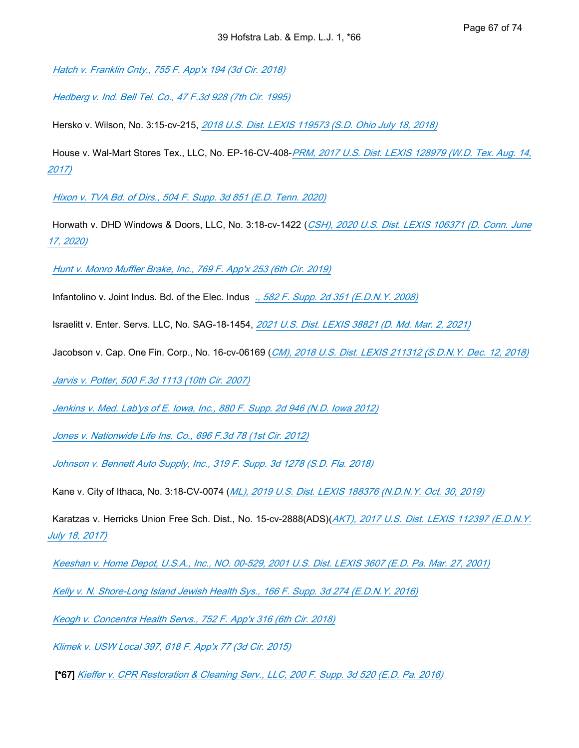*[Hatch v. Franklin Cnty., 755 F. App'x 194 \(3d Cir. 2018\)](https://advance.lexis.com/api/document?collection=cases&id=urn:contentItem:5V38-MW61-F4NT-X0NH-00000-00&context=1516831)*

*[Hedberg v. Ind. Bell Tel. Co., 47 F.3d 928 \(7th Cir. 1995\)](https://advance.lexis.com/api/document?collection=cases&id=urn:contentItem:3S3D-8J20-001T-D1TK-00000-00&context=1516831)*

Hersko v. Wilson, No. 3:15-cv-215, *[2018 U.S. Dist. LEXIS 119573 \(S.D. Ohio July 18, 2018\)](https://advance.lexis.com/api/document?collection=cases&id=urn:contentItem:5STW-MM01-K0HK-24V9-00000-00&context=1516831)*

 House v. Wal-Mart Stores Tex., LLC, No. EP-16-CV-408-*[PRM, 2017 U.S. Dist. LEXIS 128979 \(W.D. Tex. Aug. 14,](https://advance.lexis.com/api/document?collection=cases&id=urn:contentItem:5P7T-Y4M1-F04F-C0JB-00000-00&context=1516831)  [2017\)](https://advance.lexis.com/api/document?collection=cases&id=urn:contentItem:5P7T-Y4M1-F04F-C0JB-00000-00&context=1516831)*

*[Hixon v. TVA Bd. of Dirs., 504 F. Supp. 3d 851 \(E.D. Tenn. 2020\)](https://advance.lexis.com/api/document?collection=cases&id=urn:contentItem:61DS-7VY1-F65M-624B-00000-00&context=1516831)*

 Horwath v. DHD Windows & Doors, LLC, No. 3:18-cv-1422 (*[CSH\), 2020 U.S. Dist. LEXIS 106371 \(D. Conn. June](https://advance.lexis.com/api/document?collection=cases&id=urn:contentItem:605B-8BS1-FFMK-M2C7-00000-00&context=1516831)  [17, 2020\)](https://advance.lexis.com/api/document?collection=cases&id=urn:contentItem:605B-8BS1-FFMK-M2C7-00000-00&context=1516831)*

*[Hunt v. Monro Muffler Brake, Inc., 769 F. App'x 253 \(6th Cir. 2019\)](https://advance.lexis.com/api/document?collection=cases&id=urn:contentItem:5VYT-06N1-F22N-X0HV-00000-00&context=1516831)*

Infantolino v. Joint Indus. Bd. of the Elec. Indus *., [582 F. Supp. 2d 351 \(E.D.N.Y. 2008\)](https://advance.lexis.com/api/document?collection=cases&id=urn:contentItem:4TKH-S0X0-TXFR-J2H3-00000-00&context=1516831)*

Israelitt v. Enter. Servs. LLC, No. SAG-18-1454, *[2021 U.S. Dist. LEXIS 38821 \(D. Md. Mar. 2, 2021\)](https://advance.lexis.com/api/document?collection=cases&id=urn:contentItem:6249-BBY1-JX3N-B2ND-00000-00&context=1516831)*

Jacobson v. Cap. One Fin. Corp., No. 16-cv-06169 (*[CM\), 2018 U.S. Dist. LEXIS 211312 \(S.D.N.Y. Dec. 12, 2018\)](https://advance.lexis.com/api/document?collection=cases&id=urn:contentItem:5TYP-0W61-FFTT-X17D-00000-00&context=1516831)*

*[Jarvis v. Potter, 500 F.3d 1113 \(10th Cir. 2007\)](https://advance.lexis.com/api/document?collection=cases&id=urn:contentItem:4PJC-04B0-TXFX-F32V-00000-00&context=1516831)*

*[Jenkins v. Med. Lab'ys of E. Iowa, Inc., 880 F. Supp. 2d 946 \(N.D. Iowa 2012\)](https://advance.lexis.com/api/document?collection=cases&id=urn:contentItem:565N-KD51-F04D-5113-00000-00&context=1516831)*

*[Jones v. Nationwide Life Ins. Co., 696 F.3d 78 \(1st Cir. 2012\)](https://advance.lexis.com/api/document?collection=cases&id=urn:contentItem:56NK-PR01-F04K-H0FR-00000-00&context=1516831)*

*[Johnson v. Bennett Auto Supply, Inc., 319 F. Supp. 3d 1278 \(S.D. Fla. 2018\)](https://advance.lexis.com/api/document?collection=cases&id=urn:contentItem:5SYV-MK81-JNS1-M4H6-00000-00&context=1516831)*

Kane v. City of Ithaca, No. 3:18-CV-0074 (*[ML\), 2019 U.S. Dist. LEXIS 188376 \(N.D.N.Y. Oct. 30, 2019\)](https://advance.lexis.com/api/document?collection=cases&id=urn:contentItem:5XD2-8521-F956-S2KM-00000-00&context=1516831)*

 Karatzas v. Herricks Union Free Sch. Dist., No. 15-cv-2888(ADS)(*[AKT\), 2017 U.S. Dist. LEXIS 112397 \(E.D.N.Y.](https://advance.lexis.com/api/document?collection=cases&id=urn:contentItem:5P27-YNR1-F04F-017B-00000-00&context=1516831)  [July 18, 2017\)](https://advance.lexis.com/api/document?collection=cases&id=urn:contentItem:5P27-YNR1-F04F-017B-00000-00&context=1516831)*

*[Keeshan v. Home Depot, U.S.A., Inc., NO. 00-529, 2001 U.S. Dist. LEXIS 3607 \(E.D. Pa. Mar. 27, 2001\)](https://advance.lexis.com/api/document?collection=cases&id=urn:contentItem:42R6-P2P0-0038-Y2F0-00000-00&context=1516831)*

*[Kelly v. N. Shore-Long Island Jewish Health Sys., 166 F. Supp. 3d 274 \(E.D.N.Y. 2016\)](https://advance.lexis.com/api/document?collection=cases&id=urn:contentItem:5HVS-61H1-F04F-02XK-00000-00&context=1516831)*

*[Keogh v. Concentra Health Servs., 752 F. App'x 316 \(6th Cir. 2018\)](https://advance.lexis.com/api/document?collection=cases&id=urn:contentItem:5TP0-8V61-JKPJ-G40X-00000-00&context=1516831)*

*[Klimek v. USW Local 397, 618 F. App'x 77 \(3d Cir. 2015\)](https://advance.lexis.com/api/document?collection=cases&id=urn:contentItem:5G7J-4PR1-F04K-K02K-00000-00&context=1516831)*

**[\*67]** *[Kieffer v. CPR Restoration & Cleaning Serv., LLC, 200 F. Supp. 3d 520 \(E.D. Pa. 2016\)](https://advance.lexis.com/api/document?collection=cases&id=urn:contentItem:5KCM-VY21-F04F-419H-00000-00&context=1516831)*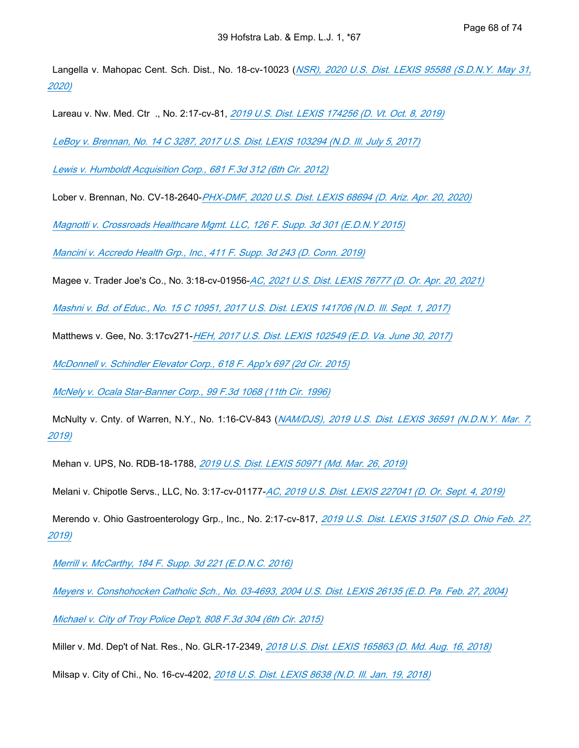Langella v. Mahopac Cent. Sch. Dist., No. 18-cv-10023 (*[NSR\), 2020 U.S. Dist. LEXIS 95588 \(S.D.N.Y. May 31,](https://advance.lexis.com/api/document?collection=cases&id=urn:contentItem:601R-YHG1-JG59-206K-00000-00&context=1516831)  [2020\)](https://advance.lexis.com/api/document?collection=cases&id=urn:contentItem:601R-YHG1-JG59-206K-00000-00&context=1516831)*

Lareau v. Nw. Med. Ctr *.*, No. 2:17-cv-81, *[2019 U.S. Dist. LEXIS 174256 \(D. Vt. Oct. 8, 2019\)](https://advance.lexis.com/api/document?collection=cases&id=urn:contentItem:5X76-SP31-JF75-M09J-00000-00&context=1516831)*

*[LeBoy v. Brennan, No. 14 C 3287, 2017 U.S. Dist. LEXIS 103294 \(N.D. Ill. July 5, 2017\)](https://advance.lexis.com/api/document?collection=cases&id=urn:contentItem:5NY9-3CP1-F04D-7227-00000-00&context=1516831)*

*[Lewis v. Humboldt Acquisition Corp., 681 F.3d 312 \(6th Cir. 2012\)](https://advance.lexis.com/api/document?collection=cases&id=urn:contentItem:55R4-DK21-F04K-P0J0-00000-00&context=1516831)*

Lober v. Brennan, No. CV-18-2640-*[PHX-DMF, 2020 U.S. Dist. LEXIS 68694 \(D. Ariz. Apr. 20, 2020\)](https://advance.lexis.com/api/document?collection=cases&id=urn:contentItem:5YPX-3CF1-F4GK-M327-00000-00&context=1516831)*

*[Magnotti v. Crossroads Healthcare Mgmt. LLC, 126 F. Supp. 3d 301 \(E.D.N.Y 2015\)](https://advance.lexis.com/api/document?collection=cases&id=urn:contentItem:5GVB-GC21-F04F-0004-00000-00&context=1516831)*

*[Mancini v. Accredo Health Grp., Inc., 411 F. Supp. 3d 243 \(D. Conn. 2019\)](https://advance.lexis.com/api/document?collection=cases&id=urn:contentItem:5WYY-9TN1-JGHR-M1PF-00000-00&context=1516831)*

Magee v. Trader Joe's Co., No. 3:18-cv-01956-*[AC, 2021 U.S. Dist. LEXIS 76777 \(D. Or. Apr. 20, 2021\)](https://advance.lexis.com/api/document?collection=cases&id=urn:contentItem:62GR-SWD1-JWJ0-G2RX-00000-00&context=1516831)*

*[Mashni v. Bd. of Educ., No. 15 C 10951, 2017 U.S. Dist. LEXIS 141706 \(N.D. Ill. Sept. 1, 2017\)](https://advance.lexis.com/api/document?collection=cases&id=urn:contentItem:5PCN-CP11-F04D-70PM-00000-00&context=1516831)*

Matthews v. Gee, No. 3:17cv271-*[HEH, 2017 U.S. Dist. LEXIS 102549 \(E.D. Va. June 30, 2017\)](https://advance.lexis.com/api/document?collection=cases&id=urn:contentItem:5NX6-STV1-F04F-F25S-00000-00&context=1516831)*

*[McDonnell v. Schindler Elevator Corp., 618 F. App'x 697 \(2d Cir. 2015\)](https://advance.lexis.com/api/document?collection=cases&id=urn:contentItem:5GBR-B651-F04K-J03J-00000-00&context=1516831)*

*[McNely v. Ocala Star-Banner Corp., 99 F.3d 1068 \(11th Cir. 1996\)](https://advance.lexis.com/api/document?collection=cases&id=urn:contentItem:3RVK-BDT0-006F-M3P0-00000-00&context=1516831)*

 McNulty v. Cnty. of Warren, N.Y., No. 1:16-CV-843 (*[NAM/DJS\), 2019 U.S. Dist. LEXIS 36591 \(N.D.N.Y. Mar. 7,](https://advance.lexis.com/api/document?collection=cases&id=urn:contentItem:5VKC-GF11-FG68-G3MJ-00000-00&context=1516831)  [2019\)](https://advance.lexis.com/api/document?collection=cases&id=urn:contentItem:5VKC-GF11-FG68-G3MJ-00000-00&context=1516831)*

Mehan v. UPS, No. RDB-18-1788, *[2019 U.S. Dist. LEXIS 50971 \(Md. Mar. 26, 2019\)](https://advance.lexis.com/api/document?collection=cases&id=urn:contentItem:5VRD-FHJ1-JCJ5-22GW-00000-00&context=1516831)*

Melani v. Chipotle Servs., LLC, No. 3:17-cv-01177-*[AC, 2019 U.S. Dist. LEXIS 227041 \(D. Or. Sept. 4, 2019\)](https://advance.lexis.com/api/document?collection=cases&id=urn:contentItem:5Y69-8RJ1-FD4T-B3DY-00000-00&context=1516831)*

 Merendo v. Ohio Gastroenterology Grp., Inc., No. 2:17-cv-817, *[2019 U.S. Dist. LEXIS 31507 \(S.D. Ohio Feb. 27,](https://advance.lexis.com/api/document?collection=cases&id=urn:contentItem:5VHS-3H71-JT42-S2V9-00000-00&context=1516831)  [2019\)](https://advance.lexis.com/api/document?collection=cases&id=urn:contentItem:5VHS-3H71-JT42-S2V9-00000-00&context=1516831)*

*[Merrill v. McCarthy, 184 F. Supp. 3d 221 \(E.D.N.C. 2016\)](https://advance.lexis.com/api/document?collection=cases&id=urn:contentItem:5JPB-GKR1-F04D-R3NB-00000-00&context=1516831)*

*[Meyers v. Conshohocken Catholic Sch., No. 03-4693, 2004 U.S. Dist. LEXIS 26135 \(E.D. Pa. Feb. 27, 2004\)](https://advance.lexis.com/api/document?collection=cases&id=urn:contentItem:4F5V-FJF0-0038-Y0FP-00000-00&context=1516831)*

*[Michael v. City of Troy Police Dep't, 808 F.3d 304 \(6th Cir. 2015\)](https://advance.lexis.com/api/document?collection=cases&id=urn:contentItem:5HKX-W441-F04K-P05W-00000-00&context=1516831)*

Miller v. Md. Dep't of Nat. Res., No. GLR-17-2349, *[2018 U.S. Dist. LEXIS 165863 \(D. Md. Aug. 16, 2018\)](https://advance.lexis.com/api/document?collection=cases&id=urn:contentItem:5TBT-R8X1-JYYX-644W-00000-00&context=1516831)*

Milsap v. City of Chi., No. 16-cv-4202, *[2018 U.S. Dist. LEXIS 8638 \(N.D. Ill. Jan. 19, 2018\)](https://advance.lexis.com/api/document?collection=cases&id=urn:contentItem:5RFH-G0V1-FBN1-23PS-00000-00&context=1516831)*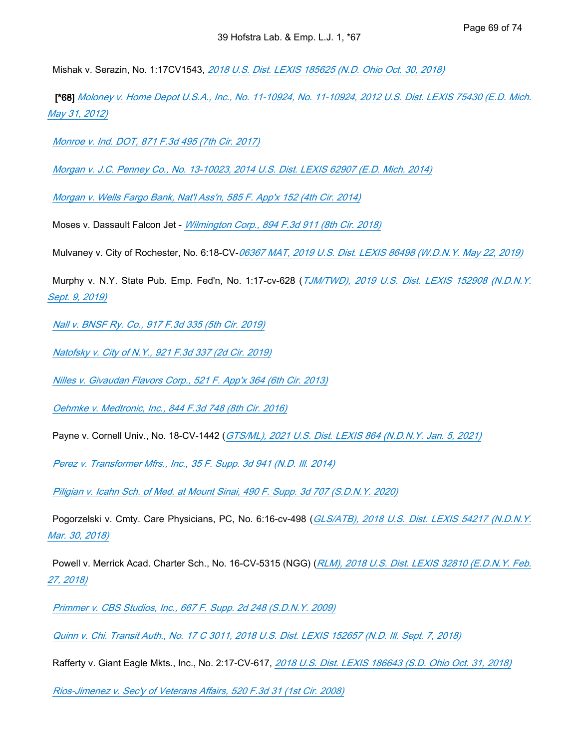Mishak v. Serazin, No. 1:17CV1543, *[2018 U.S. Dist. LEXIS 185625 \(N.D. Ohio Oct. 30, 2018\)](https://advance.lexis.com/api/document?collection=cases&id=urn:contentItem:5TM5-NCF1-JXNB-6009-00000-00&context=1516831)*

 **[\*68]** *[Moloney v. Home Depot U.S.A., Inc., No. 11-10924, No. 11-10924, 2012 U.S. Dist. LEXIS 75430 \(E.D. Mich.](https://advance.lexis.com/api/document?collection=cases&id=urn:contentItem:55SK-4N01-F04D-H2R7-00000-00&context=1516831)  [May 31, 2012\)](https://advance.lexis.com/api/document?collection=cases&id=urn:contentItem:55SK-4N01-F04D-H2R7-00000-00&context=1516831)*

*[Monroe v. Ind. DOT, 871 F.3d 495 \(7th Cir. 2017\)](https://advance.lexis.com/api/document?collection=cases&id=urn:contentItem:5PH7-PX01-F04K-R0HC-00000-00&context=1516831)*

*[Morgan v. J.C. Penney Co., No. 13-10023, 2014 U.S. Dist. LEXIS 62907 \(E.D. Mich. 2014\)](https://advance.lexis.com/api/document?collection=cases&id=urn:contentItem:5C50-SB51-F04D-H03R-00000-00&context=1516831)*

*[Morgan v. Wells Fargo Bank, Nat'l Ass'n, 585 F. App'x 152 \(4th Cir. 2014\)](https://advance.lexis.com/api/document?collection=cases&id=urn:contentItem:5DJ1-4HX1-F04K-M1KN-00000-00&context=1516831)*

Moses v. Dassault Falcon Jet - *[Wilmington Corp., 894 F.3d 911 \(8th Cir. 2018\)](https://advance.lexis.com/api/document?collection=cases&id=urn:contentItem:5SPN-XMW1-F7ND-G2X8-00000-00&context=1516831)*

Mulvaney v. City of Rochester, No. 6:18-CV-*[06367 MAT, 2019 U.S. Dist. LEXIS 86498 \(W.D.N.Y. May 22, 2019\)](https://advance.lexis.com/api/document?collection=cases&id=urn:contentItem:5W5P-WS81-JG02-S3MR-00000-00&context=1516831)*

 Murphy v. N.Y. State Pub. Emp. Fed'n, No. 1:17-cv-628 (*[TJM/TWD\), 2019 U.S. Dist. LEXIS 152908 \(N.D.N.Y.](https://advance.lexis.com/api/document?collection=cases&id=urn:contentItem:5X11-X1M1-F7ND-G4M9-00000-00&context=1516831)  [Sept. 9, 2019\)](https://advance.lexis.com/api/document?collection=cases&id=urn:contentItem:5X11-X1M1-F7ND-G4M9-00000-00&context=1516831)*

*[Nall v. BNSF Ry. Co., 917 F.3d 335 \(5th Cir. 2019\)](https://advance.lexis.com/api/document?collection=cases&id=urn:contentItem:5VF3-RY81-JJ6S-62KF-00000-00&context=1516831)*

*[Natofsky v. City of N.Y., 921 F.3d 337 \(2d Cir. 2019\)](https://advance.lexis.com/api/document?collection=cases&id=urn:contentItem:5VX9-5511-JKHB-633W-00000-00&context=1516831)*

*[Nilles v. Givaudan Flavors Corp., 521 F. App'x 364 \(6th Cir. 2013\)](https://advance.lexis.com/api/document?collection=cases&id=urn:contentItem:582T-BS71-F04K-P0RJ-00000-00&context=1516831)*

*[Oehmke v. Medtronic, Inc., 844 F.3d 748 \(8th Cir. 2016\)](https://advance.lexis.com/api/document?collection=cases&id=urn:contentItem:5MFN-XV51-F04K-S07K-00000-00&context=1516831)*

Payne v. Cornell Univ., No. 18-CV-1442 (*[GTS/ML\), 2021 U.S. Dist. LEXIS 864 \(N.D.N.Y. Jan. 5, 2021\)](https://advance.lexis.com/api/document?collection=cases&id=urn:contentItem:61PB-B2G1-JNCK-217Y-00000-00&context=1516831)*

*[Perez v. Transformer Mfrs., Inc., 35 F. Supp. 3d 941 \(N.D. Ill. 2014\)](https://advance.lexis.com/api/document?collection=cases&id=urn:contentItem:5BTM-1VM1-F04D-710T-00000-00&context=1516831)*

*[Piligian v. Icahn Sch. of Med. at Mount Sinai, 490 F. Supp. 3d 707 \(S.D.N.Y. 2020\)](https://advance.lexis.com/api/document?collection=cases&id=urn:contentItem:60Y4-MGW1-F65M-614W-00000-00&context=1516831)*

 Pogorzelski v. Cmty. Care Physicians, PC, No. 6:16-cv-498 (*[GLS/ATB\), 2018 U.S. Dist. LEXIS 54217 \(N.D.N.Y.](https://advance.lexis.com/api/document?collection=cases&id=urn:contentItem:5S0F-9231-JS0R-20KC-00000-00&context=1516831)  [Mar. 30, 2018\)](https://advance.lexis.com/api/document?collection=cases&id=urn:contentItem:5S0F-9231-JS0R-20KC-00000-00&context=1516831)*

 Powell v. Merrick Acad. Charter Sch., No. 16-CV-5315 (NGG) (*[RLM\), 2018 U.S. Dist. LEXIS 32810 \(E.D.N.Y. Feb.](https://advance.lexis.com/api/document?collection=cases&id=urn:contentItem:5RS2-9B71-F22N-X4GK-00000-00&context=1516831)  [27, 2018\)](https://advance.lexis.com/api/document?collection=cases&id=urn:contentItem:5RS2-9B71-F22N-X4GK-00000-00&context=1516831)*

*[Primmer v. CBS Studios, Inc., 667 F. Supp. 2d 248 \(S.D.N.Y. 2009\)](https://advance.lexis.com/api/document?collection=cases&id=urn:contentItem:4X67-MJ90-TXFR-J26B-00000-00&context=1516831)*

*[Quinn v. Chi. Transit Auth., No. 17 C 3011, 2018 U.S. Dist. LEXIS 152657 \(N.D. Ill. Sept. 7, 2018\)](https://advance.lexis.com/api/document?collection=cases&id=urn:contentItem:5T6S-K7B1-JFKM-637B-00000-00&context=1516831)*

Rafferty v. Giant Eagle Mkts., Inc., No. 2:17-CV-617, *[2018 U.S. Dist. LEXIS 186643 \(S.D. Ohio Oct. 31, 2018\)](https://advance.lexis.com/api/document?collection=cases&id=urn:contentItem:5TM9-C2P1-JF75-M2TM-00000-00&context=1516831)*

*[Rios-Jimenez v. Sec'y of Veterans Affairs, 520 F.3d 31 \(1st Cir. 2008\)](https://advance.lexis.com/api/document?collection=cases&id=urn:contentItem:4S1V-NKN0-TXFX-3312-00000-00&context=1516831)*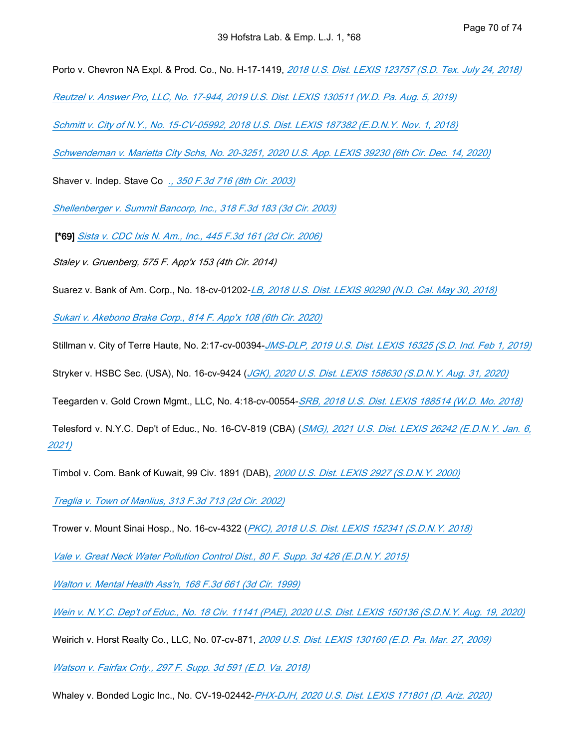Porto v. Chevron NA Expl. & Prod. Co., No. H-17-1419, *[2018 U.S. Dist. LEXIS 123757 \(S.D. Tex. July 24, 2018\)](https://advance.lexis.com/api/document?collection=cases&id=urn:contentItem:5SW9-RV31-F81W-2176-00000-00&context=1516831)*

*[Reutzel v. Answer Pro, LLC, No. 17-944, 2019 U.S. Dist. LEXIS 130511 \(W.D. Pa. Aug. 5, 2019\)](https://advance.lexis.com/api/document?collection=cases&id=urn:contentItem:5WRJ-37M1-F22N-X1WS-00000-00&context=1516831)*

*[Schmitt v. City of N.Y., No. 15-CV-05992, 2018 U.S. Dist. LEXIS 187382 \(E.D.N.Y. Nov. 1, 2018\)](https://advance.lexis.com/api/document?collection=cases&id=urn:contentItem:5TMG-YXR1-JFDC-X19Y-00000-00&context=1516831)*

*[Schwendeman v. Marietta City Schs, No. 20-3251, 2020 U.S. App. LEXIS 39230 \(6th Cir. Dec. 14, 2020\)](https://advance.lexis.com/api/document?collection=cases&id=urn:contentItem:61HS-5JM1-JBDT-B2MN-00000-00&context=1516831)*

Shaver v. Indep. Stave Co *., [350 F.3d 716 \(8th Cir. 2003\)](https://advance.lexis.com/api/document?collection=cases&id=urn:contentItem:4B4J-26V0-0038-X2XH-00000-00&context=1516831)*

*[Shellenberger v. Summit Bancorp, Inc., 318 F.3d 183 \(3d Cir. 2003\)](https://advance.lexis.com/api/document?collection=cases&id=urn:contentItem:47T2-42Y0-0038-X0SN-00000-00&context=1516831)*

**[\*69]** *[Sista v. CDC Ixis N. Am., Inc., 445 F.3d 161 \(2d Cir. 2006\)](https://advance.lexis.com/api/document?collection=cases&id=urn:contentItem:4JRR-S9H0-0038-X46R-00000-00&context=1516831)*

*Staley v. Gruenberg, 575 F. App'x 153 (4th Cir. 2014)*

Suarez v. Bank of Am. Corp., No. 18-cv-01202-*[LB, 2018 U.S. Dist. LEXIS 90290 \(N.D. Cal. May 30, 2018\)](https://advance.lexis.com/api/document?collection=cases&id=urn:contentItem:5SFJ-9MB1-FCYK-20XJ-00000-00&context=1516831)*

*[Sukari v. Akebono Brake Corp., 814 F. App'x 108 \(6th Cir. 2020\)](https://advance.lexis.com/api/document?collection=cases&id=urn:contentItem:6013-KRN1-F5T5-M024-00000-00&context=1516831)*

Stillman v. City of Terre Haute, No. 2:17-cv-00394-*[JMS-DLP, 2019 U.S. Dist. LEXIS 16325 \(S.D. Ind. Feb 1, 2019\)](https://advance.lexis.com/api/document?collection=cases&id=urn:contentItem:5VB4-JX91-FJDY-X03C-00000-00&context=1516831)*

Stryker v. HSBC Sec. (USA), No. 16-cv-9424 (*[JGK\), 2020 U.S. Dist. LEXIS 158630 \(S.D.N.Y. Aug. 31, 2020\)](https://advance.lexis.com/api/document?collection=cases&id=urn:contentItem:60R9-M4T1-F5DR-223V-00000-00&context=1516831)*

Teegarden v. Gold Crown Mgmt., LLC, No. 4:18-cv-00554-*[SRB, 2018 U.S. Dist. LEXIS 188514 \(W.D. Mo. 2018\)](https://advance.lexis.com/api/document?collection=cases&id=urn:contentItem:5TNB-BX11-FGCG-S06V-00000-00&context=1516831)*

 Telesford v. N.Y.C. Dep't of Educ., No. 16-CV-819 (CBA) (*[SMG\), 2021 U.S. Dist. LEXIS 26242 \(E.D.N.Y. Jan. 6,](https://advance.lexis.com/api/document?collection=cases&id=urn:contentItem:6204-5F91-F7VM-S2BR-00000-00&context=1516831)  [2021\)](https://advance.lexis.com/api/document?collection=cases&id=urn:contentItem:6204-5F91-F7VM-S2BR-00000-00&context=1516831)*

Timbol v. Com. Bank of Kuwait, 99 Civ. 1891 (DAB), *[2000 U.S. Dist. LEXIS 2927 \(S.D.N.Y. 2000\)](https://advance.lexis.com/api/document?collection=cases&id=urn:contentItem:3YVC-TD60-0038-Y25T-00000-00&context=1516831)*

*[Treglia v. Town of Manlius, 313 F.3d 713 \(2d Cir. 2002\)](https://advance.lexis.com/api/document?collection=cases&id=urn:contentItem:47GB-6BX0-0038-X2FV-00000-00&context=1516831)*

Trower v. Mount Sinai Hosp., No. 16-cv-4322 (*[PKC\), 2018 U.S. Dist. LEXIS 152341 \(S.D.N.Y. 2018\)](https://advance.lexis.com/api/document?collection=cases&id=urn:contentItem:5T6P-DBN1-JB7K-2168-00000-00&context=1516831)*

*[Vale v. Great Neck Water Pollution Control Dist., 80 F. Supp. 3d 426 \(E.D.N.Y. 2015\)](https://advance.lexis.com/api/document?collection=cases&id=urn:contentItem:5F40-P221-F04F-000J-00000-00&context=1516831)*

*[Walton v. Mental Health Ass'n, 168 F.3d 661 \(3d Cir. 1999\)](https://advance.lexis.com/api/document?collection=cases&id=urn:contentItem:3VW7-2V10-0038-X15V-00000-00&context=1516831)*

*[Wein v. N.Y.C. Dep't of Educ., No. 18 Civ. 11141 \(PAE\), 2020 U.S. Dist. LEXIS 150136 \(S.D.N.Y. Aug. 19, 2020\)](https://advance.lexis.com/api/document?collection=cases&id=urn:contentItem:60MK-FVR1-FBV7-B15D-00000-00&context=1516831)*

Weirich v. Horst Realty Co., LLC, No. 07-cv-871, *[2009 U.S. Dist. LEXIS 130160 \(E.D. Pa. Mar. 27, 2009\)](https://advance.lexis.com/api/document?collection=cases&id=urn:contentItem:51KH-T0K1-JCNC-D004-00000-00&context=1516831)*

*[Watson v. Fairfax Cnty., 297 F. Supp. 3d 591 \(E.D. Va. 2018\)](https://advance.lexis.com/api/document?collection=cases&id=urn:contentItem:5RS4-PN61-F8SS-60GJ-00000-00&context=1516831)*

Whaley v. Bonded Logic Inc., No. CV-19-02442-*[PHX-DJH, 2020 U.S. Dist. LEXIS 171801 \(D. Ariz. 2020\)](https://advance.lexis.com/api/document?collection=cases&id=urn:contentItem:60WK-8BG1-FGRY-B4W2-00000-00&context=1516831)*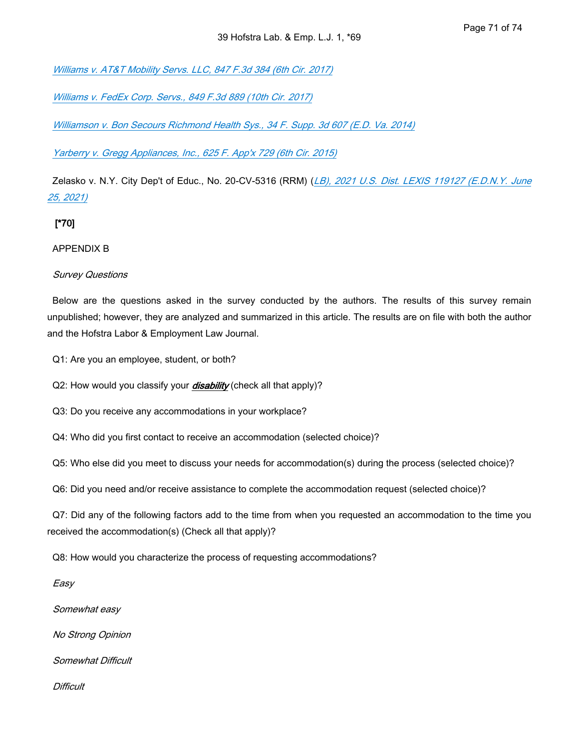*[Williams v. AT&T Mobility Servs. LLC, 847 F.3d 384 \(6th Cir. 2017\)](https://advance.lexis.com/api/document?collection=cases&id=urn:contentItem:5MRC-7CY1-F04K-P0MM-00000-00&context=1516831)*

*[Williams v. FedEx Corp. Servs., 849 F.3d 889 \(10th Cir. 2017\)](https://advance.lexis.com/api/document?collection=cases&id=urn:contentItem:5MYB-7MD1-F04K-W04F-00000-00&context=1516831)*

*[Williamson v. Bon Secours Richmond Health Sys., 34 F. Supp. 3d 607 \(E.D. Va. 2014\)](https://advance.lexis.com/api/document?collection=cases&id=urn:contentItem:5CSF-X9V1-F04F-F17R-00000-00&context=1516831)*

*[Yarberry v. Gregg Appliances, Inc., 625 F. App'x 729 \(6th Cir. 2015\)](https://advance.lexis.com/api/document?collection=cases&id=urn:contentItem:5GV5-NPG1-F04K-P002-00000-00&context=1516831)*

 Zelasko v. N.Y. City Dep't of Educ., No. 20-CV-5316 (RRM) (*[LB\), 2021 U.S. Dist. LEXIS 119127 \(E.D.N.Y. June](https://advance.lexis.com/api/document?collection=cases&id=urn:contentItem:630T-8KD1-FD4T-B1HV-00000-00&context=1516831)  [25, 2021\)](https://advance.lexis.com/api/document?collection=cases&id=urn:contentItem:630T-8KD1-FD4T-B1HV-00000-00&context=1516831)*

# **[\*70]**

## APPENDIX B

## *Survey Questions*

 Below are the questions asked in the survey conducted by the authors. The results of this survey remain unpublished; however, they are analyzed and summarized in this article. The results are on file with both the author and the Hofstra Labor & Employment Law Journal.

Q1: Are you an employee, student, or both?

Q2: How would you classify your *disability* (check all that apply)?

Q3: Do you receive any accommodations in your workplace?

Q4: Who did you first contact to receive an accommodation (selected choice)?

Q5: Who else did you meet to discuss your needs for accommodation(s) during the process (selected choice)?

Q6: Did you need and/or receive assistance to complete the accommodation request (selected choice)?

 Q7: Did any of the following factors add to the time from when you requested an accommodation to the time you received the accommodation(s) (Check all that apply)?

Q8: How would you characterize the process of requesting accommodations?

*Easy*

*Somewhat easy*

*No Strong Opinion*

*Somewhat Difficult*

*Difficult*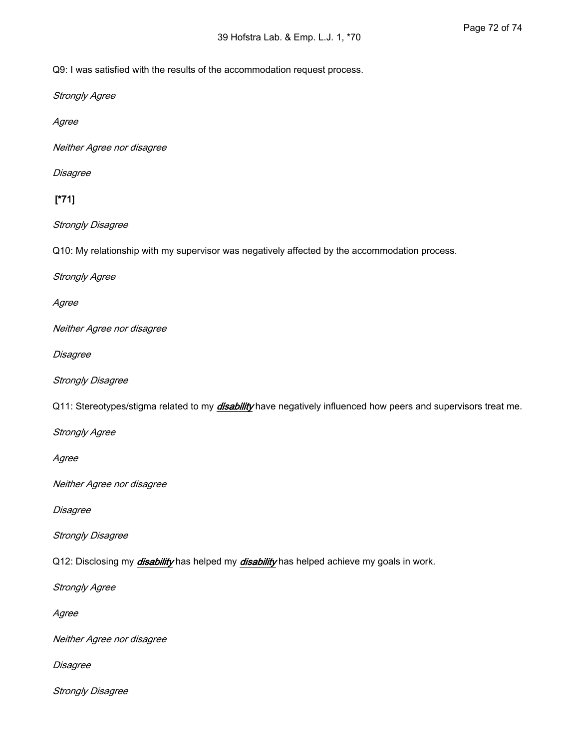Q9: I was satisfied with the results of the accommodation request process.

*Strongly Agree*

*Agree*

*Neither Agree nor disagree*

*Disagree*

## **[\*71]**

*Strongly Disagree*

Q10: My relationship with my supervisor was negatively affected by the accommodation process.

*Strongly Agree*

*Agree*

*Neither Agree nor disagree*

*Disagree*

*Strongly Disagree*

Q11: Stereotypes/stigma related to my *disability* have negatively influenced how peers and supervisors treat me.

*Strongly Agree*

*Agree*

*Neither Agree nor disagree*

*Disagree*

*Strongly Disagree*

Q12: Disclosing my *disability* has helped my *disability* has helped achieve my goals in work.

*Strongly Agree*

*Agree*

*Neither Agree nor disagree*

*Disagree*

*Strongly Disagree*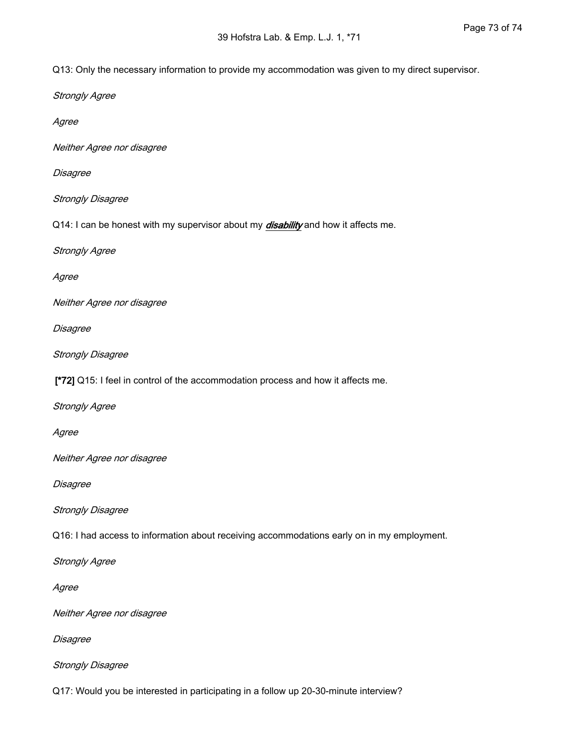Q13: Only the necessary information to provide my accommodation was given to my direct supervisor.

*Strongly Agree*

*Agree*

*Neither Agree nor disagree*

*Disagree*

*Strongly Disagree*

Q14: I can be honest with my supervisor about my *disability* and how it affects me.

*Strongly Agree*

*Agree*

*Neither Agree nor disagree*

*Disagree*

*Strongly Disagree*

**[\*72]** Q15: I feel in control of the accommodation process and how it affects me.

*Strongly Agree*

*Agree*

*Neither Agree nor disagree*

*Disagree*

*Strongly Disagree*

Q16: I had access to information about receiving accommodations early on in my employment.

*Strongly Agree*

*Agree*

*Neither Agree nor disagree*

*Disagree*

*Strongly Disagree*

Q17: Would you be interested in participating in a follow up 20-30-minute interview?